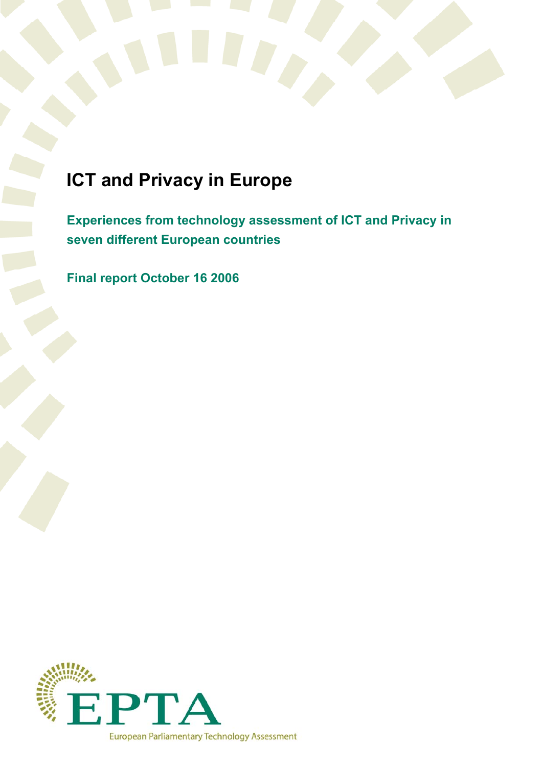

# **ICT and Privacy in Europe**

**Experiences from technology assessment of ICT and Privacy in seven different European countries** 

**Final report October 16 2006** 

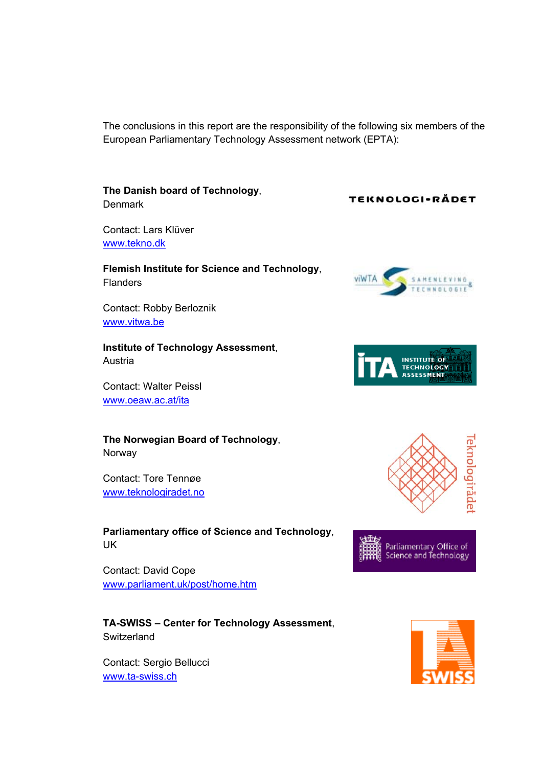The conclusions in this report are the responsibility of the following six members of the European Parliamentary Technology Assessment network (EPTA):

**The Danish board of Technology**, **Denmark** 

Contact: Lars Klüver www.tekno.dk

## **Flemish Institute for Science and Technology**, **Flanders**

Contact: Robby Berloznik www.vitwa.be

**Institute of Technology Assessment**, Austria

Contact: Walter Peissl www.oeaw.ac.at/ita

**The Norwegian Board of Technology**, Norway

Contact: Tore Tennøe www.teknologiradet.no

**Parliamentary office of Science and Technology**, UK

Contact: David Cope www.parliament.uk/post/home.htm

**TA-SWISS – Center for Technology Assessment**, **Switzerland** 

Contact: Sergio Bellucci www.ta-swiss.ch

## TEKNOLOGI-RÅDET









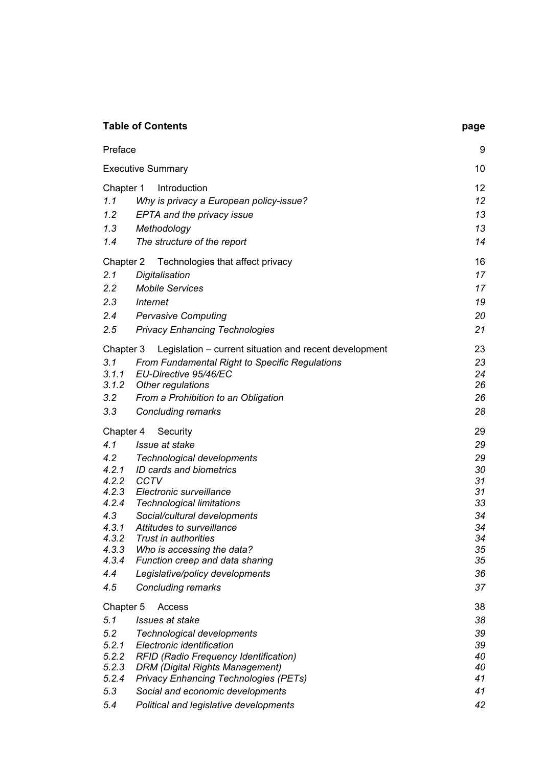| <b>Table of Contents</b> |                                                        | page |
|--------------------------|--------------------------------------------------------|------|
| Preface                  |                                                        | 9    |
| <b>Executive Summary</b> |                                                        | 10   |
| Chapter 1                | Introduction                                           | 12   |
| 1.1                      | Why is privacy a European policy-issue?                | 12   |
| 1.2                      | EPTA and the privacy issue                             | 13   |
| 1.3                      | Methodology                                            | 13   |
| 1.4                      | The structure of the report                            | 14   |
| Chapter 2                | Technologies that affect privacy                       | 16   |
| 2.1                      | Digitalisation                                         | 17   |
| 2.2                      | <b>Mobile Services</b>                                 | 17   |
| $2.3^{\circ}$            | <b>Internet</b>                                        | 19   |
| 2.4                      | <b>Pervasive Computing</b>                             | 20   |
| 2.5                      | <b>Privacy Enhancing Technologies</b>                  | 21   |
| Chapter 3                | Legislation - current situation and recent development | 23   |
| 3.1                      | <b>From Fundamental Right to Specific Regulations</b>  | 23   |
| 3.1.1                    | EU-Directive 95/46/EC                                  | 24   |
| 3.1.2                    | Other regulations                                      | 26   |
| 3.2                      | From a Prohibition to an Obligation                    | 26   |
| 3.3                      | <b>Concluding remarks</b>                              | 28   |
| Chapter 4                | Security                                               | 29   |
| 4.1                      | Issue at stake                                         | 29   |
| 4.2                      | Technological developments                             | 29   |
| 4.2.1                    | ID cards and biometrics                                | 30   |
| 4.2.2                    | <b>CCTV</b>                                            | 31   |
| 4.2.3                    | Electronic surveillance                                | 31   |
| 4.2.4                    | <b>Technological limitations</b>                       | 33   |
| 4.3                      | Social/cultural developments                           | 34   |
| 4.3.1                    | Attitudes to surveillance                              | 34   |
| 4.3.2                    | Trust in authorities                                   | 34   |
| 4.3.3                    | Who is accessing the data?                             | 35   |
| 4.3.4                    | Function creep and data sharing                        | 35   |
| 4.4                      | Legislative/policy developments                        | 36   |
| 4.5                      | <b>Concluding remarks</b>                              | 37   |
| Chapter 5                | Access                                                 | 38   |
| 5.1                      | Issues at stake                                        | 38   |
| 5.2                      | Technological developments                             | 39   |
| 5.2.1                    | Electronic identification                              | 39   |
| 5.2.2                    | <b>RFID (Radio Frequency Identification)</b>           | 40   |
| 5.2.3                    | <b>DRM (Digital Rights Management)</b>                 | 40   |
| 5.2.4                    | <b>Privacy Enhancing Technologies (PETs)</b>           | 41   |
| 5.3                      | Social and economic developments                       | 41   |
| 5.4                      | Political and legislative developments                 | 42   |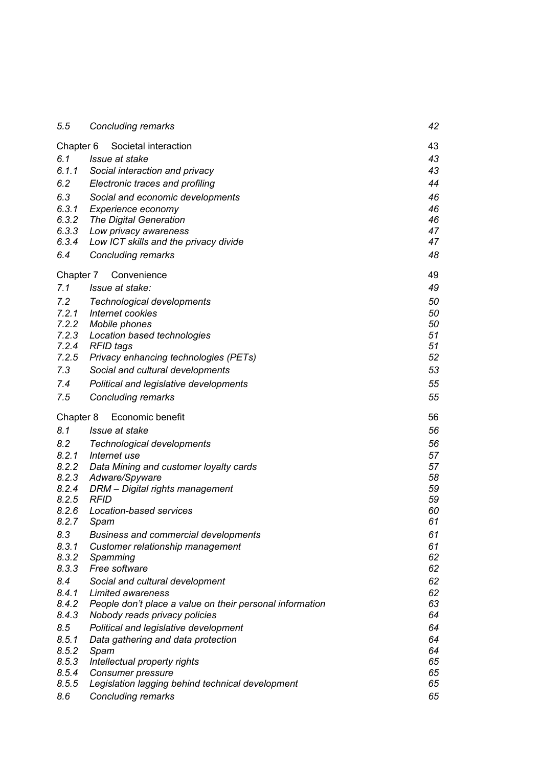| 5.5       | Concluding remarks                                       | 42 |
|-----------|----------------------------------------------------------|----|
| Chapter 6 | Societal interaction                                     | 43 |
| 6.1       | Issue at stake                                           | 43 |
| 6.1.1     | Social interaction and privacy                           | 43 |
| 6.2       | Electronic traces and profiling                          | 44 |
| 6.3       | Social and economic developments                         | 46 |
| 6.3.1     | Experience economy                                       | 46 |
| 6.3.2     | The Digital Generation                                   | 46 |
| 6.3.3     | Low privacy awareness                                    |    |
| 6.3.4     | Low ICT skills and the privacy divide                    | 47 |
| 6.4       | <b>Concluding remarks</b>                                | 48 |
| Chapter 7 | Convenience                                              | 49 |
| 7.1       | Issue at stake:                                          | 49 |
| 7.2       | Technological developments                               | 50 |
| 7.2.1     | Internet cookies                                         | 50 |
| 7.2.2     | Mobile phones                                            | 50 |
| 7.2.3     | Location based technologies                              | 51 |
| 7.2.4     | RFID tags                                                | 51 |
| 7.2.5     | Privacy enhancing technologies (PETs)                    | 52 |
| 7.3       | Social and cultural developments                         | 53 |
| 7.4       | Political and legislative developments                   | 55 |
| 7.5       | <b>Concluding remarks</b>                                | 55 |
| Chapter 8 | Economic benefit                                         | 56 |
| 8.1       | Issue at stake                                           | 56 |
| 8.2       | <b>Technological developments</b>                        | 56 |
| 8.2.1     | Internet use                                             | 57 |
| 8.2.2     | Data Mining and customer loyalty cards                   | 57 |
| 8.2.3     | Adware/Spyware                                           | 58 |
| 8.2.4     | DRM - Digital rights management                          | 59 |
| 8.2.5     | <b>RFID</b>                                              | 59 |
| 8.2.6     | Location-based services                                  | 60 |
| 8.2.7     | Spam                                                     | 61 |
| 8.3       | <b>Business and commercial developments</b>              | 61 |
| 8.3.1     | Customer relationship management                         | 61 |
| 8.3.2     | Spamming                                                 | 62 |
| 8.3.3     | Free software                                            | 62 |
| 8.4       | Social and cultural development                          | 62 |
| 8.4.1     | Limited awareness                                        | 62 |
| 8.4.2     | People don't place a value on their personal information | 63 |
| 8.4.3     | Nobody reads privacy policies                            | 64 |
| 8.5       | Political and legislative development                    | 64 |
| 8.5.1     | Data gathering and data protection                       | 64 |
| 8.5.2     | Spam                                                     | 64 |
| 8.5.3     | Intellectual property rights                             | 65 |
| 8.5.4     | Consumer pressure                                        | 65 |
| 8.5.5     | Legislation lagging behind technical development         | 65 |
| 8.6       | <b>Concluding remarks</b>                                | 65 |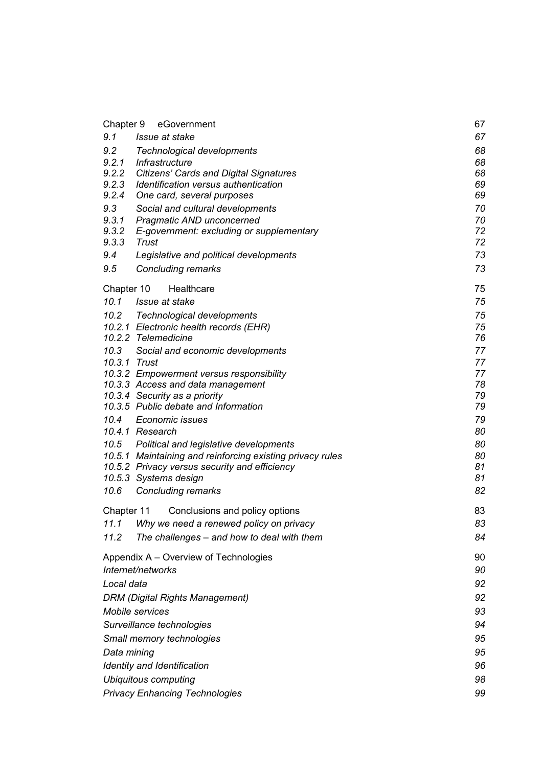| Chapter 9<br>eGovernment                                                      | 67       |  |
|-------------------------------------------------------------------------------|----------|--|
| 9.1<br>Issue at stake                                                         | 67       |  |
| 9.2<br><b>Technological developments</b>                                      | 68       |  |
| 9.2.1<br>Infrastructure                                                       | 68       |  |
| 9.2.2<br><b>Citizens' Cards and Digital Signatures</b>                        | 68       |  |
| 9.2.3<br>Identification versus authentication                                 | 69       |  |
| 9.2.4<br>One card, several purposes                                           | 69       |  |
| 9.3<br>Social and cultural developments                                       | 70       |  |
| 9.3.1<br>Pragmatic AND unconcerned                                            | 70       |  |
| 9.3.2<br>E-government: excluding or supplementary<br>9.3.3<br>Trust           | 72<br>72 |  |
| 9.4<br>Legislative and political developments                                 | 73       |  |
| 9.5                                                                           | 73       |  |
| <b>Concluding remarks</b>                                                     |          |  |
| Healthcare<br>Chapter 10                                                      | 75       |  |
| 10.1<br>Issue at stake                                                        | 75       |  |
| 10.2 Technological developments                                               | 75       |  |
| 10.2.1 Electronic health records (EHR)                                        | 75       |  |
| 10.2.2 Telemedicine                                                           | 76       |  |
| 10.3<br>Social and economic developments                                      | 77       |  |
| 10.3.1 Trust                                                                  | 77       |  |
| 10.3.2 Empowerment versus responsibility<br>10.3.3 Access and data management | 77<br>78 |  |
| 10.3.4 Security as a priority                                                 | 79       |  |
| 10.3.5 Public debate and Information                                          | 79       |  |
| 10.4<br>Economic issues                                                       | 79       |  |
| 10.4.1 Research                                                               | 80       |  |
| 10.5 Political and legislative developments                                   | 80       |  |
| 10.5.1 Maintaining and reinforcing existing privacy rules                     | 80       |  |
| 10.5.2 Privacy versus security and efficiency                                 | 81       |  |
| 10.5.3 Systems design                                                         | 81       |  |
| 10.6<br>Concluding remarks                                                    | 82       |  |
| Chapter 11<br>Conclusions and policy options                                  | 83       |  |
| 11.1<br>Why we need a renewed policy on privacy                               | 83       |  |
| The challenges - and how to deal with them<br>11.2                            | 84       |  |
| Appendix A – Overview of Technologies                                         | 90       |  |
| Internet/networks                                                             | 90       |  |
| Local data                                                                    | 92       |  |
| <b>DRM (Digital Rights Management)</b>                                        |          |  |
| Mobile services                                                               |          |  |
| Surveillance technologies                                                     |          |  |
| Small memory technologies                                                     |          |  |
| Data mining                                                                   |          |  |
| <b>Identity and Identification</b>                                            |          |  |
| <b>Ubiquitous computing</b>                                                   |          |  |
| <b>Privacy Enhancing Technologies</b>                                         |          |  |
|                                                                               | 99       |  |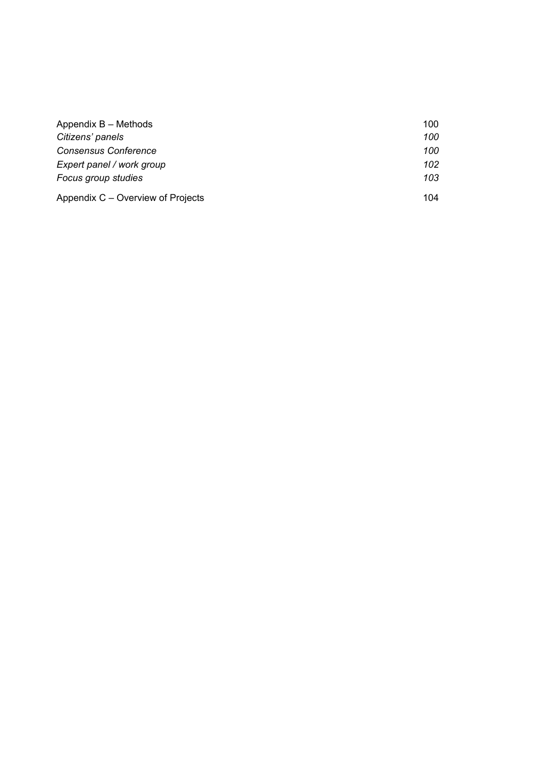| Appendix B - Methods              | 100 |
|-----------------------------------|-----|
| Citizens' panels                  | 100 |
| <b>Consensus Conference</b>       | 100 |
| Expert panel / work group         | 102 |
| Focus group studies               | 103 |
| Appendix C – Overview of Projects | 104 |
|                                   |     |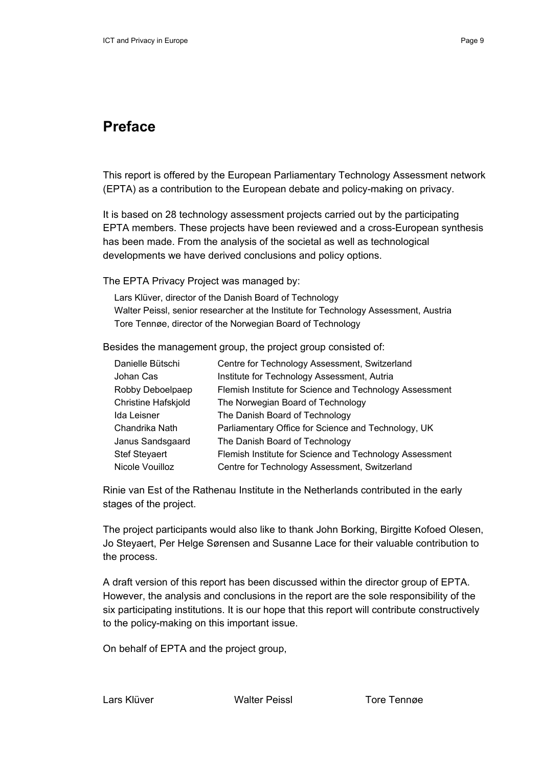## **Preface**

This report is offered by the European Parliamentary Technology Assessment network (EPTA) as a contribution to the European debate and policy-making on privacy.

It is based on 28 technology assessment projects carried out by the participating EPTA members. These projects have been reviewed and a cross-European synthesis has been made. From the analysis of the societal as well as technological developments we have derived conclusions and policy options.

The EPTA Privacy Project was managed by:

Lars Klüver, director of the Danish Board of Technology Walter Peissl, senior researcher at the Institute for Technology Assessment, Austria Tore Tennøe, director of the Norwegian Board of Technology

Besides the management group, the project group consisted of:

| Danielle Bütschi     | Centre for Technology Assessment, Switzerland           |
|----------------------|---------------------------------------------------------|
| Johan Cas            | Institute for Technology Assessment, Autria             |
| Robby Deboelpaep     | Flemish Institute for Science and Technology Assessment |
| Christine Hafskjold  | The Norwegian Board of Technology                       |
| Ida Leisner          | The Danish Board of Technology                          |
| Chandrika Nath       | Parliamentary Office for Science and Technology, UK     |
| Janus Sandsgaard     | The Danish Board of Technology                          |
| <b>Stef Steyaert</b> | Flemish Institute for Science and Technology Assessment |
| Nicole Vouilloz      | Centre for Technology Assessment, Switzerland           |

Rinie van Est of the Rathenau Institute in the Netherlands contributed in the early stages of the project.

The project participants would also like to thank John Borking, Birgitte Kofoed Olesen, Jo Steyaert, Per Helge Sørensen and Susanne Lace for their valuable contribution to the process.

A draft version of this report has been discussed within the director group of EPTA. However, the analysis and conclusions in the report are the sole responsibility of the six participating institutions. It is our hope that this report will contribute constructively to the policy-making on this important issue.

On behalf of EPTA and the project group,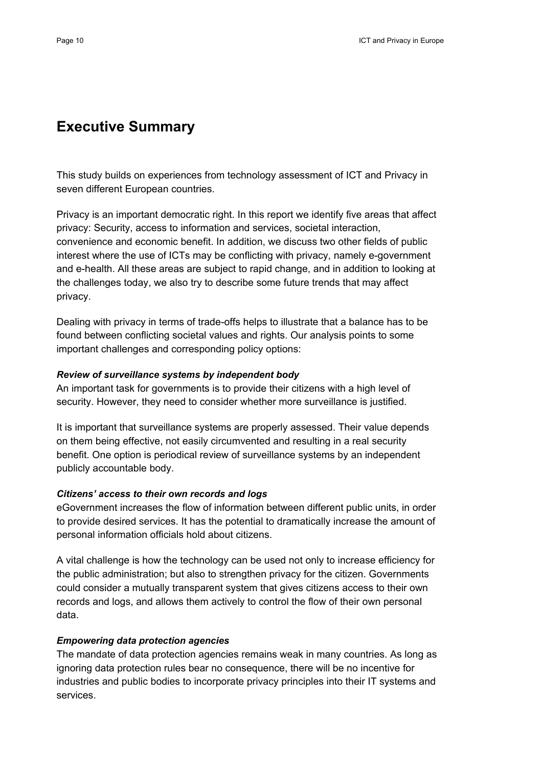## **Executive Summary**

This study builds on experiences from technology assessment of ICT and Privacy in seven different European countries.

Privacy is an important democratic right. In this report we identify five areas that affect privacy: Security, access to information and services, societal interaction, convenience and economic benefit. In addition, we discuss two other fields of public interest where the use of ICTs may be conflicting with privacy, namely e-government and e-health. All these areas are subject to rapid change, and in addition to looking at the challenges today, we also try to describe some future trends that may affect privacy.

Dealing with privacy in terms of trade-offs helps to illustrate that a balance has to be found between conflicting societal values and rights. Our analysis points to some important challenges and corresponding policy options:

#### *Review of surveillance systems by independent body*

An important task for governments is to provide their citizens with a high level of security. However, they need to consider whether more surveillance is justified.

It is important that surveillance systems are properly assessed. Their value depends on them being effective, not easily circumvented and resulting in a real security benefit. One option is periodical review of surveillance systems by an independent publicly accountable body.

## *Citizens' access to their own records and logs*

eGovernment increases the flow of information between different public units, in order to provide desired services. It has the potential to dramatically increase the amount of personal information officials hold about citizens.

A vital challenge is how the technology can be used not only to increase efficiency for the public administration; but also to strengthen privacy for the citizen. Governments could consider a mutually transparent system that gives citizens access to their own records and logs, and allows them actively to control the flow of their own personal data.

## *Empowering data protection agencies*

The mandate of data protection agencies remains weak in many countries. As long as ignoring data protection rules bear no consequence, there will be no incentive for industries and public bodies to incorporate privacy principles into their IT systems and services.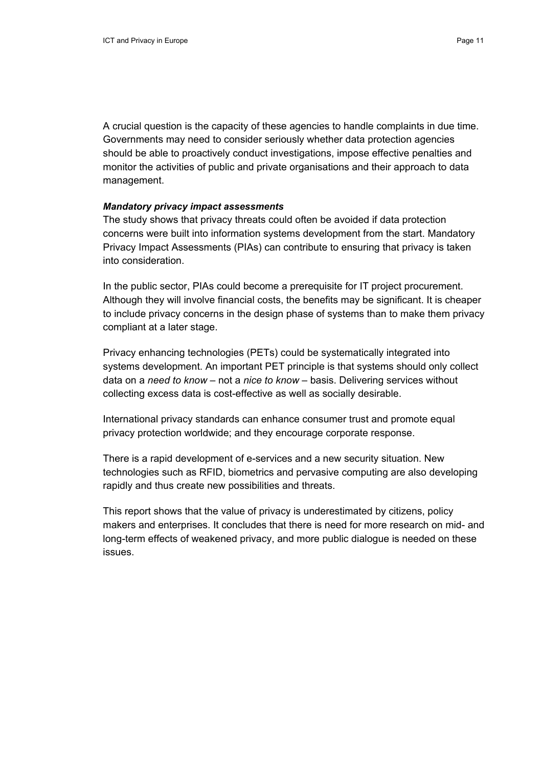A crucial question is the capacity of these agencies to handle complaints in due time. Governments may need to consider seriously whether data protection agencies should be able to proactively conduct investigations, impose effective penalties and monitor the activities of public and private organisations and their approach to data management.

#### *Mandatory privacy impact assessments*

The study shows that privacy threats could often be avoided if data protection concerns were built into information systems development from the start. Mandatory Privacy Impact Assessments (PIAs) can contribute to ensuring that privacy is taken into consideration.

In the public sector, PIAs could become a prerequisite for IT project procurement. Although they will involve financial costs, the benefits may be significant. It is cheaper to include privacy concerns in the design phase of systems than to make them privacy compliant at a later stage.

Privacy enhancing technologies (PETs) could be systematically integrated into systems development. An important PET principle is that systems should only collect data on a *need to know –* not a *nice to know –* basis. Delivering services without collecting excess data is cost-effective as well as socially desirable.

International privacy standards can enhance consumer trust and promote equal privacy protection worldwide; and they encourage corporate response.

There is a rapid development of e-services and a new security situation. New technologies such as RFID, biometrics and pervasive computing are also developing rapidly and thus create new possibilities and threats.

This report shows that the value of privacy is underestimated by citizens, policy makers and enterprises. It concludes that there is need for more research on mid- and long-term effects of weakened privacy, and more public dialogue is needed on these issues.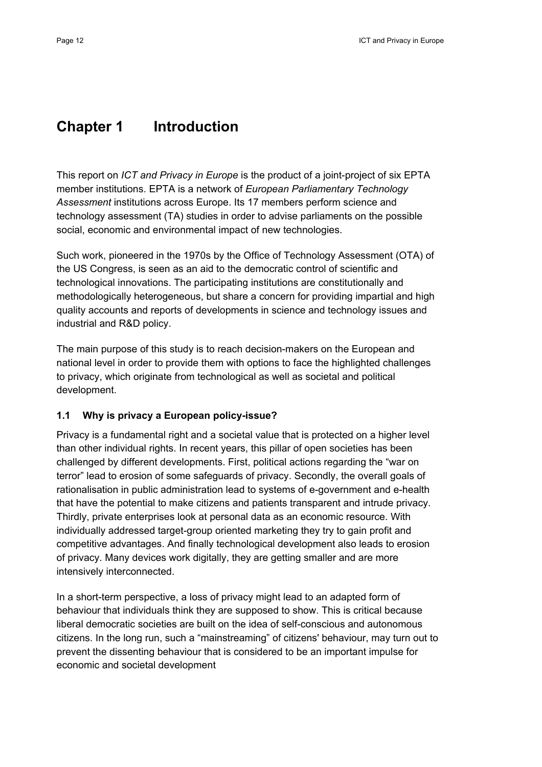## **Chapter 1 Introduction**

This report on *ICT and Privacy in Europe* is the product of a joint-project of six EPTA member institutions. EPTA is a network of *European Parliamentary Technology Assessment* institutions across Europe. Its 17 members perform science and technology assessment (TA) studies in order to advise parliaments on the possible social, economic and environmental impact of new technologies.

Such work, pioneered in the 1970s by the Office of Technology Assessment (OTA) of the US Congress, is seen as an aid to the democratic control of scientific and technological innovations. The participating institutions are constitutionally and methodologically heterogeneous, but share a concern for providing impartial and high quality accounts and reports of developments in science and technology issues and industrial and R&D policy.

The main purpose of this study is to reach decision-makers on the European and national level in order to provide them with options to face the highlighted challenges to privacy, which originate from technological as well as societal and political development.

## **1.1 Why is privacy a European policy-issue?**

Privacy is a fundamental right and a societal value that is protected on a higher level than other individual rights. In recent years, this pillar of open societies has been challenged by different developments. First, political actions regarding the "war on terror" lead to erosion of some safeguards of privacy. Secondly, the overall goals of rationalisation in public administration lead to systems of e-government and e-health that have the potential to make citizens and patients transparent and intrude privacy. Thirdly, private enterprises look at personal data as an economic resource. With individually addressed target-group oriented marketing they try to gain profit and competitive advantages. And finally technological development also leads to erosion of privacy. Many devices work digitally, they are getting smaller and are more intensively interconnected.

In a short-term perspective, a loss of privacy might lead to an adapted form of behaviour that individuals think they are supposed to show. This is critical because liberal democratic societies are built on the idea of self-conscious and autonomous citizens. In the long run, such a "mainstreaming" of citizens' behaviour, may turn out to prevent the dissenting behaviour that is considered to be an important impulse for economic and societal development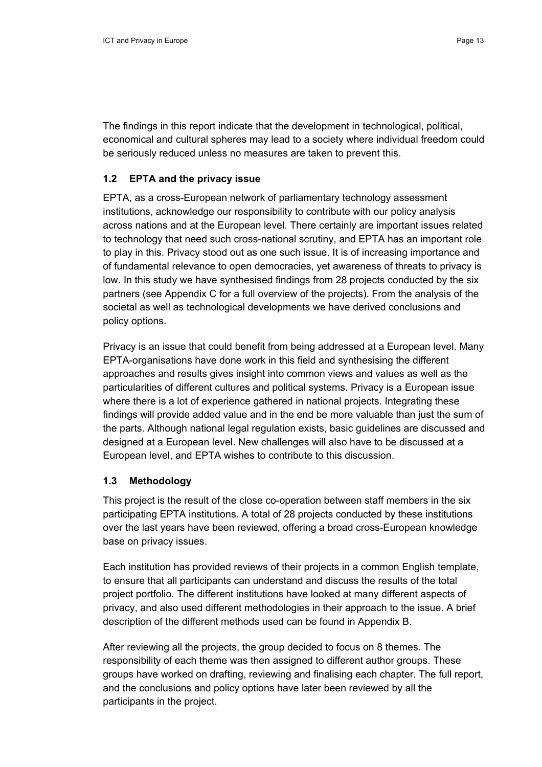The findings in this report indicate that the development in technological, political, economical and cultural spheres may lead to a society where individual freedom could be seriously reduced unless no measures are taken to prevent this.

### **1.2 EPTA and the privacy issue**

EPTA, as a cross-European network of parliamentary technology assessment institutions, acknowledge our responsibility to contribute with our policy analysis across nations and at the European level. There certainly are important issues related to technology that need such cross-national scrutiny, and EPTA has an important role to play in this. Privacy stood out as one such issue. It is of increasing importance and of fundamental relevance to open democracies, yet awareness of threats to privacy is low. In this study we have synthesised findings from 28 projects conducted by the six partners (see Appendix C for a full overview of the projects). From the analysis of the societal as well as technological developments we have derived conclusions and policy options.

Privacy is an issue that could benefit from being addressed at a European level. Many EPTA-organisations have done work in this field and synthesising the different approaches and results gives insight into common views and values as well as the particularities of different cultures and political systems. Privacy is a European issue where there is a lot of experience gathered in national projects. Integrating these findings will provide added value and in the end be more valuable than just the sum of the parts. Although national legal regulation exists, basic guidelines are discussed and designed at a European level. New challenges will also have to be discussed at a European level, and EPTA wishes to contribute to this discussion.

#### **1.3 Methodology**

This project is the result of the close co-operation between staff members in the six participating EPTA institutions. A total of 28 projects conducted by these institutions over the last years have been reviewed, offering a broad cross-European knowledge base on privacy issues.

Each institution has provided reviews of their projects in a common English template, to ensure that all participants can understand and discuss the results of the total project portfolio. The different institutions have looked at many different aspects of privacy, and also used different methodologies in their approach to the issue. A brief description of the different methods used can be found in Appendix B.

After reviewing all the projects, the group decided to focus on 8 themes. The responsibility of each theme was then assigned to different author groups. These groups have worked on drafting, reviewing and finalising each chapter. The full report, and the conclusions and policy options have later been reviewed by all the participants in the project.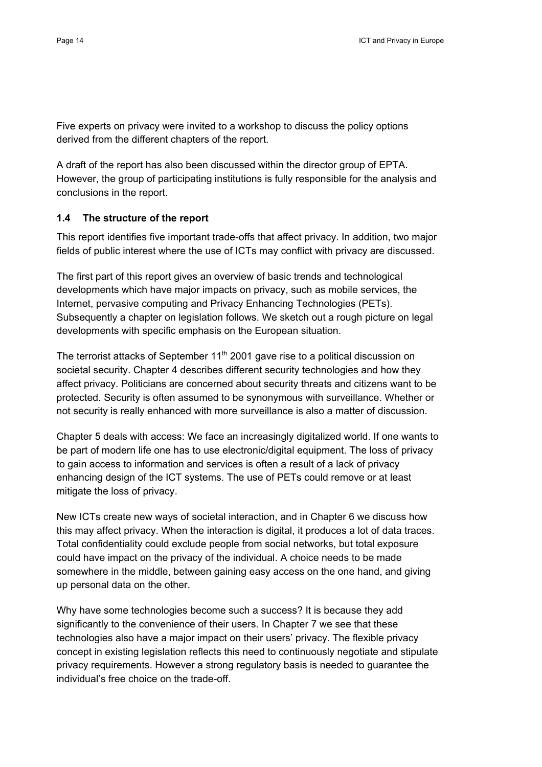Five experts on privacy were invited to a workshop to discuss the policy options derived from the different chapters of the report.

A draft of the report has also been discussed within the director group of EPTA. However, the group of participating institutions is fully responsible for the analysis and conclusions in the report.

## **1.4 The structure of the report**

This report identifies five important trade-offs that affect privacy. In addition, two major fields of public interest where the use of ICTs may conflict with privacy are discussed.

The first part of this report gives an overview of basic trends and technological developments which have major impacts on privacy, such as mobile services, the Internet, pervasive computing and Privacy Enhancing Technologies (PETs). Subsequently a chapter on legislation follows. We sketch out a rough picture on legal developments with specific emphasis on the European situation.

The terrorist attacks of September  $11<sup>th</sup>$  2001 gave rise to a political discussion on societal security. Chapter 4 describes different security technologies and how they affect privacy. Politicians are concerned about security threats and citizens want to be protected. Security is often assumed to be synonymous with surveillance. Whether or not security is really enhanced with more surveillance is also a matter of discussion.

Chapter 5 deals with access: We face an increasingly digitalized world. If one wants to be part of modern life one has to use electronic/digital equipment. The loss of privacy to gain access to information and services is often a result of a lack of privacy enhancing design of the ICT systems. The use of PETs could remove or at least mitigate the loss of privacy.

New ICTs create new ways of societal interaction, and in Chapter 6 we discuss how this may affect privacy. When the interaction is digital, it produces a lot of data traces. Total confidentiality could exclude people from social networks, but total exposure could have impact on the privacy of the individual. A choice needs to be made somewhere in the middle, between gaining easy access on the one hand, and giving up personal data on the other.

Why have some technologies become such a success? It is because they add significantly to the convenience of their users. In Chapter 7 we see that these technologies also have a major impact on their users' privacy. The flexible privacy concept in existing legislation reflects this need to continuously negotiate and stipulate privacy requirements. However a strong regulatory basis is needed to guarantee the individual's free choice on the trade-off.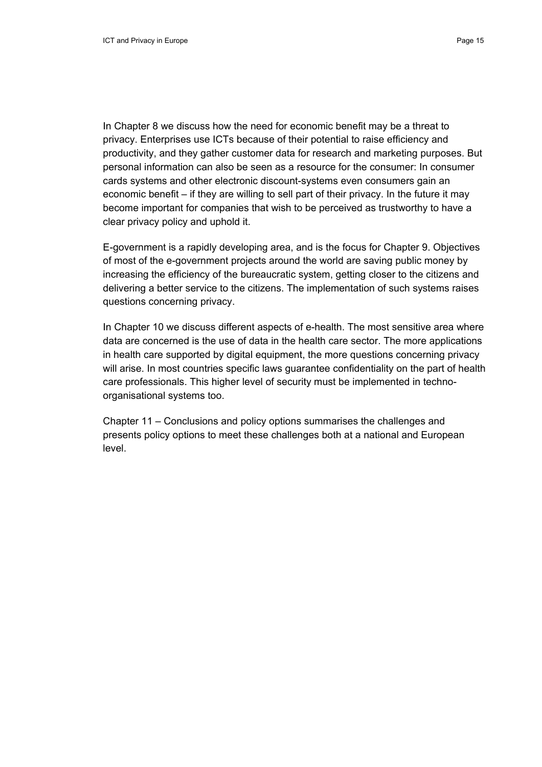In Chapter 8 we discuss how the need for economic benefit may be a threat to privacy. Enterprises use ICTs because of their potential to raise efficiency and productivity, and they gather customer data for research and marketing purposes. But personal information can also be seen as a resource for the consumer: In consumer cards systems and other electronic discount-systems even consumers gain an economic benefit – if they are willing to sell part of their privacy. In the future it may become important for companies that wish to be perceived as trustworthy to have a clear privacy policy and uphold it.

E-government is a rapidly developing area, and is the focus for Chapter 9. Objectives of most of the e-government projects around the world are saving public money by increasing the efficiency of the bureaucratic system, getting closer to the citizens and delivering a better service to the citizens. The implementation of such systems raises questions concerning privacy.

In Chapter 10 we discuss different aspects of e-health. The most sensitive area where data are concerned is the use of data in the health care sector. The more applications in health care supported by digital equipment, the more questions concerning privacy will arise. In most countries specific laws guarantee confidentiality on the part of health care professionals. This higher level of security must be implemented in technoorganisational systems too.

Chapter 11 – Conclusions and policy options summarises the challenges and presents policy options to meet these challenges both at a national and European level.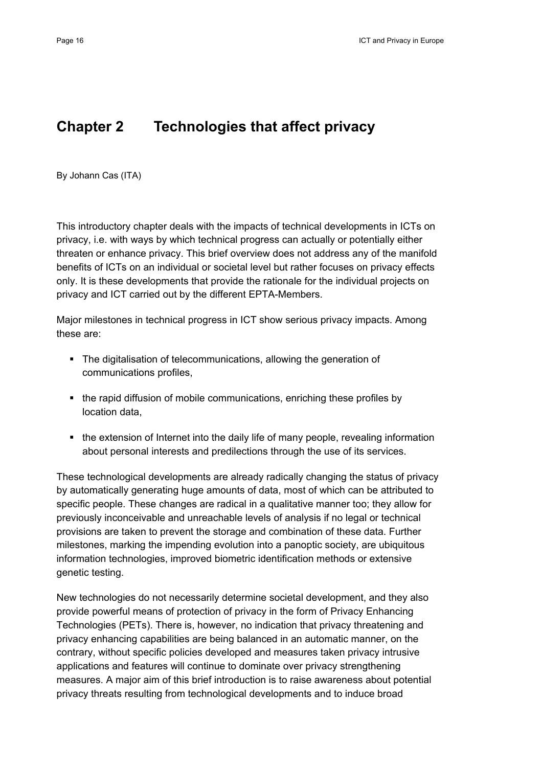## **Chapter 2 Technologies that affect privacy**

By Johann Cas (ITA)

This introductory chapter deals with the impacts of technical developments in ICTs on privacy, i.e. with ways by which technical progress can actually or potentially either threaten or enhance privacy. This brief overview does not address any of the manifold benefits of ICTs on an individual or societal level but rather focuses on privacy effects only. It is these developments that provide the rationale for the individual projects on privacy and ICT carried out by the different EPTA-Members.

Major milestones in technical progress in ICT show serious privacy impacts. Among these are:

- The digitalisation of telecommunications, allowing the generation of communications profiles,
- the rapid diffusion of mobile communications, enriching these profiles by location data,
- the extension of Internet into the daily life of many people, revealing information about personal interests and predilections through the use of its services.

These technological developments are already radically changing the status of privacy by automatically generating huge amounts of data, most of which can be attributed to specific people. These changes are radical in a qualitative manner too; they allow for previously inconceivable and unreachable levels of analysis if no legal or technical provisions are taken to prevent the storage and combination of these data. Further milestones, marking the impending evolution into a panoptic society, are ubiquitous information technologies, improved biometric identification methods or extensive genetic testing.

New technologies do not necessarily determine societal development, and they also provide powerful means of protection of privacy in the form of Privacy Enhancing Technologies (PETs). There is, however, no indication that privacy threatening and privacy enhancing capabilities are being balanced in an automatic manner, on the contrary, without specific policies developed and measures taken privacy intrusive applications and features will continue to dominate over privacy strengthening measures. A major aim of this brief introduction is to raise awareness about potential privacy threats resulting from technological developments and to induce broad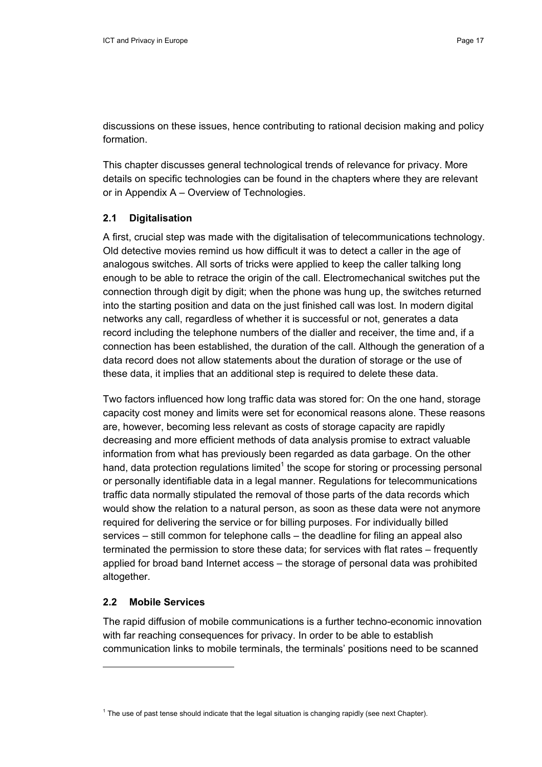discussions on these issues, hence contributing to rational decision making and policy formation.

This chapter discusses general technological trends of relevance for privacy. More details on specific technologies can be found in the chapters where they are relevant or in Appendix A – Overview of Technologies.

## **2.1 Digitalisation**

A first, crucial step was made with the digitalisation of telecommunications technology. Old detective movies remind us how difficult it was to detect a caller in the age of analogous switches. All sorts of tricks were applied to keep the caller talking long enough to be able to retrace the origin of the call. Electromechanical switches put the connection through digit by digit; when the phone was hung up, the switches returned into the starting position and data on the just finished call was lost. In modern digital networks any call, regardless of whether it is successful or not, generates a data record including the telephone numbers of the dialler and receiver, the time and, if a connection has been established, the duration of the call. Although the generation of a data record does not allow statements about the duration of storage or the use of these data, it implies that an additional step is required to delete these data.

Two factors influenced how long traffic data was stored for: On the one hand, storage capacity cost money and limits were set for economical reasons alone. These reasons are, however, becoming less relevant as costs of storage capacity are rapidly decreasing and more efficient methods of data analysis promise to extract valuable information from what has previously been regarded as data garbage. On the other hand, data protection regulations limited $1$  the scope for storing or processing personal or personally identifiable data in a legal manner. Regulations for telecommunications traffic data normally stipulated the removal of those parts of the data records which would show the relation to a natural person, as soon as these data were not anymore required for delivering the service or for billing purposes. For individually billed services – still common for telephone calls – the deadline for filing an appeal also terminated the permission to store these data; for services with flat rates – frequently applied for broad band Internet access – the storage of personal data was prohibited altogether.

## **2.2 Mobile Services**

The rapid diffusion of mobile communications is a further techno-economic innovation with far reaching consequences for privacy. In order to be able to establish communication links to mobile terminals, the terminals' positions need to be scanned

 $1$  The use of past tense should indicate that the legal situation is changing rapidly (see next Chapter).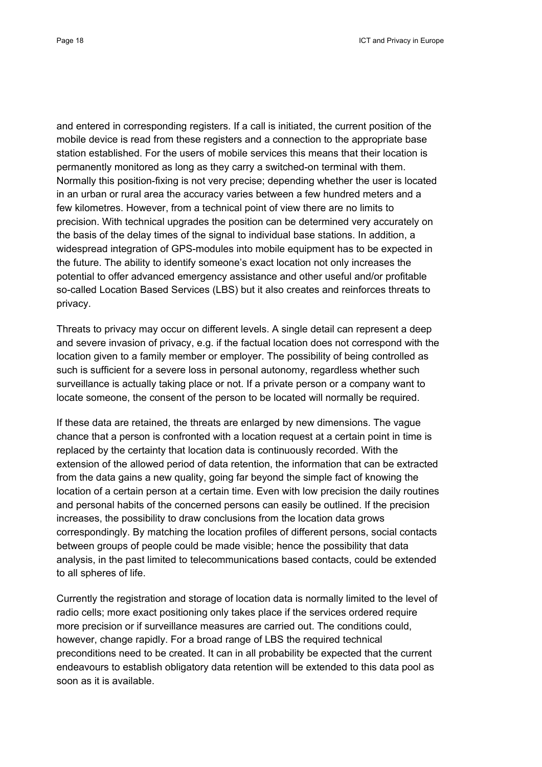and entered in corresponding registers. If a call is initiated, the current position of the mobile device is read from these registers and a connection to the appropriate base station established. For the users of mobile services this means that their location is permanently monitored as long as they carry a switched-on terminal with them. Normally this position-fixing is not very precise; depending whether the user is located in an urban or rural area the accuracy varies between a few hundred meters and a few kilometres. However, from a technical point of view there are no limits to precision. With technical upgrades the position can be determined very accurately on the basis of the delay times of the signal to individual base stations. In addition, a widespread integration of GPS-modules into mobile equipment has to be expected in the future. The ability to identify someone's exact location not only increases the potential to offer advanced emergency assistance and other useful and/or profitable so-called Location Based Services (LBS) but it also creates and reinforces threats to privacy.

Threats to privacy may occur on different levels. A single detail can represent a deep and severe invasion of privacy, e.g. if the factual location does not correspond with the location given to a family member or employer. The possibility of being controlled as such is sufficient for a severe loss in personal autonomy, regardless whether such surveillance is actually taking place or not. If a private person or a company want to locate someone, the consent of the person to be located will normally be required.

If these data are retained, the threats are enlarged by new dimensions. The vague chance that a person is confronted with a location request at a certain point in time is replaced by the certainty that location data is continuously recorded. With the extension of the allowed period of data retention, the information that can be extracted from the data gains a new quality, going far beyond the simple fact of knowing the location of a certain person at a certain time. Even with low precision the daily routines and personal habits of the concerned persons can easily be outlined. If the precision increases, the possibility to draw conclusions from the location data grows correspondingly. By matching the location profiles of different persons, social contacts between groups of people could be made visible; hence the possibility that data analysis, in the past limited to telecommunications based contacts, could be extended to all spheres of life.

Currently the registration and storage of location data is normally limited to the level of radio cells; more exact positioning only takes place if the services ordered require more precision or if surveillance measures are carried out. The conditions could, however, change rapidly. For a broad range of LBS the required technical preconditions need to be created. It can in all probability be expected that the current endeavours to establish obligatory data retention will be extended to this data pool as soon as it is available.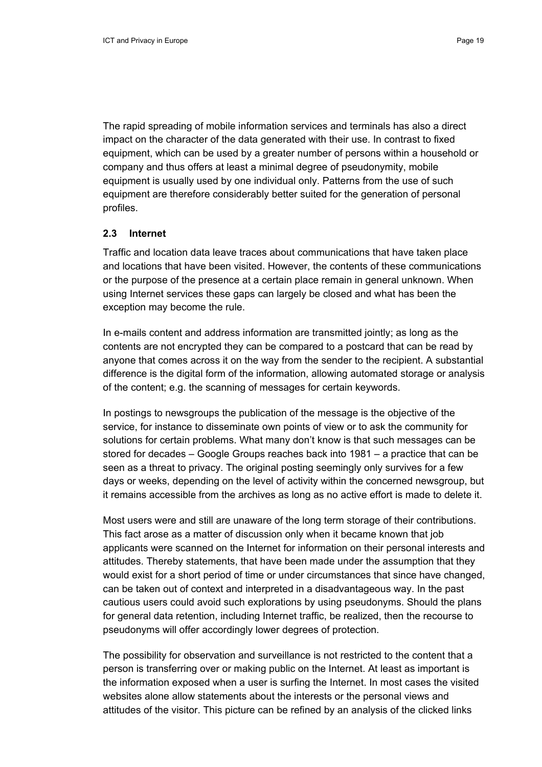The rapid spreading of mobile information services and terminals has also a direct impact on the character of the data generated with their use. In contrast to fixed equipment, which can be used by a greater number of persons within a household or company and thus offers at least a minimal degree of pseudonymity, mobile equipment is usually used by one individual only. Patterns from the use of such equipment are therefore considerably better suited for the generation of personal profiles.

#### **2.3 Internet**

Traffic and location data leave traces about communications that have taken place and locations that have been visited. However, the contents of these communications or the purpose of the presence at a certain place remain in general unknown. When using Internet services these gaps can largely be closed and what has been the exception may become the rule.

In e-mails content and address information are transmitted jointly; as long as the contents are not encrypted they can be compared to a postcard that can be read by anyone that comes across it on the way from the sender to the recipient. A substantial difference is the digital form of the information, allowing automated storage or analysis of the content; e.g. the scanning of messages for certain keywords.

In postings to newsgroups the publication of the message is the objective of the service, for instance to disseminate own points of view or to ask the community for solutions for certain problems. What many don't know is that such messages can be stored for decades – Google Groups reaches back into 1981 – a practice that can be seen as a threat to privacy. The original posting seemingly only survives for a few days or weeks, depending on the level of activity within the concerned newsgroup, but it remains accessible from the archives as long as no active effort is made to delete it.

Most users were and still are unaware of the long term storage of their contributions. This fact arose as a matter of discussion only when it became known that job applicants were scanned on the Internet for information on their personal interests and attitudes. Thereby statements, that have been made under the assumption that they would exist for a short period of time or under circumstances that since have changed, can be taken out of context and interpreted in a disadvantageous way. In the past cautious users could avoid such explorations by using pseudonyms. Should the plans for general data retention, including Internet traffic, be realized, then the recourse to pseudonyms will offer accordingly lower degrees of protection.

The possibility for observation and surveillance is not restricted to the content that a person is transferring over or making public on the Internet. At least as important is the information exposed when a user is surfing the Internet. In most cases the visited websites alone allow statements about the interests or the personal views and attitudes of the visitor. This picture can be refined by an analysis of the clicked links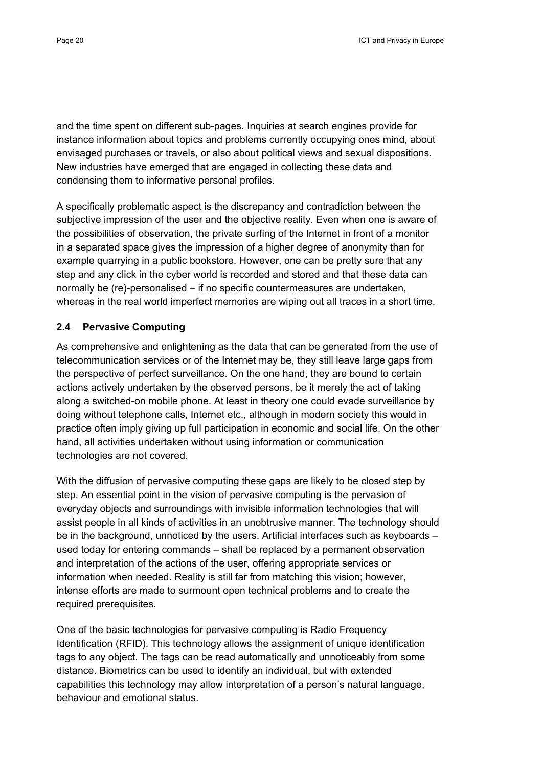and the time spent on different sub-pages. Inquiries at search engines provide for instance information about topics and problems currently occupying ones mind, about envisaged purchases or travels, or also about political views and sexual dispositions. New industries have emerged that are engaged in collecting these data and condensing them to informative personal profiles.

A specifically problematic aspect is the discrepancy and contradiction between the subjective impression of the user and the objective reality. Even when one is aware of the possibilities of observation, the private surfing of the Internet in front of a monitor in a separated space gives the impression of a higher degree of anonymity than for example quarrying in a public bookstore. However, one can be pretty sure that any step and any click in the cyber world is recorded and stored and that these data can normally be (re)-personalised – if no specific countermeasures are undertaken, whereas in the real world imperfect memories are wiping out all traces in a short time.

## **2.4 Pervasive Computing**

As comprehensive and enlightening as the data that can be generated from the use of telecommunication services or of the Internet may be, they still leave large gaps from the perspective of perfect surveillance. On the one hand, they are bound to certain actions actively undertaken by the observed persons, be it merely the act of taking along a switched-on mobile phone. At least in theory one could evade surveillance by doing without telephone calls, Internet etc., although in modern society this would in practice often imply giving up full participation in economic and social life. On the other hand, all activities undertaken without using information or communication technologies are not covered.

With the diffusion of pervasive computing these gaps are likely to be closed step by step. An essential point in the vision of pervasive computing is the pervasion of everyday objects and surroundings with invisible information technologies that will assist people in all kinds of activities in an unobtrusive manner. The technology should be in the background, unnoticed by the users. Artificial interfaces such as keyboards – used today for entering commands – shall be replaced by a permanent observation and interpretation of the actions of the user, offering appropriate services or information when needed. Reality is still far from matching this vision; however, intense efforts are made to surmount open technical problems and to create the required prerequisites.

One of the basic technologies for pervasive computing is Radio Frequency Identification (RFID). This technology allows the assignment of unique identification tags to any object. The tags can be read automatically and unnoticeably from some distance. Biometrics can be used to identify an individual, but with extended capabilities this technology may allow interpretation of a person's natural language, behaviour and emotional status.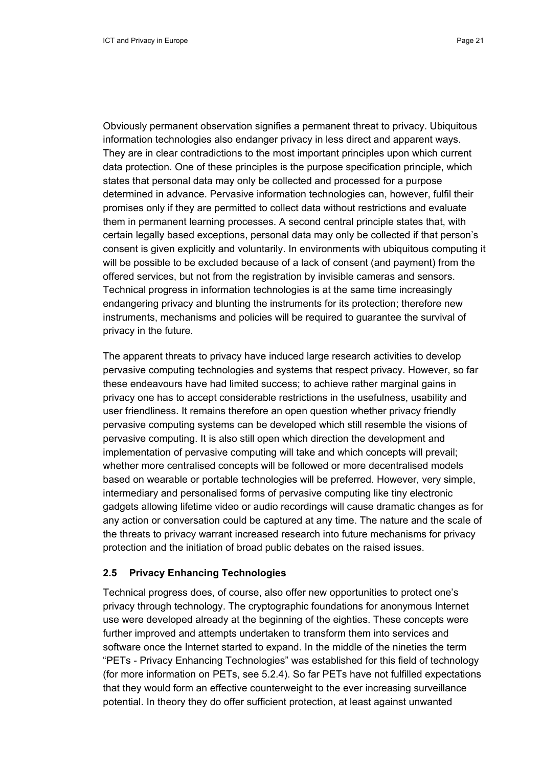Obviously permanent observation signifies a permanent threat to privacy. Ubiquitous information technologies also endanger privacy in less direct and apparent ways. They are in clear contradictions to the most important principles upon which current data protection. One of these principles is the purpose specification principle, which states that personal data may only be collected and processed for a purpose determined in advance. Pervasive information technologies can, however, fulfil their promises only if they are permitted to collect data without restrictions and evaluate them in permanent learning processes. A second central principle states that, with certain legally based exceptions, personal data may only be collected if that person's consent is given explicitly and voluntarily. In environments with ubiquitous computing it will be possible to be excluded because of a lack of consent (and payment) from the offered services, but not from the registration by invisible cameras and sensors. Technical progress in information technologies is at the same time increasingly endangering privacy and blunting the instruments for its protection; therefore new instruments, mechanisms and policies will be required to guarantee the survival of privacy in the future.

The apparent threats to privacy have induced large research activities to develop pervasive computing technologies and systems that respect privacy. However, so far these endeavours have had limited success; to achieve rather marginal gains in privacy one has to accept considerable restrictions in the usefulness, usability and user friendliness. It remains therefore an open question whether privacy friendly pervasive computing systems can be developed which still resemble the visions of pervasive computing. It is also still open which direction the development and implementation of pervasive computing will take and which concepts will prevail; whether more centralised concepts will be followed or more decentralised models based on wearable or portable technologies will be preferred. However, very simple, intermediary and personalised forms of pervasive computing like tiny electronic gadgets allowing lifetime video or audio recordings will cause dramatic changes as for any action or conversation could be captured at any time. The nature and the scale of the threats to privacy warrant increased research into future mechanisms for privacy protection and the initiation of broad public debates on the raised issues.

#### **2.5 Privacy Enhancing Technologies**

Technical progress does, of course, also offer new opportunities to protect one's privacy through technology. The cryptographic foundations for anonymous Internet use were developed already at the beginning of the eighties. These concepts were further improved and attempts undertaken to transform them into services and software once the Internet started to expand. In the middle of the nineties the term "PETs - Privacy Enhancing Technologies" was established for this field of technology (for more information on PETs, see 5.2.4). So far PETs have not fulfilled expectations that they would form an effective counterweight to the ever increasing surveillance potential. In theory they do offer sufficient protection, at least against unwanted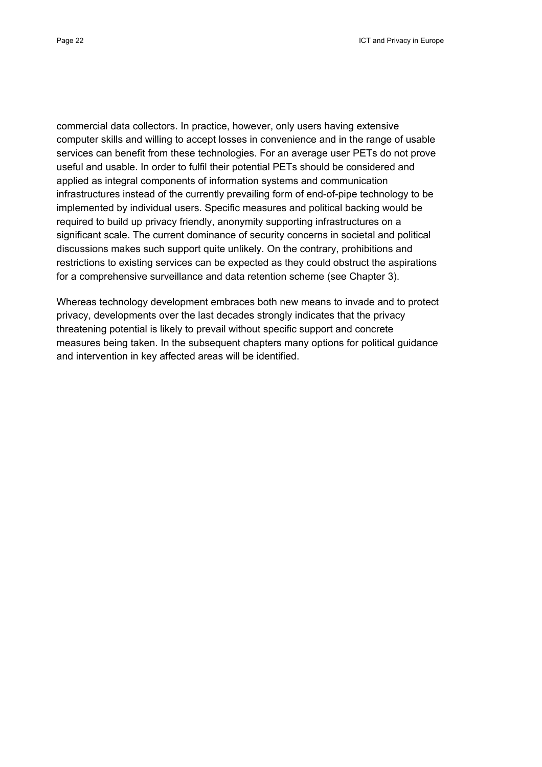commercial data collectors. In practice, however, only users having extensive computer skills and willing to accept losses in convenience and in the range of usable services can benefit from these technologies. For an average user PETs do not prove useful and usable. In order to fulfil their potential PETs should be considered and applied as integral components of information systems and communication infrastructures instead of the currently prevailing form of end-of-pipe technology to be implemented by individual users. Specific measures and political backing would be required to build up privacy friendly, anonymity supporting infrastructures on a significant scale. The current dominance of security concerns in societal and political discussions makes such support quite unlikely. On the contrary, prohibitions and restrictions to existing services can be expected as they could obstruct the aspirations for a comprehensive surveillance and data retention scheme (see Chapter 3).

Whereas technology development embraces both new means to invade and to protect privacy, developments over the last decades strongly indicates that the privacy threatening potential is likely to prevail without specific support and concrete measures being taken. In the subsequent chapters many options for political guidance and intervention in key affected areas will be identified.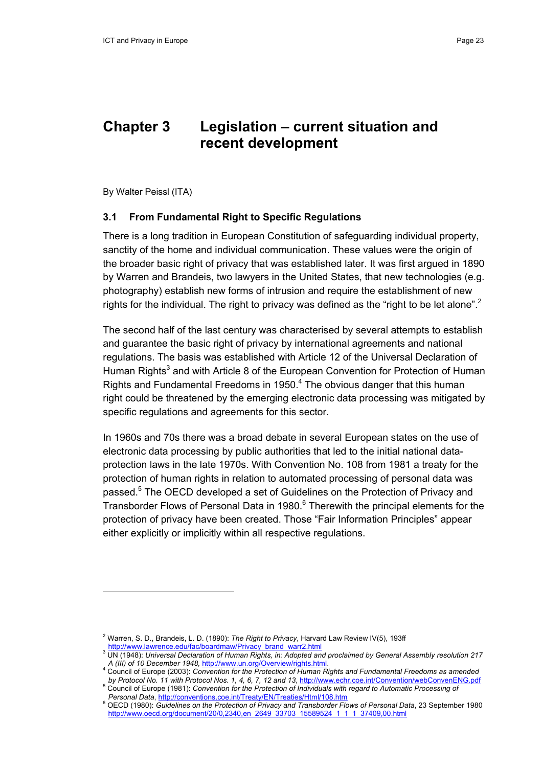## **Chapter 3 Legislation – current situation and recent development**

By Walter Peissl (ITA)

#### **3.1 From Fundamental Right to Specific Regulations**

There is a long tradition in European Constitution of safeguarding individual property, sanctity of the home and individual communication. These values were the origin of the broader basic right of privacy that was established later. It was first argued in 1890 by Warren and Brandeis, two lawyers in the United States, that new technologies (e.g. photography) establish new forms of intrusion and require the establishment of new rights for the individual. The right to privacy was defined as the "right to be let alone".<sup>2</sup>

The second half of the last century was characterised by several attempts to establish and guarantee the basic right of privacy by international agreements and national regulations. The basis was established with Article 12 of the Universal Declaration of Human Rights<sup>3</sup> and with Article 8 of the European Convention for Protection of Human Rights and Fundamental Freedoms in 1950. $<sup>4</sup>$  The obvious danger that this human</sup> right could be threatened by the emerging electronic data processing was mitigated by specific regulations and agreements for this sector.

In 1960s and 70s there was a broad debate in several European states on the use of electronic data processing by public authorities that led to the initial national dataprotection laws in the late 1970s. With Convention No. 108 from 1981 a treaty for the protection of human rights in relation to automated processing of personal data was passed.<sup>5</sup> The OECD developed a set of Guidelines on the Protection of Privacy and Transborder Flows of Personal Data in 1980.<sup>6</sup> Therewith the principal elements for the protection of privacy have been created. Those "Fair Information Principles" appear either explicitly or implicitly within all respective regulations.

<sup>2</sup> Warren, S. D., Brandeis, L. D. (1890): *The Right to Privacy*, Harvard Law Review IV(5), 193ff

<sup>, &</sup>lt;u>http://www.lawrence.edu/fac/boardmaw/Privacy\_brand\_warr2.html</u><br><sup>3</sup> UN (1948): *Universal Declaration of Human Rights, in: Adopted and proclaimed by General Assembly resolution 217 A (III) of 10 December 1948,* http://www.un.org/Overview/rights.html. 4

<sup>&</sup>lt;sup>4</sup> Council of Europe (2003): *Convention for the Protection of Human Rights and Fundamental Freedoms as amended by Protocol No. 11 with Protocol Nos. 1, 4, 6, 7, 12 and 13*, http://www.echr.coe.int/Convention/webConvenENG.pdf 5

<sup>&</sup>lt;sup>5</sup> Council of Europe (1981): Convention for the Protection of Individuals with regard to Automatic Processing of *Personal Data*, http://conventions.coe.int/Treaty/EN/Treaties/Html/108.htm 6

OECD (1980): *Guidelines on the Protection of Privacy and Transborder Flows of Personal Data*, 23 September 1980 http://www.oecd.org/document/20/0,2340,en\_2649\_33703\_15589524\_1\_1\_1\_37409,00.html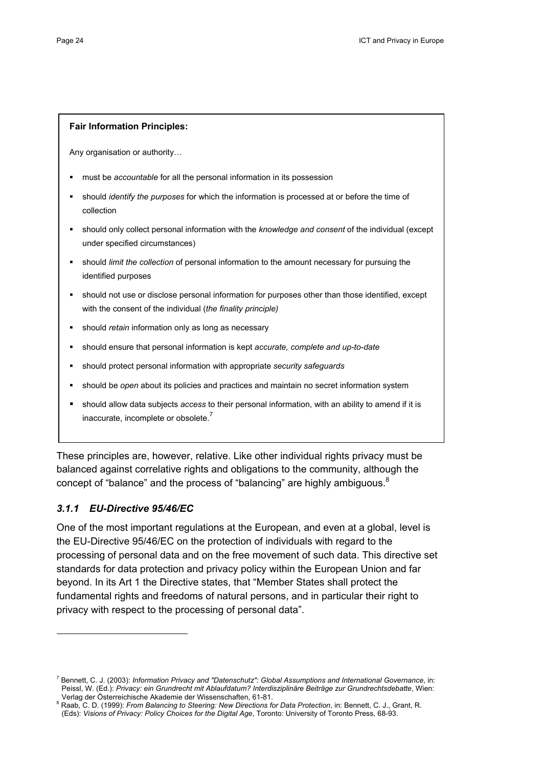#### **Fair Information Principles:**

Any organisation or authority…

- must be *accountable* for all the personal information in its possession
- should *identify the purposes* for which the information is processed at or before the time of collection
- should only collect personal information with the *knowledge and consent* of the individual (except under specified circumstances)
- should *limit the collection* of personal information to the amount necessary for pursuing the identified purposes
- should not use or disclose personal information for purposes other than those identified, except with the consent of the individual (*the finality principle)*
- should *retain* information only as long as necessary
- should ensure that personal information is kept *accurate, complete and up-to-date*
- should protect personal information with appropriate *security safeguards*
- should be *open* about its policies and practices and maintain no secret information system
- should allow data subjects *access* to their personal information, with an ability to amend if it is inaccurate, incomplete or obsolete.<sup>7</sup>

These principles are, however, relative. Like other individual rights privacy must be balanced against correlative rights and obligations to the community, although the concept of "balance" and the process of "balancing" are highly ambiguous. $8$ 

## *3.1.1 EU-Directive 95/46/EC*

One of the most important regulations at the European, and even at a global, level is the EU-Directive 95/46/EC on the protection of individuals with regard to the processing of personal data and on the free movement of such data. This directive set standards for data protection and privacy policy within the European Union and far beyond. In its Art 1 the Directive states, that "Member States shall protect the fundamental rights and freedoms of natural persons, and in particular their right to privacy with respect to the processing of personal data".

<sup>7</sup> Bennett, C. J. (2003): *Information Privacy and "Datenschutz": Global Assumptions and International Governance*, in: Peissl, W. (Ed.): *Privacy: ein Grundrecht mit Ablaufdatum? Interdisziplinäre Beiträge zur Grundrechtsdebatte*, Wien: Verlag der Österreichische Akademie der Wissenschaften, 61-81.

<sup>&</sup>lt;sup>8</sup> Raab, C. D. (1999): *From Balancing to Steering: New Directions for Data Protection*, in: Bennett, C. J., Grant, R. (Eds): *Visions of Privacy: Policy Choices for the Digital Age*, Toronto: University of Toronto Press, 68-93.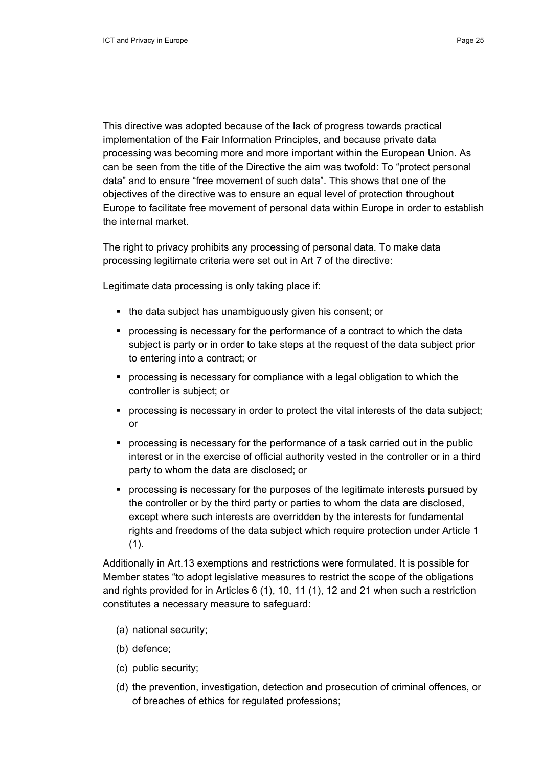This directive was adopted because of the lack of progress towards practical implementation of the Fair Information Principles, and because private data processing was becoming more and more important within the European Union. As can be seen from the title of the Directive the aim was twofold: To "protect personal data" and to ensure "free movement of such data". This shows that one of the objectives of the directive was to ensure an equal level of protection throughout Europe to facilitate free movement of personal data within Europe in order to establish the internal market.

The right to privacy prohibits any processing of personal data. To make data processing legitimate criteria were set out in Art 7 of the directive:

Legitimate data processing is only taking place if:

- the data subject has unambiguously given his consent; or
- **•** processing is necessary for the performance of a contract to which the data subject is party or in order to take steps at the request of the data subject prior to entering into a contract; or
- processing is necessary for compliance with a legal obligation to which the controller is subject; or
- processing is necessary in order to protect the vital interests of the data subject; or
- processing is necessary for the performance of a task carried out in the public interest or in the exercise of official authority vested in the controller or in a third party to whom the data are disclosed; or
- **•** processing is necessary for the purposes of the legitimate interests pursued by the controller or by the third party or parties to whom the data are disclosed, except where such interests are overridden by the interests for fundamental rights and freedoms of the data subject which require protection under Article 1 (1).

Additionally in Art.13 exemptions and restrictions were formulated. It is possible for Member states "to adopt legislative measures to restrict the scope of the obligations and rights provided for in Articles 6 (1), 10, 11 (1), 12 and 21 when such a restriction constitutes a necessary measure to safeguard:

- (a) national security;
- (b) defence;
- (c) public security;
- (d) the prevention, investigation, detection and prosecution of criminal offences, or of breaches of ethics for regulated professions;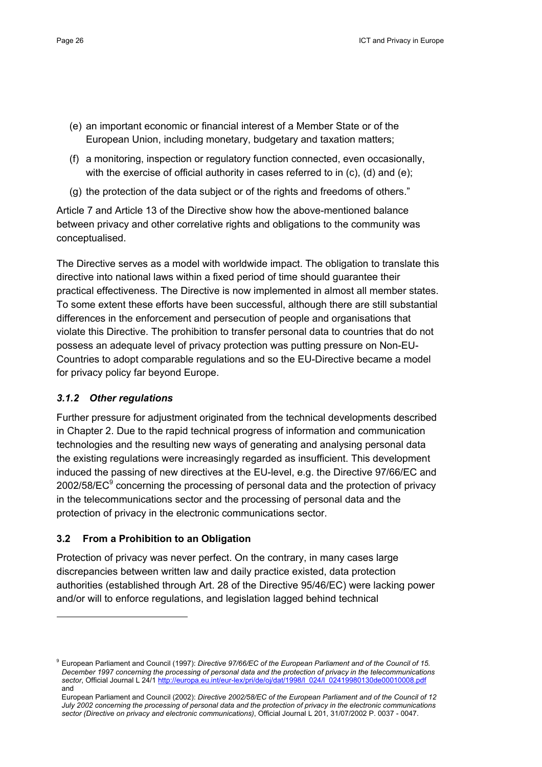- (e) an important economic or financial interest of a Member State or of the European Union, including monetary, budgetary and taxation matters;
- (f) a monitoring, inspection or regulatory function connected, even occasionally, with the exercise of official authority in cases referred to in (c), (d) and (e);
- (g) the protection of the data subject or of the rights and freedoms of others."

Article 7 and Article 13 of the Directive show how the above-mentioned balance between privacy and other correlative rights and obligations to the community was conceptualised.

The Directive serves as a model with worldwide impact. The obligation to translate this directive into national laws within a fixed period of time should guarantee their practical effectiveness. The Directive is now implemented in almost all member states. To some extent these efforts have been successful, although there are still substantial differences in the enforcement and persecution of people and organisations that violate this Directive. The prohibition to transfer personal data to countries that do not possess an adequate level of privacy protection was putting pressure on Non-EU-Countries to adopt comparable regulations and so the EU-Directive became a model for privacy policy far beyond Europe.

## *3.1.2 Other regulations*

Further pressure for adjustment originated from the technical developments described in Chapter 2. Due to the rapid technical progress of information and communication technologies and the resulting new ways of generating and analysing personal data the existing regulations were increasingly regarded as insufficient. This development induced the passing of new directives at the EU-level, e.g. the Directive 97/66/EC and 2002/58/EC $^9$  concerning the processing of personal data and the protection of privacy in the telecommunications sector and the processing of personal data and the protection of privacy in the electronic communications sector.

## **3.2 From a Prohibition to an Obligation**

Protection of privacy was never perfect. On the contrary, in many cases large discrepancies between written law and daily practice existed, data protection authorities (established through Art. 28 of the Directive 95/46/EC) were lacking power and/or will to enforce regulations, and legislation lagged behind technical

<sup>9</sup> European Parliament and Council (1997): *Directive 97/66/EC of the European Parliament and of the Council of 15. December 1997 concerning the processing of personal data and the protection of privacy in the telecommunications sector*, Official Journal L 24/1 http://europa.eu.int/eur-lex/pri/de/oj/dat/1998/l\_024/l\_02419980130de00010008.pdf and

European Parliament and Council (2002): *Directive 2002/58/EC of the European Parliament and of the Council of 12 July 2002 concerning the processing of personal data and the protection of privacy in the electronic communications sector (Directive on privacy and electronic communications)*, Official Journal L 201, 31/07/2002 P. 0037 - 0047.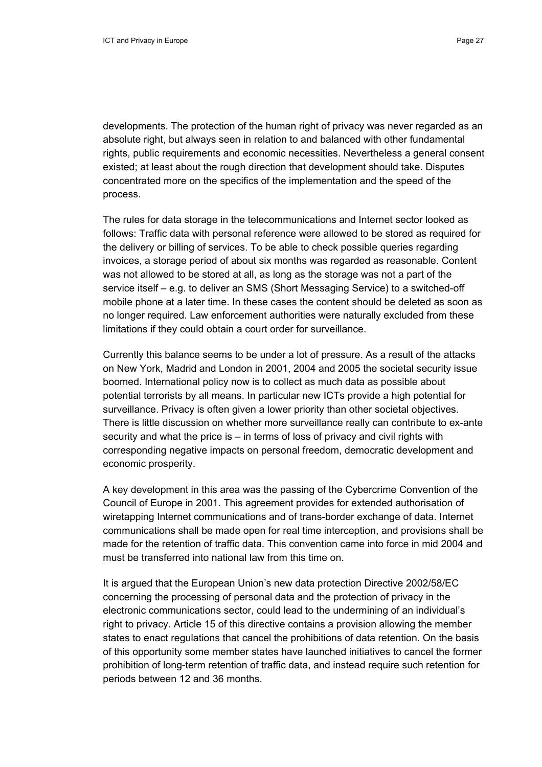developments. The protection of the human right of privacy was never regarded as an absolute right, but always seen in relation to and balanced with other fundamental rights, public requirements and economic necessities. Nevertheless a general consent existed; at least about the rough direction that development should take. Disputes concentrated more on the specifics of the implementation and the speed of the process.

The rules for data storage in the telecommunications and Internet sector looked as follows: Traffic data with personal reference were allowed to be stored as required for the delivery or billing of services. To be able to check possible queries regarding invoices, a storage period of about six months was regarded as reasonable. Content was not allowed to be stored at all, as long as the storage was not a part of the service itself – e.g. to deliver an SMS (Short Messaging Service) to a switched-off mobile phone at a later time. In these cases the content should be deleted as soon as no longer required. Law enforcement authorities were naturally excluded from these limitations if they could obtain a court order for surveillance.

Currently this balance seems to be under a lot of pressure. As a result of the attacks on New York, Madrid and London in 2001, 2004 and 2005 the societal security issue boomed. International policy now is to collect as much data as possible about potential terrorists by all means. In particular new ICTs provide a high potential for surveillance. Privacy is often given a lower priority than other societal objectives. There is little discussion on whether more surveillance really can contribute to ex-ante security and what the price is – in terms of loss of privacy and civil rights with corresponding negative impacts on personal freedom, democratic development and economic prosperity.

A key development in this area was the passing of the Cybercrime Convention of the Council of Europe in 2001. This agreement provides for extended authorisation of wiretapping Internet communications and of trans-border exchange of data. Internet communications shall be made open for real time interception, and provisions shall be made for the retention of traffic data. This convention came into force in mid 2004 and must be transferred into national law from this time on.

It is argued that the European Union's new data protection Directive 2002/58/EC concerning the processing of personal data and the protection of privacy in the electronic communications sector, could lead to the undermining of an individual's right to privacy. Article 15 of this directive contains a provision allowing the member states to enact regulations that cancel the prohibitions of data retention. On the basis of this opportunity some member states have launched initiatives to cancel the former prohibition of long-term retention of traffic data, and instead require such retention for periods between 12 and 36 months.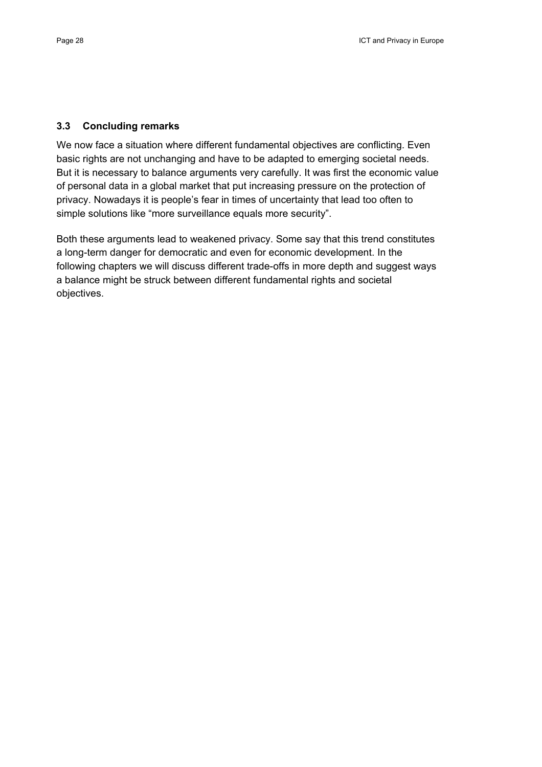#### **3.3 Concluding remarks**

We now face a situation where different fundamental objectives are conflicting. Even basic rights are not unchanging and have to be adapted to emerging societal needs. But it is necessary to balance arguments very carefully. It was first the economic value of personal data in a global market that put increasing pressure on the protection of privacy. Nowadays it is people's fear in times of uncertainty that lead too often to simple solutions like "more surveillance equals more security".

Both these arguments lead to weakened privacy. Some say that this trend constitutes a long-term danger for democratic and even for economic development. In the following chapters we will discuss different trade-offs in more depth and suggest ways a balance might be struck between different fundamental rights and societal objectives.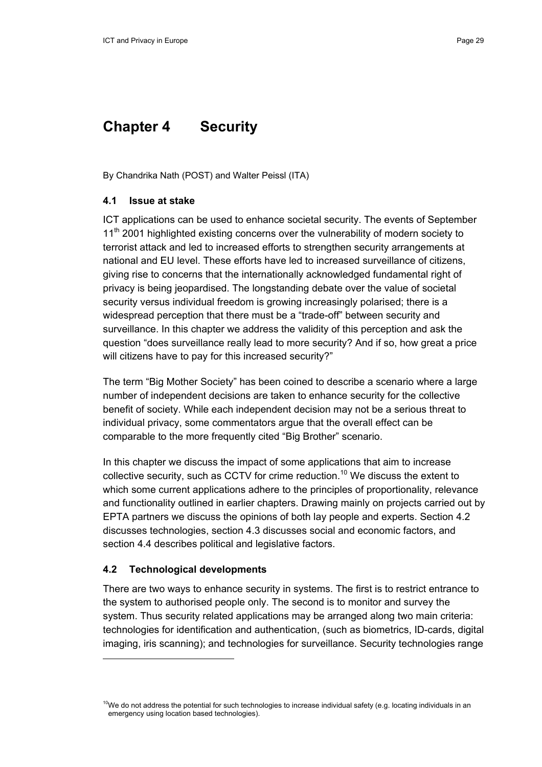## **Chapter 4 Security**

By Chandrika Nath (POST) and Walter Peissl (ITA)

#### **4.1 Issue at stake**

ICT applications can be used to enhance societal security. The events of September 11<sup>th</sup> 2001 highlighted existing concerns over the vulnerability of modern society to terrorist attack and led to increased efforts to strengthen security arrangements at national and EU level. These efforts have led to increased surveillance of citizens, giving rise to concerns that the internationally acknowledged fundamental right of privacy is being jeopardised. The longstanding debate over the value of societal security versus individual freedom is growing increasingly polarised; there is a widespread perception that there must be a "trade-off" between security and surveillance. In this chapter we address the validity of this perception and ask the question "does surveillance really lead to more security? And if so, how great a price will citizens have to pay for this increased security?"

The term "Big Mother Society" has been coined to describe a scenario where a large number of independent decisions are taken to enhance security for the collective benefit of society. While each independent decision may not be a serious threat to individual privacy, some commentators argue that the overall effect can be comparable to the more frequently cited "Big Brother" scenario.

In this chapter we discuss the impact of some applications that aim to increase collective security, such as CCTV for crime reduction.<sup>10</sup> We discuss the extent to which some current applications adhere to the principles of proportionality, relevance and functionality outlined in earlier chapters. Drawing mainly on projects carried out by EPTA partners we discuss the opinions of both lay people and experts. Section 4.2 discusses technologies, section 4.3 discusses social and economic factors, and section 4.4 describes political and legislative factors.

## **4.2 Technological developments**

There are two ways to enhance security in systems. The first is to restrict entrance to the system to authorised people only. The second is to monitor and survey the system. Thus security related applications may be arranged along two main criteria: technologies for identification and authentication, (such as biometrics, ID-cards, digital imaging, iris scanning); and technologies for surveillance. Security technologies range

 $10$ We do not address the potential for such technologies to increase individual safety (e.g. locating individuals in an emergency using location based technologies).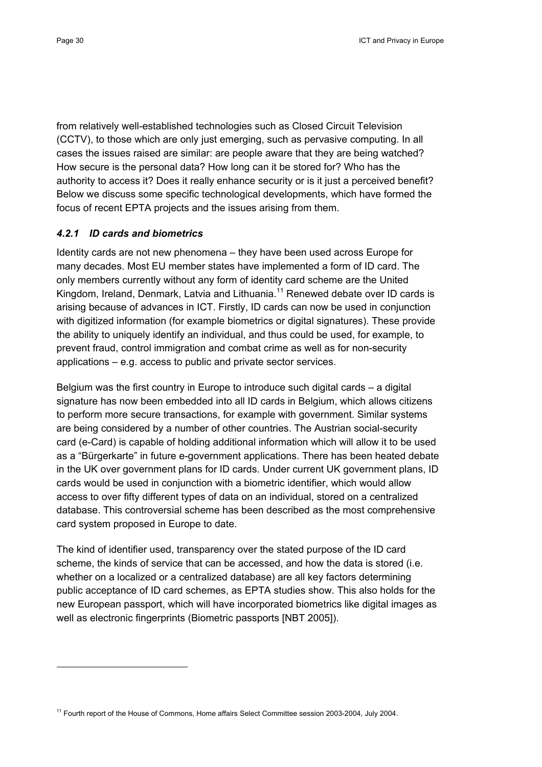from relatively well-established technologies such as Closed Circuit Television (CCTV), to those which are only just emerging, such as pervasive computing. In all cases the issues raised are similar: are people aware that they are being watched? How secure is the personal data? How long can it be stored for? Who has the authority to access it? Does it really enhance security or is it just a perceived benefit? Below we discuss some specific technological developments, which have formed the focus of recent EPTA projects and the issues arising from them.

## *4.2.1 ID cards and biometrics*

Identity cards are not new phenomena – they have been used across Europe for many decades. Most EU member states have implemented a form of ID card. The only members currently without any form of identity card scheme are the United Kingdom, Ireland, Denmark, Latvia and Lithuania.<sup>11</sup> Renewed debate over ID cards is arising because of advances in ICT. Firstly, ID cards can now be used in conjunction with digitized information (for example biometrics or digital signatures). These provide the ability to uniquely identify an individual, and thus could be used, for example, to prevent fraud, control immigration and combat crime as well as for non-security applications – e.g. access to public and private sector services.

Belgium was the first country in Europe to introduce such digital cards – a digital signature has now been embedded into all ID cards in Belgium, which allows citizens to perform more secure transactions, for example with government. Similar systems are being considered by a number of other countries. The Austrian social-security card (e-Card) is capable of holding additional information which will allow it to be used as a "Bürgerkarte" in future e-government applications. There has been heated debate in the UK over government plans for ID cards. Under current UK government plans, ID cards would be used in conjunction with a biometric identifier, which would allow access to over fifty different types of data on an individual, stored on a centralized database. This controversial scheme has been described as the most comprehensive card system proposed in Europe to date.

The kind of identifier used, transparency over the stated purpose of the ID card scheme, the kinds of service that can be accessed, and how the data is stored (i.e. whether on a localized or a centralized database) are all key factors determining public acceptance of ID card schemes, as EPTA studies show. This also holds for the new European passport, which will have incorporated biometrics like digital images as well as electronic fingerprints (Biometric passports [NBT 2005]).

<sup>&</sup>lt;sup>11</sup> Fourth report of the House of Commons, Home affairs Select Committee session 2003-2004, July 2004.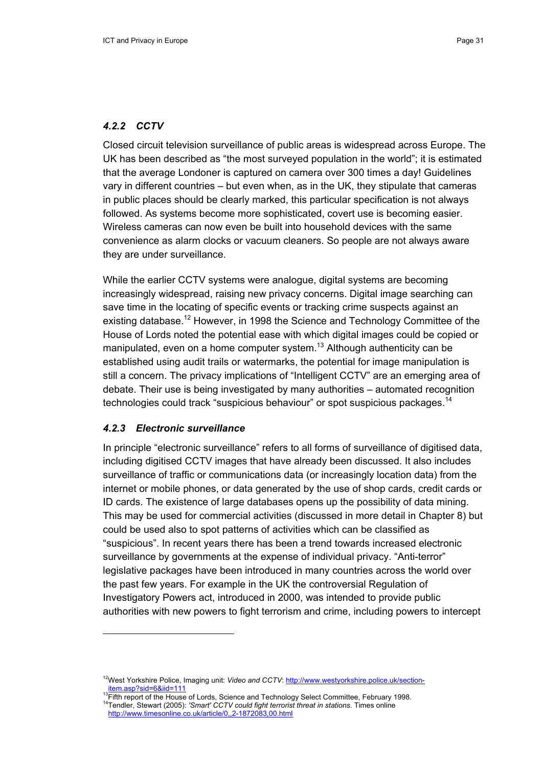## *4.2.2 CCTV*

Closed circuit television surveillance of public areas is widespread across Europe. The UK has been described as "the most surveyed population in the world"; it is estimated that the average Londoner is captured on camera over 300 times a day! Guidelines vary in different countries – but even when, as in the UK, they stipulate that cameras in public places should be clearly marked, this particular specification is not always followed. As systems become more sophisticated, covert use is becoming easier. Wireless cameras can now even be built into household devices with the same convenience as alarm clocks or vacuum cleaners. So people are not always aware they are under surveillance.

While the earlier CCTV systems were analogue, digital systems are becoming increasingly widespread, raising new privacy concerns. Digital image searching can save time in the locating of specific events or tracking crime suspects against an existing database.<sup>12</sup> However, in 1998 the Science and Technology Committee of the House of Lords noted the potential ease with which digital images could be copied or manipulated, even on a home computer system.<sup>13</sup> Although authenticity can be established using audit trails or watermarks, the potential for image manipulation is still a concern. The privacy implications of "Intelligent CCTV" are an emerging area of debate. Their use is being investigated by many authorities – automated recognition technologies could track "suspicious behaviour" or spot suspicious packages.<sup>14</sup>

## *4.2.3 Electronic surveillance*

In principle "electronic surveillance" refers to all forms of surveillance of digitised data, including digitised CCTV images that have already been discussed. It also includes surveillance of traffic or communications data (or increasingly location data) from the internet or mobile phones, or data generated by the use of shop cards, credit cards or ID cards. The existence of large databases opens up the possibility of data mining. This may be used for commercial activities (discussed in more detail in Chapter 8) but could be used also to spot patterns of activities which can be classified as "suspicious". In recent years there has been a trend towards increased electronic surveillance by governments at the expense of individual privacy. "Anti-terror" legislative packages have been introduced in many countries across the world over the past few years. For example in the UK the controversial Regulation of Investigatory Powers act, introduced in 2000, was intended to provide public authorities with new powers to fight terrorism and crime, including powers to intercept

<sup>12</sup>West Yorkshire Police, Imaging unit: *Video and CCTV*: http://www.westyorkshire.police.uk/section-

item.asp?sid=6&iid=111<br><sup>13</sup>Fifth report of the House of Lords, Science and Technology Select Committee, February 1998.<br><sup>14</sup>Tendler, Stewart (2005): *'Smart' CCTV could fight terrorist threat in stations*. Times online

http://www.timesonline.co.uk/article/0,,2-1872083,00.html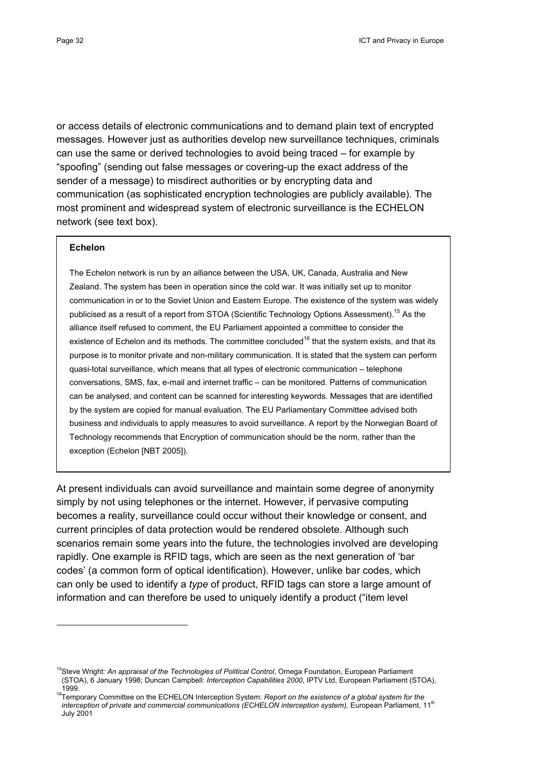or access details of electronic communications and to demand plain text of encrypted messages. However just as authorities develop new surveillance techniques, criminals can use the same or derived technologies to avoid being traced – for example by "spoofing" (sending out false messages or covering-up the exact address of the sender of a message) to misdirect authorities or by encrypting data and communication (as sophisticated encryption technologies are publicly available). The most prominent and widespread system of electronic surveillance is the ECHELON network (see text box).

#### **Echelon**

 $\overline{a}$ 

The Echelon network is run by an alliance between the USA, UK, Canada, Australia and New Zealand. The system has been in operation since the cold war. It was initially set up to monitor communication in or to the Soviet Union and Eastern Europe. The existence of the system was widely publicised as a result of a report from STOA (Scientific Technology Options Assessment).<sup>15</sup> As the alliance itself refused to comment, the EU Parliament appointed a committee to consider the existence of Echelon and its methods. The committee concluded<sup>16</sup> that the system exists, and that its purpose is to monitor private and non-military communication. It is stated that the system can perform quasi-total surveillance, which means that all types of electronic communication – telephone conversations, SMS, fax, e-mail and internet traffic – can be monitored. Patterns of communication can be analysed, and content can be scanned for interesting keywords. Messages that are identified by the system are copied for manual evaluation. The EU Parliamentary Committee advised both business and individuals to apply measures to avoid surveillance. A report by the Norwegian Board of Technology recommends that Encryption of communication should be the norm, rather than the exception (Echelon [NBT 2005]).

At present individuals can avoid surveillance and maintain some degree of anonymity simply by not using telephones or the internet. However, if pervasive computing becomes a reality, surveillance could occur without their knowledge or consent, and current principles of data protection would be rendered obsolete. Although such scenarios remain some years into the future, the technologies involved are developing rapidly. One example is RFID tags, which are seen as the next generation of 'bar codes' (a common form of optical identification). However, unlike bar codes, which can only be used to identify a *type* of product, RFID tags can store a large amount of information and can therefore be used to uniquely identify a product ("item level

<sup>&</sup>lt;sup>15</sup>Steve Wright: An appraisal of the Technologies of Political Control, Omega Foundation, European Parliament (STOA), 6 January 1998; Duncan Campbell: *Interception Capabilities 2000*, IPTV Ltd, European Parliament (STOA),

<sup>1999. 16</sup>Temporary Committee on the ECHELON Interception System: *Report on the existence of a global system for the*  interception of private and commercial communications (ECHELON interception system), European Parliament, 11<sup>th</sup> July 2001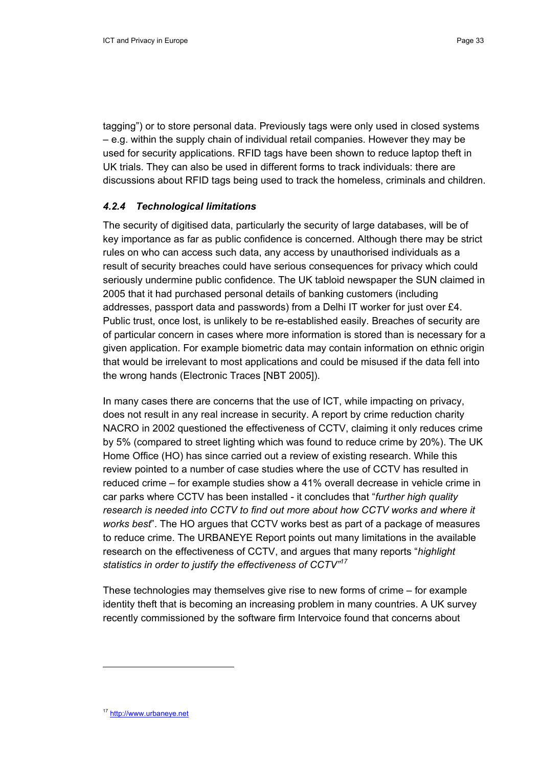tagging") or to store personal data. Previously tags were only used in closed systems – e.g. within the supply chain of individual retail companies. However they may be used for security applications. RFID tags have been shown to reduce laptop theft in UK trials. They can also be used in different forms to track individuals: there are discussions about RFID tags being used to track the homeless, criminals and children.

## *4.2.4 Technological limitations*

The security of digitised data, particularly the security of large databases, will be of key importance as far as public confidence is concerned. Although there may be strict rules on who can access such data, any access by unauthorised individuals as a result of security breaches could have serious consequences for privacy which could seriously undermine public confidence. The UK tabloid newspaper the SUN claimed in 2005 that it had purchased personal details of banking customers (including addresses, passport data and passwords) from a Delhi IT worker for just over £4. Public trust, once lost, is unlikely to be re-established easily. Breaches of security are of particular concern in cases where more information is stored than is necessary for a given application. For example biometric data may contain information on ethnic origin that would be irrelevant to most applications and could be misused if the data fell into the wrong hands (Electronic Traces [NBT 2005]).

In many cases there are concerns that the use of ICT, while impacting on privacy, does not result in any real increase in security. A report by crime reduction charity NACRO in 2002 questioned the effectiveness of CCTV, claiming it only reduces crime by 5% (compared to street lighting which was found to reduce crime by 20%). The UK Home Office (HO) has since carried out a review of existing research. While this review pointed to a number of case studies where the use of CCTV has resulted in reduced crime – for example studies show a 41% overall decrease in vehicle crime in car parks where CCTV has been installed - it concludes that "*further high quality research is needed into CCTV to find out more about how CCTV works and where it works best*". The HO argues that CCTV works best as part of a package of measures to reduce crime. The URBANEYE Report points out many limitations in the available research on the effectiveness of CCTV, and argues that many reports "*highlight statistics in order to justify the effectiveness of CCTV"17*

These technologies may themselves give rise to new forms of crime – for example identity theft that is becoming an increasing problem in many countries. A UK survey recently commissioned by the software firm Intervoice found that concerns about

<sup>17</sup> http://www.urbaneye.net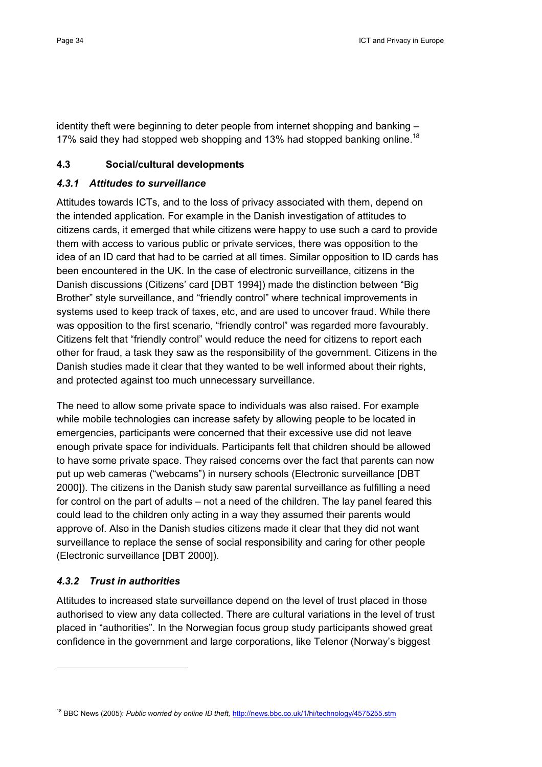identity theft were beginning to deter people from internet shopping and banking – 17% said they had stopped web shopping and 13% had stopped banking online.<sup>18</sup>

## **4.3 Social/cultural developments**

## *4.3.1 Attitudes to surveillance*

Attitudes towards ICTs, and to the loss of privacy associated with them, depend on the intended application. For example in the Danish investigation of attitudes to citizens cards, it emerged that while citizens were happy to use such a card to provide them with access to various public or private services, there was opposition to the idea of an ID card that had to be carried at all times. Similar opposition to ID cards has been encountered in the UK. In the case of electronic surveillance, citizens in the Danish discussions (Citizens' card [DBT 1994]) made the distinction between "Big Brother" style surveillance, and "friendly control" where technical improvements in systems used to keep track of taxes, etc, and are used to uncover fraud. While there was opposition to the first scenario, "friendly control" was regarded more favourably. Citizens felt that "friendly control" would reduce the need for citizens to report each other for fraud, a task they saw as the responsibility of the government. Citizens in the Danish studies made it clear that they wanted to be well informed about their rights, and protected against too much unnecessary surveillance.

The need to allow some private space to individuals was also raised. For example while mobile technologies can increase safety by allowing people to be located in emergencies, participants were concerned that their excessive use did not leave enough private space for individuals. Participants felt that children should be allowed to have some private space. They raised concerns over the fact that parents can now put up web cameras ("webcams") in nursery schools (Electronic surveillance [DBT 2000]). The citizens in the Danish study saw parental surveillance as fulfilling a need for control on the part of adults – not a need of the children. The lay panel feared this could lead to the children only acting in a way they assumed their parents would approve of. Also in the Danish studies citizens made it clear that they did not want surveillance to replace the sense of social responsibility and caring for other people (Electronic surveillance [DBT 2000]).

## *4.3.2 Trust in authorities*

Attitudes to increased state surveillance depend on the level of trust placed in those authorised to view any data collected. There are cultural variations in the level of trust placed in "authorities". In the Norwegian focus group study participants showed great confidence in the government and large corporations, like Telenor (Norway's biggest

<sup>&</sup>lt;sup>18</sup> BBC News (2005): Public worried by online ID theft, http://news.bbc.co.uk/1/hi/technology/4575255.stm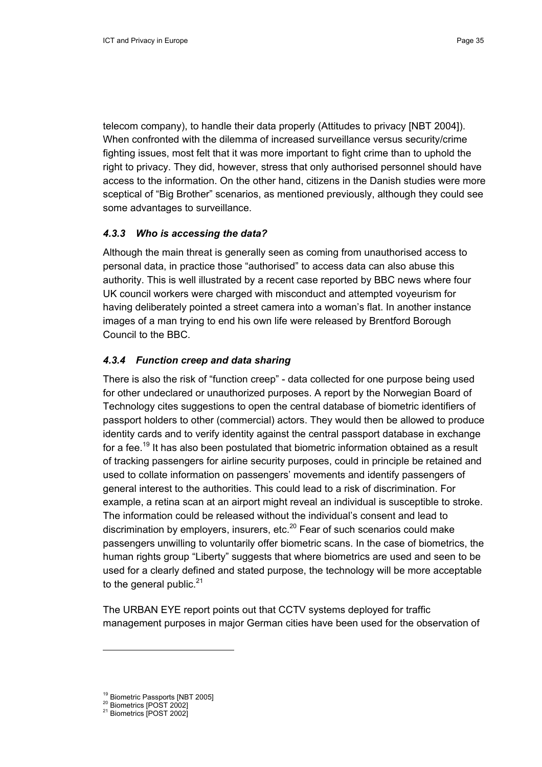telecom company), to handle their data properly (Attitudes to privacy [NBT 2004]). When confronted with the dilemma of increased surveillance versus security/crime fighting issues, most felt that it was more important to fight crime than to uphold the right to privacy. They did, however, stress that only authorised personnel should have access to the information. On the other hand, citizens in the Danish studies were more sceptical of "Big Brother" scenarios, as mentioned previously, although they could see some advantages to surveillance.

## *4.3.3 Who is accessing the data?*

Although the main threat is generally seen as coming from unauthorised access to personal data, in practice those "authorised" to access data can also abuse this authority. This is well illustrated by a recent case reported by BBC news where four UK council workers were charged with misconduct and attempted voyeurism for having deliberately pointed a street camera into a woman's flat. In another instance images of a man trying to end his own life were released by Brentford Borough Council to the BBC.

## *4.3.4 Function creep and data sharing*

There is also the risk of "function creep" - data collected for one purpose being used for other undeclared or unauthorized purposes. A report by the Norwegian Board of Technology cites suggestions to open the central database of biometric identifiers of passport holders to other (commercial) actors. They would then be allowed to produce identity cards and to verify identity against the central passport database in exchange for a fee.<sup>19</sup> It has also been postulated that biometric information obtained as a result of tracking passengers for airline security purposes, could in principle be retained and used to collate information on passengers' movements and identify passengers of general interest to the authorities. This could lead to a risk of discrimination. For example, a retina scan at an airport might reveal an individual is susceptible to stroke. The information could be released without the individual's consent and lead to discrimination by employers, insurers, etc. $^{20}$  Fear of such scenarios could make passengers unwilling to voluntarily offer biometric scans. In the case of biometrics, the human rights group "Liberty" suggests that where biometrics are used and seen to be used for a clearly defined and stated purpose, the technology will be more acceptable to the general public. $21$ 

The URBAN EYE report points out that CCTV systems deployed for traffic management purposes in major German cities have been used for the observation of

<sup>&</sup>lt;sup>19</sup> Biometric Passports [NBT 2005]<br><sup>20</sup> Biometrics [POST 2002]<br><sup>21</sup> Biometrics [POST 2002]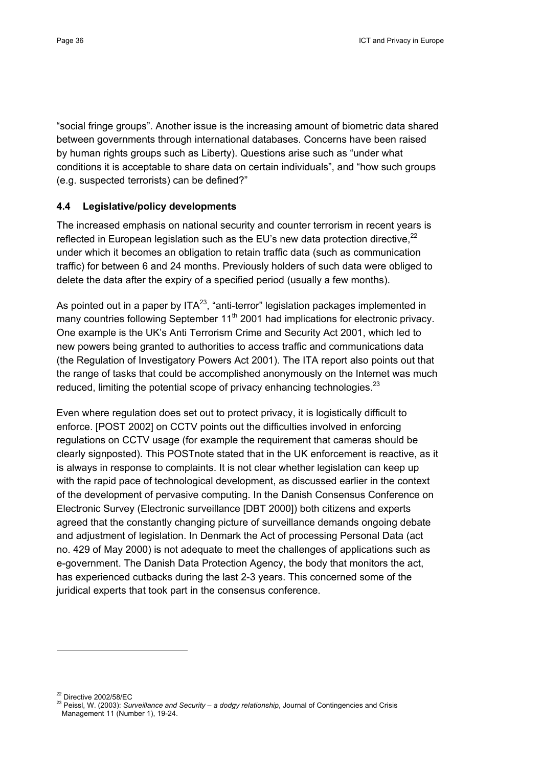"social fringe groups". Another issue is the increasing amount of biometric data shared between governments through international databases. Concerns have been raised by human rights groups such as Liberty). Questions arise such as "under what conditions it is acceptable to share data on certain individuals", and "how such groups (e.g. suspected terrorists) can be defined?"

## **4.4 Legislative/policy developments**

The increased emphasis on national security and counter terrorism in recent years is reflected in European legislation such as the EU's new data protection directive.<sup>22</sup> under which it becomes an obligation to retain traffic data (such as communication traffic) for between 6 and 24 months. Previously holders of such data were obliged to delete the data after the expiry of a specified period (usually a few months).

As pointed out in a paper by  $ITA<sup>23</sup>$ , "anti-terror" legislation packages implemented in many countries following September  $11<sup>th</sup>$  2001 had implications for electronic privacy. One example is the UK's Anti Terrorism Crime and Security Act 2001, which led to new powers being granted to authorities to access traffic and communications data (the Regulation of Investigatory Powers Act 2001). The ITA report also points out that the range of tasks that could be accomplished anonymously on the Internet was much reduced, limiting the potential scope of privacy enhancing technologies. $^{23}$ 

Even where regulation does set out to protect privacy, it is logistically difficult to enforce. [POST 2002] on CCTV points out the difficulties involved in enforcing regulations on CCTV usage (for example the requirement that cameras should be clearly signposted). This POSTnote stated that in the UK enforcement is reactive, as it is always in response to complaints. It is not clear whether legislation can keep up with the rapid pace of technological development, as discussed earlier in the context of the development of pervasive computing. In the Danish Consensus Conference on Electronic Survey (Electronic surveillance [DBT 2000]) both citizens and experts agreed that the constantly changing picture of surveillance demands ongoing debate and adjustment of legislation. In Denmark the Act of processing Personal Data (act no. 429 of May 2000) is not adequate to meet the challenges of applications such as e-government. The Danish Data Protection Agency, the body that monitors the act, has experienced cutbacks during the last 2-3 years. This concerned some of the juridical experts that took part in the consensus conference.

<sup>&</sup>lt;sup>22</sup> Directive 2002/58/EC<br><sup>23</sup> Peissl, W. (2003): *Surveillance and Security – a dodgy relationship*, Journal of Contingencies and Crisis Management 11 (Number 1), 19-24.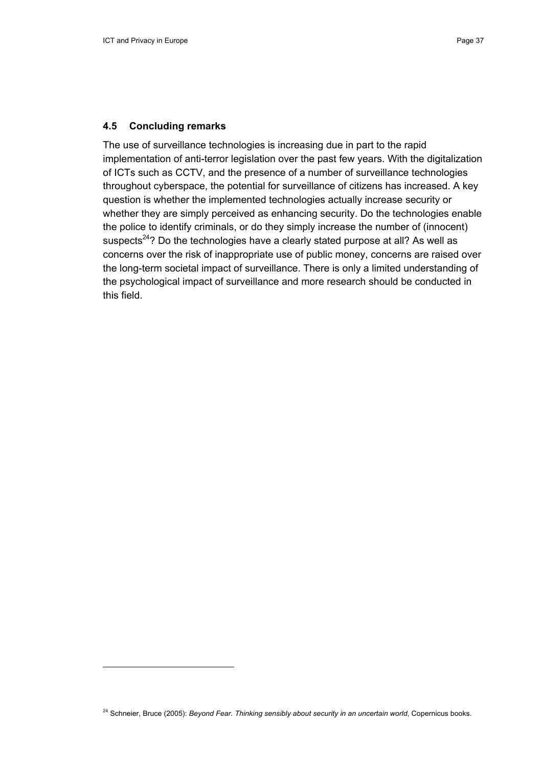#### **4.5 Concluding remarks**

The use of surveillance technologies is increasing due in part to the rapid implementation of anti-terror legislation over the past few years. With the digitalization of ICTs such as CCTV, and the presence of a number of surveillance technologies throughout cyberspace, the potential for surveillance of citizens has increased. A key question is whether the implemented technologies actually increase security or whether they are simply perceived as enhancing security. Do the technologies enable the police to identify criminals, or do they simply increase the number of (innocent) suspects<sup>24</sup>? Do the technologies have a clearly stated purpose at all? As well as concerns over the risk of inappropriate use of public money, concerns are raised over the long-term societal impact of surveillance. There is only a limited understanding of the psychological impact of surveillance and more research should be conducted in this field.

<sup>&</sup>lt;sup>24</sup> Schneier, Bruce (2005): *Beyond Fear. Thinking sensibly about security in an uncertain world*, Copernicus books.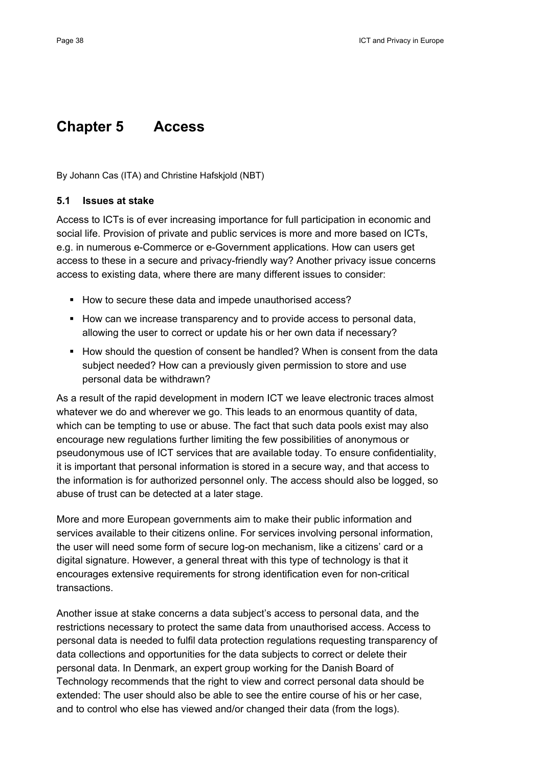# **Chapter 5 Access**

By Johann Cas (ITA) and Christine Hafskjold (NBT)

#### **5.1 Issues at stake**

Access to ICTs is of ever increasing importance for full participation in economic and social life. Provision of private and public services is more and more based on ICTs, e.g. in numerous e-Commerce or e-Government applications. How can users get access to these in a secure and privacy-friendly way? Another privacy issue concerns access to existing data, where there are many different issues to consider:

- How to secure these data and impede unauthorised access?
- How can we increase transparency and to provide access to personal data, allowing the user to correct or update his or her own data if necessary?
- How should the question of consent be handled? When is consent from the data subject needed? How can a previously given permission to store and use personal data be withdrawn?

As a result of the rapid development in modern ICT we leave electronic traces almost whatever we do and wherever we go. This leads to an enormous quantity of data, which can be tempting to use or abuse. The fact that such data pools exist may also encourage new regulations further limiting the few possibilities of anonymous or pseudonymous use of ICT services that are available today. To ensure confidentiality, it is important that personal information is stored in a secure way, and that access to the information is for authorized personnel only. The access should also be logged, so abuse of trust can be detected at a later stage.

More and more European governments aim to make their public information and services available to their citizens online. For services involving personal information, the user will need some form of secure log-on mechanism, like a citizens' card or a digital signature. However, a general threat with this type of technology is that it encourages extensive requirements for strong identification even for non-critical transactions.

Another issue at stake concerns a data subject's access to personal data, and the restrictions necessary to protect the same data from unauthorised access. Access to personal data is needed to fulfil data protection regulations requesting transparency of data collections and opportunities for the data subjects to correct or delete their personal data. In Denmark, an expert group working for the Danish Board of Technology recommends that the right to view and correct personal data should be extended: The user should also be able to see the entire course of his or her case, and to control who else has viewed and/or changed their data (from the logs).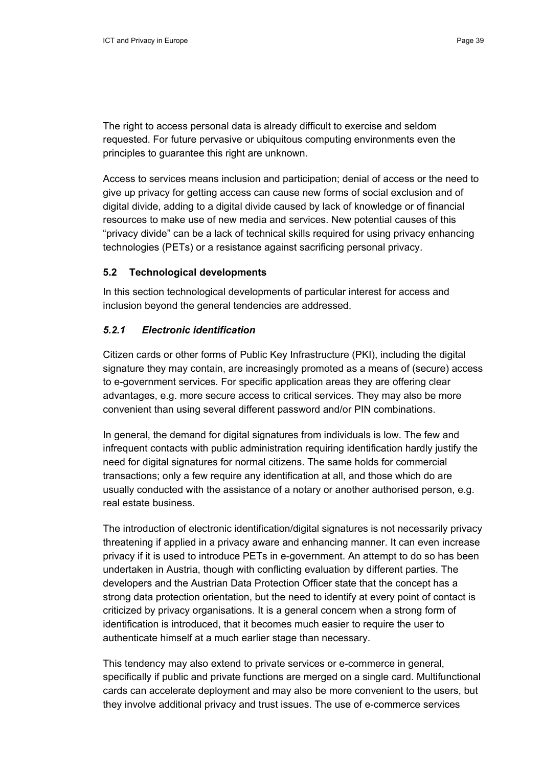The right to access personal data is already difficult to exercise and seldom requested. For future pervasive or ubiquitous computing environments even the principles to guarantee this right are unknown.

Access to services means inclusion and participation; denial of access or the need to give up privacy for getting access can cause new forms of social exclusion and of digital divide, adding to a digital divide caused by lack of knowledge or of financial resources to make use of new media and services. New potential causes of this "privacy divide" can be a lack of technical skills required for using privacy enhancing technologies (PETs) or a resistance against sacrificing personal privacy.

#### **5.2 Technological developments**

In this section technological developments of particular interest for access and inclusion beyond the general tendencies are addressed.

#### *5.2.1 Electronic identification*

Citizen cards or other forms of Public Key Infrastructure (PKI), including the digital signature they may contain, are increasingly promoted as a means of (secure) access to e-government services. For specific application areas they are offering clear advantages, e.g. more secure access to critical services. They may also be more convenient than using several different password and/or PIN combinations.

In general, the demand for digital signatures from individuals is low. The few and infrequent contacts with public administration requiring identification hardly justify the need for digital signatures for normal citizens. The same holds for commercial transactions; only a few require any identification at all, and those which do are usually conducted with the assistance of a notary or another authorised person, e.g. real estate business.

The introduction of electronic identification/digital signatures is not necessarily privacy threatening if applied in a privacy aware and enhancing manner. It can even increase privacy if it is used to introduce PETs in e-government. An attempt to do so has been undertaken in Austria, though with conflicting evaluation by different parties. The developers and the Austrian Data Protection Officer state that the concept has a strong data protection orientation, but the need to identify at every point of contact is criticized by privacy organisations. It is a general concern when a strong form of identification is introduced, that it becomes much easier to require the user to authenticate himself at a much earlier stage than necessary.

This tendency may also extend to private services or e-commerce in general, specifically if public and private functions are merged on a single card. Multifunctional cards can accelerate deployment and may also be more convenient to the users, but they involve additional privacy and trust issues. The use of e-commerce services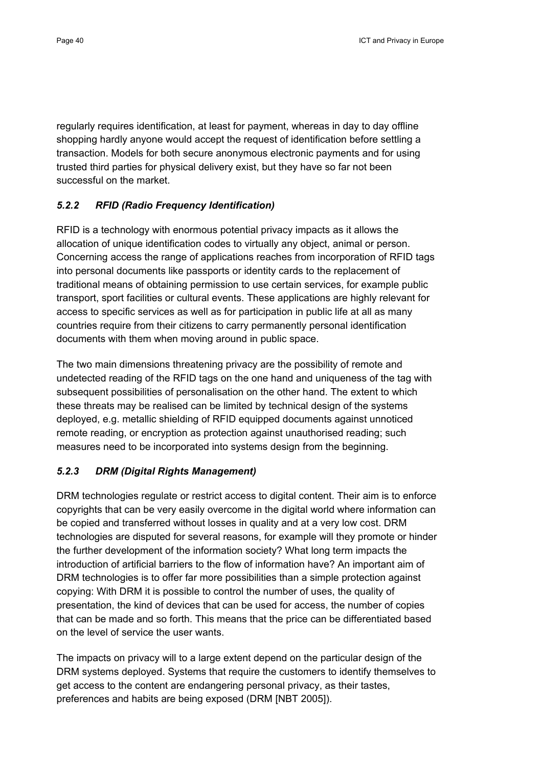regularly requires identification, at least for payment, whereas in day to day offline shopping hardly anyone would accept the request of identification before settling a transaction. Models for both secure anonymous electronic payments and for using trusted third parties for physical delivery exist, but they have so far not been successful on the market.

## *5.2.2 RFID (Radio Frequency Identification)*

RFID is a technology with enormous potential privacy impacts as it allows the allocation of unique identification codes to virtually any object, animal or person. Concerning access the range of applications reaches from incorporation of RFID tags into personal documents like passports or identity cards to the replacement of traditional means of obtaining permission to use certain services, for example public transport, sport facilities or cultural events. These applications are highly relevant for access to specific services as well as for participation in public life at all as many countries require from their citizens to carry permanently personal identification documents with them when moving around in public space.

The two main dimensions threatening privacy are the possibility of remote and undetected reading of the RFID tags on the one hand and uniqueness of the tag with subsequent possibilities of personalisation on the other hand. The extent to which these threats may be realised can be limited by technical design of the systems deployed, e.g. metallic shielding of RFID equipped documents against unnoticed remote reading, or encryption as protection against unauthorised reading; such measures need to be incorporated into systems design from the beginning.

## *5.2.3 DRM (Digital Rights Management)*

DRM technologies regulate or restrict access to digital content. Their aim is to enforce copyrights that can be very easily overcome in the digital world where information can be copied and transferred without losses in quality and at a very low cost. DRM technologies are disputed for several reasons, for example will they promote or hinder the further development of the information society? What long term impacts the introduction of artificial barriers to the flow of information have? An important aim of DRM technologies is to offer far more possibilities than a simple protection against copying: With DRM it is possible to control the number of uses, the quality of presentation, the kind of devices that can be used for access, the number of copies that can be made and so forth. This means that the price can be differentiated based on the level of service the user wants.

The impacts on privacy will to a large extent depend on the particular design of the DRM systems deployed. Systems that require the customers to identify themselves to get access to the content are endangering personal privacy, as their tastes, preferences and habits are being exposed (DRM [NBT 2005]).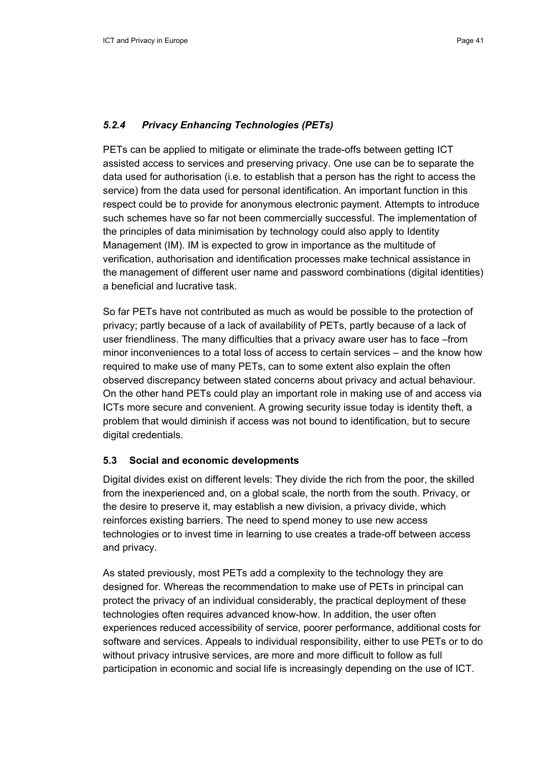#### *5.2.4 Privacy Enhancing Technologies (PETs)*

PETs can be applied to mitigate or eliminate the trade-offs between getting ICT assisted access to services and preserving privacy. One use can be to separate the data used for authorisation (i.e. to establish that a person has the right to access the service) from the data used for personal identification. An important function in this respect could be to provide for anonymous electronic payment. Attempts to introduce such schemes have so far not been commercially successful. The implementation of the principles of data minimisation by technology could also apply to Identity Management (IM). IM is expected to grow in importance as the multitude of verification, authorisation and identification processes make technical assistance in the management of different user name and password combinations (digital identities) a beneficial and lucrative task.

So far PETs have not contributed as much as would be possible to the protection of privacy; partly because of a lack of availability of PETs, partly because of a lack of user friendliness. The many difficulties that a privacy aware user has to face –from minor inconveniences to a total loss of access to certain services – and the know how required to make use of many PETs, can to some extent also explain the often observed discrepancy between stated concerns about privacy and actual behaviour. On the other hand PETs could play an important role in making use of and access via ICTs more secure and convenient. A growing security issue today is identity theft, a problem that would diminish if access was not bound to identification, but to secure digital credentials.

#### **5.3 Social and economic developments**

Digital divides exist on different levels: They divide the rich from the poor, the skilled from the inexperienced and, on a global scale, the north from the south. Privacy, or the desire to preserve it, may establish a new division, a privacy divide, which reinforces existing barriers. The need to spend money to use new access technologies or to invest time in learning to use creates a trade-off between access and privacy.

As stated previously, most PETs add a complexity to the technology they are designed for. Whereas the recommendation to make use of PETs in principal can protect the privacy of an individual considerably, the practical deployment of these technologies often requires advanced know-how. In addition, the user often experiences reduced accessibility of service, poorer performance, additional costs for software and services. Appeals to individual responsibility, either to use PETs or to do without privacy intrusive services, are more and more difficult to follow as full participation in economic and social life is increasingly depending on the use of ICT.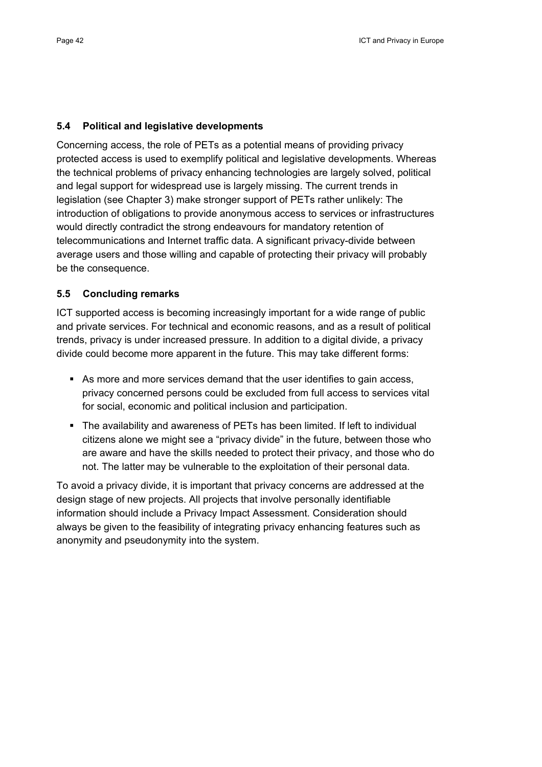#### **5.4 Political and legislative developments**

Concerning access, the role of PETs as a potential means of providing privacy protected access is used to exemplify political and legislative developments. Whereas the technical problems of privacy enhancing technologies are largely solved, political and legal support for widespread use is largely missing. The current trends in legislation (see Chapter 3) make stronger support of PETs rather unlikely: The introduction of obligations to provide anonymous access to services or infrastructures would directly contradict the strong endeavours for mandatory retention of telecommunications and Internet traffic data. A significant privacy-divide between average users and those willing and capable of protecting their privacy will probably be the consequence.

## **5.5 Concluding remarks**

ICT supported access is becoming increasingly important for a wide range of public and private services. For technical and economic reasons, and as a result of political trends, privacy is under increased pressure. In addition to a digital divide, a privacy divide could become more apparent in the future. This may take different forms:

- As more and more services demand that the user identifies to gain access, privacy concerned persons could be excluded from full access to services vital for social, economic and political inclusion and participation.
- The availability and awareness of PETs has been limited. If left to individual citizens alone we might see a "privacy divide" in the future, between those who are aware and have the skills needed to protect their privacy, and those who do not. The latter may be vulnerable to the exploitation of their personal data.

To avoid a privacy divide, it is important that privacy concerns are addressed at the design stage of new projects. All projects that involve personally identifiable information should include a Privacy Impact Assessment. Consideration should always be given to the feasibility of integrating privacy enhancing features such as anonymity and pseudonymity into the system.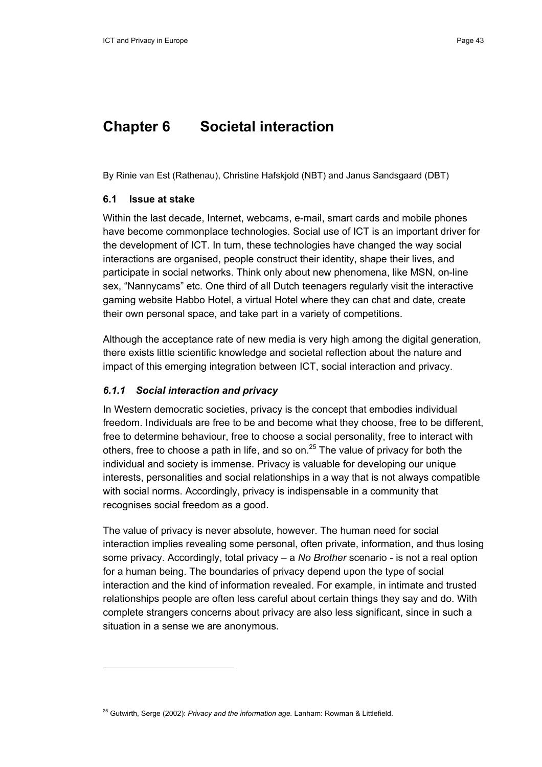## **Chapter 6 Societal interaction**

By Rinie van Est (Rathenau), Christine Hafskjold (NBT) and Janus Sandsgaard (DBT)

#### **6.1 Issue at stake**

Within the last decade, Internet, webcams, e-mail, smart cards and mobile phones have become commonplace technologies. Social use of ICT is an important driver for the development of ICT. In turn, these technologies have changed the way social interactions are organised, people construct their identity, shape their lives, and participate in social networks. Think only about new phenomena, like MSN, on-line sex, "Nannycams" etc. One third of all Dutch teenagers regularly visit the interactive gaming website Habbo Hotel, a virtual Hotel where they can chat and date, create their own personal space, and take part in a variety of competitions.

Although the acceptance rate of new media is very high among the digital generation, there exists little scientific knowledge and societal reflection about the nature and impact of this emerging integration between ICT, social interaction and privacy.

#### *6.1.1 Social interaction and privacy*

In Western democratic societies, privacy is the concept that embodies individual freedom. Individuals are free to be and become what they choose, free to be different, free to determine behaviour, free to choose a social personality, free to interact with others, free to choose a path in life, and so on. $25$  The value of privacy for both the individual and society is immense. Privacy is valuable for developing our unique interests, personalities and social relationships in a way that is not always compatible with social norms. Accordingly, privacy is indispensable in a community that recognises social freedom as a good.

The value of privacy is never absolute, however. The human need for social interaction implies revealing some personal, often private, information, and thus losing some privacy. Accordingly, total privacy – a *No Brother* scenario - is not a real option for a human being. The boundaries of privacy depend upon the type of social interaction and the kind of information revealed. For example, in intimate and trusted relationships people are often less careful about certain things they say and do. With complete strangers concerns about privacy are also less significant, since in such a situation in a sense we are anonymous.

<sup>25</sup> Gutwirth, Serge (2002): *Privacy and the information age.* Lanham: Rowman & Littlefield.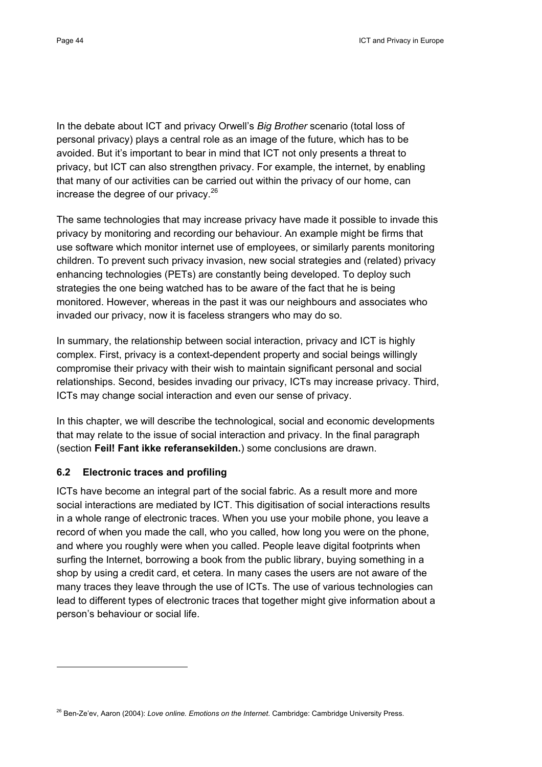In the debate about ICT and privacy Orwell's *Big Brother* scenario (total loss of personal privacy) plays a central role as an image of the future, which has to be avoided. But it's important to bear in mind that ICT not only presents a threat to privacy, but ICT can also strengthen privacy. For example, the internet, by enabling that many of our activities can be carried out within the privacy of our home, can increase the degree of our privacy.26

The same technologies that may increase privacy have made it possible to invade this privacy by monitoring and recording our behaviour. An example might be firms that use software which monitor internet use of employees, or similarly parents monitoring children. To prevent such privacy invasion, new social strategies and (related) privacy enhancing technologies (PETs) are constantly being developed. To deploy such strategies the one being watched has to be aware of the fact that he is being monitored. However, whereas in the past it was our neighbours and associates who invaded our privacy, now it is faceless strangers who may do so.

In summary, the relationship between social interaction, privacy and ICT is highly complex. First, privacy is a context-dependent property and social beings willingly compromise their privacy with their wish to maintain significant personal and social relationships. Second, besides invading our privacy, ICTs may increase privacy. Third, ICTs may change social interaction and even our sense of privacy.

In this chapter, we will describe the technological, social and economic developments that may relate to the issue of social interaction and privacy. In the final paragraph (section **Feil! Fant ikke referansekilden.**) some conclusions are drawn.

## **6.2 Electronic traces and profiling**

ICTs have become an integral part of the social fabric. As a result more and more social interactions are mediated by ICT. This digitisation of social interactions results in a whole range of electronic traces. When you use your mobile phone, you leave a record of when you made the call, who you called, how long you were on the phone, and where you roughly were when you called. People leave digital footprints when surfing the Internet, borrowing a book from the public library, buying something in a shop by using a credit card, et cetera. In many cases the users are not aware of the many traces they leave through the use of ICTs. The use of various technologies can lead to different types of electronic traces that together might give information about a person's behaviour or social life.

<sup>26</sup> Ben-Ze'ev, Aaron (2004): *Love online. Emotions on the Internet*. Cambridge: Cambridge University Press.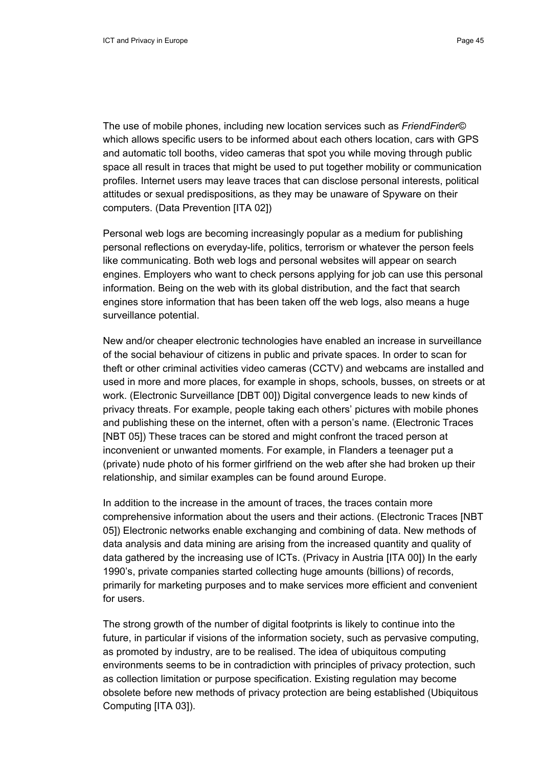The use of mobile phones, including new location services such as *FriendFinder©* which allows specific users to be informed about each others location, cars with GPS and automatic toll booths, video cameras that spot you while moving through public space all result in traces that might be used to put together mobility or communication profiles. Internet users may leave traces that can disclose personal interests, political attitudes or sexual predispositions, as they may be unaware of Spyware on their computers. (Data Prevention [ITA 02])

Personal web logs are becoming increasingly popular as a medium for publishing personal reflections on everyday-life, politics, terrorism or whatever the person feels like communicating. Both web logs and personal websites will appear on search engines. Employers who want to check persons applying for job can use this personal information. Being on the web with its global distribution, and the fact that search engines store information that has been taken off the web logs, also means a huge surveillance potential.

New and/or cheaper electronic technologies have enabled an increase in surveillance of the social behaviour of citizens in public and private spaces. In order to scan for theft or other criminal activities video cameras (CCTV) and webcams are installed and used in more and more places, for example in shops, schools, busses, on streets or at work. (Electronic Surveillance [DBT 00]) Digital convergence leads to new kinds of privacy threats. For example, people taking each others' pictures with mobile phones and publishing these on the internet, often with a person's name. (Electronic Traces [NBT 05]) These traces can be stored and might confront the traced person at inconvenient or unwanted moments. For example, in Flanders a teenager put a (private) nude photo of his former girlfriend on the web after she had broken up their relationship, and similar examples can be found around Europe.

In addition to the increase in the amount of traces, the traces contain more comprehensive information about the users and their actions. (Electronic Traces [NBT 05]) Electronic networks enable exchanging and combining of data. New methods of data analysis and data mining are arising from the increased quantity and quality of data gathered by the increasing use of ICTs. (Privacy in Austria [ITA 00]) In the early 1990's, private companies started collecting huge amounts (billions) of records, primarily for marketing purposes and to make services more efficient and convenient for users.

The strong growth of the number of digital footprints is likely to continue into the future, in particular if visions of the information society, such as pervasive computing, as promoted by industry, are to be realised. The idea of ubiquitous computing environments seems to be in contradiction with principles of privacy protection, such as collection limitation or purpose specification. Existing regulation may become obsolete before new methods of privacy protection are being established (Ubiquitous Computing [ITA 03]).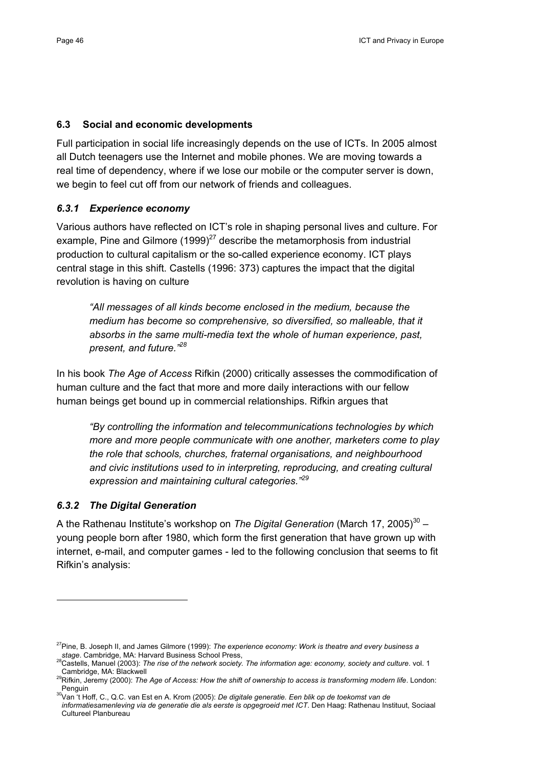#### **6.3 Social and economic developments**

Full participation in social life increasingly depends on the use of ICTs. In 2005 almost all Dutch teenagers use the Internet and mobile phones. We are moving towards a real time of dependency, where if we lose our mobile or the computer server is down, we begin to feel cut off from our network of friends and colleagues.

## *6.3.1 Experience economy*

Various authors have reflected on ICT's role in shaping personal lives and culture. For example, Pine and Gilmore  $(1999)^{27}$  describe the metamorphosis from industrial production to cultural capitalism or the so-called experience economy. ICT plays central stage in this shift. Castells (1996: 373) captures the impact that the digital revolution is having on culture

*"All messages of all kinds become enclosed in the medium, because the medium has become so comprehensive, so diversified, so malleable, that it absorbs in the same multi-media text the whole of human experience, past, present, and future."28*

In his book *The Age of Access* Rifkin (2000) critically assesses the commodification of human culture and the fact that more and more daily interactions with our fellow human beings get bound up in commercial relationships. Rifkin argues that

*"By controlling the information and telecommunications technologies by which more and more people communicate with one another, marketers come to play the role that schools, churches, fraternal organisations, and neighbourhood and civic institutions used to in interpreting, reproducing, and creating cultural expression and maintaining cultural categories."<sup>29</sup>*

## *6.3.2 The Digital Generation*

A the Rathenau Institute's workshop on *The Digital Generation* (March 17, 2005)<sup>30</sup> – young people born after 1980, which form the first generation that have grown up with internet, e-mail, and computer games - led to the following conclusion that seems to fit Rifkin's analysis:

<sup>&</sup>lt;sup>27</sup>Pine, B. Joseph II, and James Gilmore (1999): *The experience economy: Work is theatre and every business a*<br>stage. Cambridge. MA: Harvard Business School Press.

*stage*. Cambridge, MA: Harvard Business School Press, 28Castells, Manuel (2003): *The rise of the network society. The information age: economy, society and culture*. vol. 1

Cambridge, MA: Blackwell 29Rifkin, Jeremy (2000): *The Age of Access: How the shift of ownership to access is transforming modern life*. London:

Penguin 30Van 't Hoff, C., Q.C. van Est en A. Krom (2005): *De digitale generatie. Een blik op de toekomst van de informatiesamenleving via de generatie die als eerste is opgegroeid met ICT*. Den Haag: Rathenau Instituut, Sociaal Cultureel Planbureau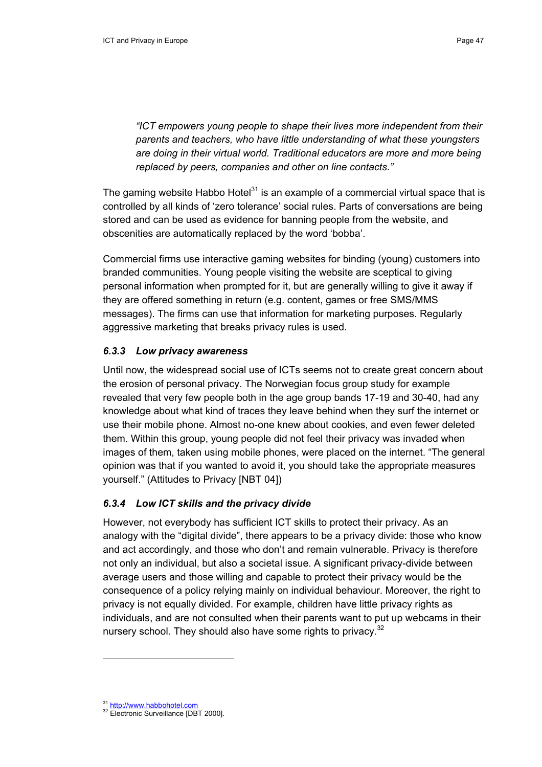*"ICT empowers young people to shape their lives more independent from their parents and teachers, who have little understanding of what these youngsters are doing in their virtual world. Traditional educators are more and more being replaced by peers, companies and other on line contacts."*

The gaming website Habbo Hotel $31$  is an example of a commercial virtual space that is controlled by all kinds of 'zero tolerance' social rules. Parts of conversations are being stored and can be used as evidence for banning people from the website, and obscenities are automatically replaced by the word 'bobba'.

Commercial firms use interactive gaming websites for binding (young) customers into branded communities. Young people visiting the website are sceptical to giving personal information when prompted for it, but are generally willing to give it away if they are offered something in return (e.g. content, games or free SMS/MMS messages). The firms can use that information for marketing purposes. Regularly aggressive marketing that breaks privacy rules is used.

#### *6.3.3 Low privacy awareness*

Until now, the widespread social use of ICTs seems not to create great concern about the erosion of personal privacy. The Norwegian focus group study for example revealed that very few people both in the age group bands 17-19 and 30-40, had any knowledge about what kind of traces they leave behind when they surf the internet or use their mobile phone. Almost no-one knew about cookies, and even fewer deleted them. Within this group, young people did not feel their privacy was invaded when images of them, taken using mobile phones, were placed on the internet. "The general opinion was that if you wanted to avoid it, you should take the appropriate measures yourself." (Attitudes to Privacy [NBT 04])

#### *6.3.4 Low ICT skills and the privacy divide*

However, not everybody has sufficient ICT skills to protect their privacy. As an analogy with the "digital divide", there appears to be a privacy divide: those who know and act accordingly, and those who don't and remain vulnerable. Privacy is therefore not only an individual, but also a societal issue. A significant privacy-divide between average users and those willing and capable to protect their privacy would be the consequence of a policy relying mainly on individual behaviour. Moreover, the right to privacy is not equally divided. For example, children have little privacy rights as individuals, and are not consulted when their parents want to put up webcams in their nursery school. They should also have some rights to privacy. $32$ 

<sup>&</sup>lt;sup>31</sup> http://www.habbohotel.com<br><sup>32</sup> Electronic Surveillance [DBT 2000].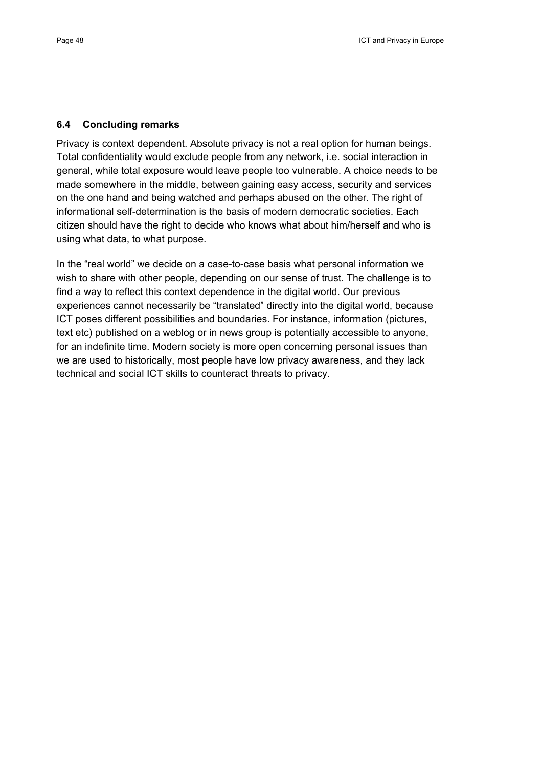#### **6.4 Concluding remarks**

Privacy is context dependent. Absolute privacy is not a real option for human beings. Total confidentiality would exclude people from any network, i.e. social interaction in general, while total exposure would leave people too vulnerable. A choice needs to be made somewhere in the middle, between gaining easy access, security and services on the one hand and being watched and perhaps abused on the other. The right of informational self-determination is the basis of modern democratic societies. Each citizen should have the right to decide who knows what about him/herself and who is using what data, to what purpose.

In the "real world" we decide on a case-to-case basis what personal information we wish to share with other people, depending on our sense of trust. The challenge is to find a way to reflect this context dependence in the digital world. Our previous experiences cannot necessarily be "translated" directly into the digital world, because ICT poses different possibilities and boundaries. For instance, information (pictures, text etc) published on a weblog or in news group is potentially accessible to anyone, for an indefinite time. Modern society is more open concerning personal issues than we are used to historically, most people have low privacy awareness, and they lack technical and social ICT skills to counteract threats to privacy.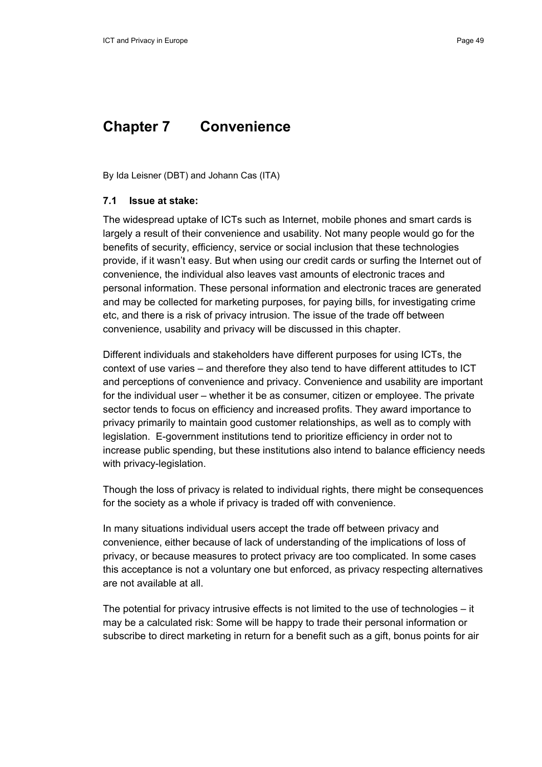## **Chapter 7 Convenience**

By Ida Leisner (DBT) and Johann Cas (ITA)

#### **7.1 Issue at stake:**

The widespread uptake of ICTs such as Internet, mobile phones and smart cards is largely a result of their convenience and usability. Not many people would go for the benefits of security, efficiency, service or social inclusion that these technologies provide, if it wasn't easy. But when using our credit cards or surfing the Internet out of convenience, the individual also leaves vast amounts of electronic traces and personal information. These personal information and electronic traces are generated and may be collected for marketing purposes, for paying bills, for investigating crime etc, and there is a risk of privacy intrusion. The issue of the trade off between convenience, usability and privacy will be discussed in this chapter.

Different individuals and stakeholders have different purposes for using ICTs, the context of use varies – and therefore they also tend to have different attitudes to ICT and perceptions of convenience and privacy. Convenience and usability are important for the individual user – whether it be as consumer, citizen or employee. The private sector tends to focus on efficiency and increased profits. They award importance to privacy primarily to maintain good customer relationships, as well as to comply with legislation. E-government institutions tend to prioritize efficiency in order not to increase public spending, but these institutions also intend to balance efficiency needs with privacy-legislation.

Though the loss of privacy is related to individual rights, there might be consequences for the society as a whole if privacy is traded off with convenience.

In many situations individual users accept the trade off between privacy and convenience, either because of lack of understanding of the implications of loss of privacy, or because measures to protect privacy are too complicated. In some cases this acceptance is not a voluntary one but enforced, as privacy respecting alternatives are not available at all.

The potential for privacy intrusive effects is not limited to the use of technologies – it may be a calculated risk: Some will be happy to trade their personal information or subscribe to direct marketing in return for a benefit such as a gift, bonus points for air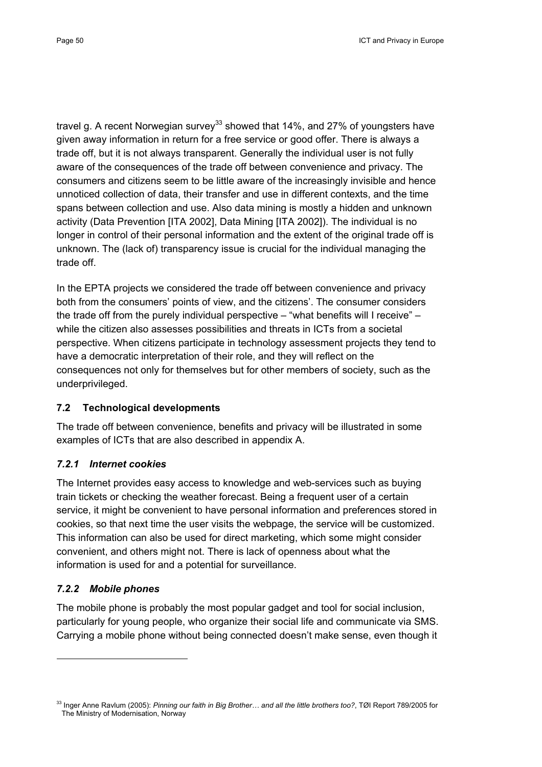travel g. A recent Norwegian survey<sup>33</sup> showed that 14%, and 27% of youngsters have given away information in return for a free service or good offer. There is always a trade off, but it is not always transparent. Generally the individual user is not fully aware of the consequences of the trade off between convenience and privacy. The consumers and citizens seem to be little aware of the increasingly invisible and hence unnoticed collection of data, their transfer and use in different contexts, and the time spans between collection and use. Also data mining is mostly a hidden and unknown activity (Data Prevention [ITA 2002], Data Mining [ITA 2002]). The individual is no longer in control of their personal information and the extent of the original trade off is unknown. The (lack of) transparency issue is crucial for the individual managing the trade off.

In the EPTA projects we considered the trade off between convenience and privacy both from the consumers' points of view, and the citizens'. The consumer considers the trade off from the purely individual perspective – "what benefits will I receive" – while the citizen also assesses possibilities and threats in ICTs from a societal perspective. When citizens participate in technology assessment projects they tend to have a democratic interpretation of their role, and they will reflect on the consequences not only for themselves but for other members of society, such as the underprivileged.

## **7.2 Technological developments**

The trade off between convenience, benefits and privacy will be illustrated in some examples of ICTs that are also described in appendix A.

## *7.2.1 Internet cookies*

The Internet provides easy access to knowledge and web-services such as buying train tickets or checking the weather forecast. Being a frequent user of a certain service, it might be convenient to have personal information and preferences stored in cookies, so that next time the user visits the webpage, the service will be customized. This information can also be used for direct marketing, which some might consider convenient, and others might not. There is lack of openness about what the information is used for and a potential for surveillance.

## *7.2.2 Mobile phones*

The mobile phone is probably the most popular gadget and tool for social inclusion, particularly for young people, who organize their social life and communicate via SMS. Carrying a mobile phone without being connected doesn't make sense, even though it

<sup>33</sup> Inger Anne Ravlum (2005): *Pinning our faith in Big Brother… and all the little brothers too?*, TØI Report 789/2005 for The Ministry of Modernisation, Norway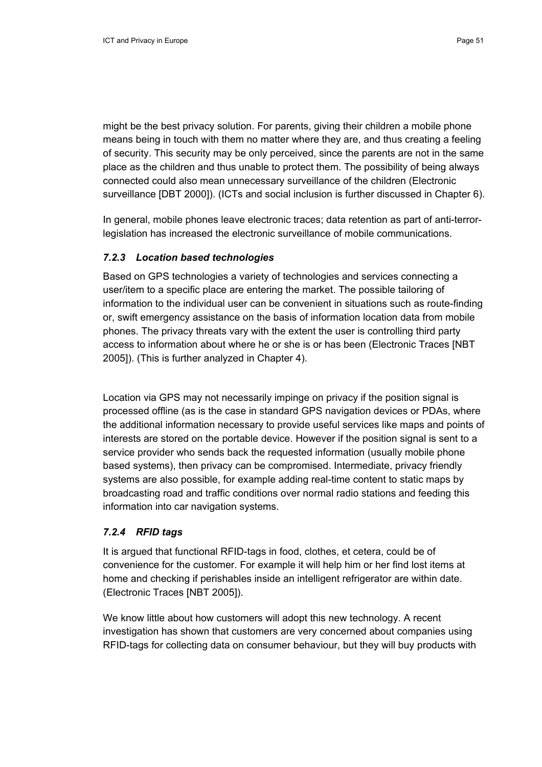might be the best privacy solution. For parents, giving their children a mobile phone means being in touch with them no matter where they are, and thus creating a feeling of security. This security may be only perceived, since the parents are not in the same place as the children and thus unable to protect them. The possibility of being always connected could also mean unnecessary surveillance of the children (Electronic surveillance [DBT 2000]). (ICTs and social inclusion is further discussed in Chapter 6).

In general, mobile phones leave electronic traces; data retention as part of anti-terrorlegislation has increased the electronic surveillance of mobile communications.

#### *7.2.3 Location based technologies*

Based on GPS technologies a variety of technologies and services connecting a user/item to a specific place are entering the market. The possible tailoring of information to the individual user can be convenient in situations such as route-finding or, swift emergency assistance on the basis of information location data from mobile phones. The privacy threats vary with the extent the user is controlling third party access to information about where he or she is or has been (Electronic Traces [NBT 2005]). (This is further analyzed in Chapter 4).

Location via GPS may not necessarily impinge on privacy if the position signal is processed offline (as is the case in standard GPS navigation devices or PDAs, where the additional information necessary to provide useful services like maps and points of interests are stored on the portable device. However if the position signal is sent to a service provider who sends back the requested information (usually mobile phone based systems), then privacy can be compromised. Intermediate, privacy friendly systems are also possible, for example adding real-time content to static maps by broadcasting road and traffic conditions over normal radio stations and feeding this information into car navigation systems.

#### *7.2.4 RFID tags*

It is argued that functional RFID-tags in food, clothes, et cetera, could be of convenience for the customer. For example it will help him or her find lost items at home and checking if perishables inside an intelligent refrigerator are within date. (Electronic Traces [NBT 2005]).

We know little about how customers will adopt this new technology. A recent investigation has shown that customers are very concerned about companies using RFID-tags for collecting data on consumer behaviour, but they will buy products with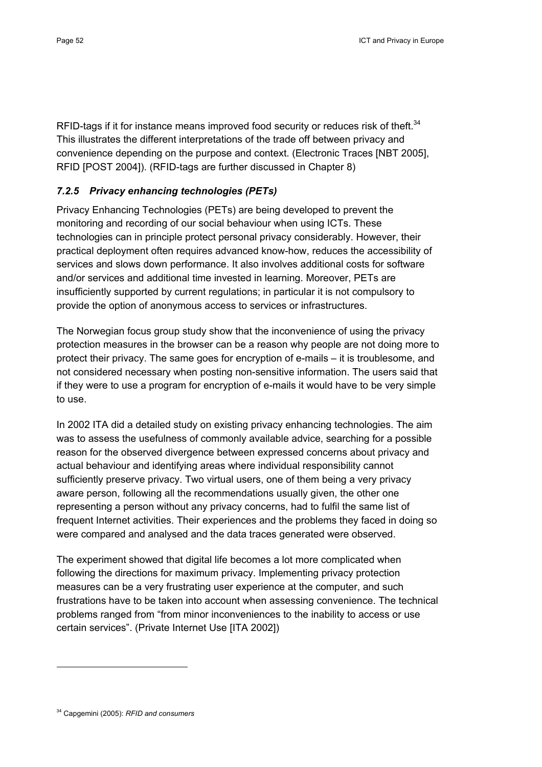RFID-tags if it for instance means improved food security or reduces risk of theft.<sup>34</sup> This illustrates the different interpretations of the trade off between privacy and convenience depending on the purpose and context. (Electronic Traces [NBT 2005], RFID [POST 2004]). (RFID-tags are further discussed in Chapter 8)

## *7.2.5 Privacy enhancing technologies (PETs)*

Privacy Enhancing Technologies (PETs) are being developed to prevent the monitoring and recording of our social behaviour when using ICTs. These technologies can in principle protect personal privacy considerably. However, their practical deployment often requires advanced know-how, reduces the accessibility of services and slows down performance. It also involves additional costs for software and/or services and additional time invested in learning. Moreover, PETs are insufficiently supported by current regulations; in particular it is not compulsory to provide the option of anonymous access to services or infrastructures.

The Norwegian focus group study show that the inconvenience of using the privacy protection measures in the browser can be a reason why people are not doing more to protect their privacy. The same goes for encryption of e-mails – it is troublesome, and not considered necessary when posting non-sensitive information. The users said that if they were to use a program for encryption of e-mails it would have to be very simple to use.

In 2002 ITA did a detailed study on existing privacy enhancing technologies. The aim was to assess the usefulness of commonly available advice, searching for a possible reason for the observed divergence between expressed concerns about privacy and actual behaviour and identifying areas where individual responsibility cannot sufficiently preserve privacy. Two virtual users, one of them being a very privacy aware person, following all the recommendations usually given, the other one representing a person without any privacy concerns, had to fulfil the same list of frequent Internet activities. Their experiences and the problems they faced in doing so were compared and analysed and the data traces generated were observed.

The experiment showed that digital life becomes a lot more complicated when following the directions for maximum privacy. Implementing privacy protection measures can be a very frustrating user experience at the computer, and such frustrations have to be taken into account when assessing convenience. The technical problems ranged from "from minor inconveniences to the inability to access or use certain services". (Private Internet Use [ITA 2002])

<sup>34</sup> Capgemini (2005): *RFID and consumers*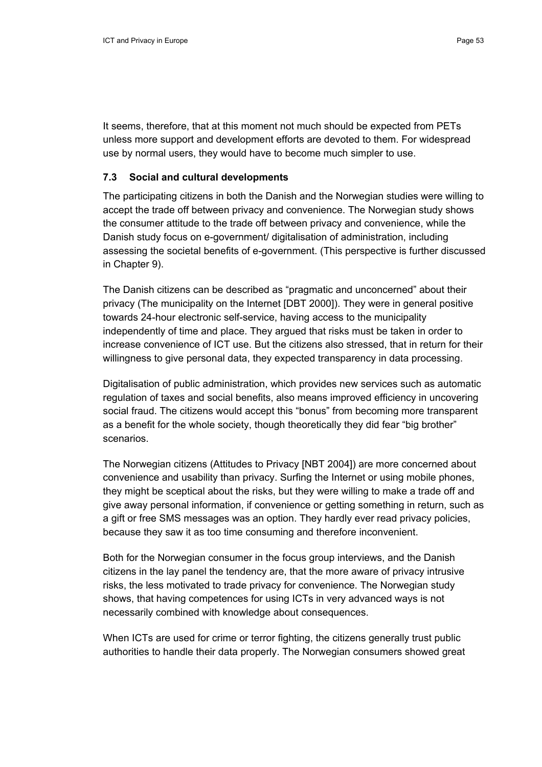It seems, therefore, that at this moment not much should be expected from PETs unless more support and development efforts are devoted to them. For widespread use by normal users, they would have to become much simpler to use.

#### **7.3 Social and cultural developments**

The participating citizens in both the Danish and the Norwegian studies were willing to accept the trade off between privacy and convenience. The Norwegian study shows the consumer attitude to the trade off between privacy and convenience, while the Danish study focus on e-government/ digitalisation of administration, including assessing the societal benefits of e-government. (This perspective is further discussed in Chapter 9).

The Danish citizens can be described as "pragmatic and unconcerned" about their privacy (The municipality on the Internet [DBT 2000]). They were in general positive towards 24-hour electronic self-service, having access to the municipality independently of time and place. They argued that risks must be taken in order to increase convenience of ICT use. But the citizens also stressed, that in return for their willingness to give personal data, they expected transparency in data processing.

Digitalisation of public administration, which provides new services such as automatic regulation of taxes and social benefits, also means improved efficiency in uncovering social fraud. The citizens would accept this "bonus" from becoming more transparent as a benefit for the whole society, though theoretically they did fear "big brother" scenarios.

The Norwegian citizens (Attitudes to Privacy [NBT 2004]) are more concerned about convenience and usability than privacy. Surfing the Internet or using mobile phones, they might be sceptical about the risks, but they were willing to make a trade off and give away personal information, if convenience or getting something in return, such as a gift or free SMS messages was an option. They hardly ever read privacy policies, because they saw it as too time consuming and therefore inconvenient.

Both for the Norwegian consumer in the focus group interviews, and the Danish citizens in the lay panel the tendency are, that the more aware of privacy intrusive risks, the less motivated to trade privacy for convenience. The Norwegian study shows, that having competences for using ICTs in very advanced ways is not necessarily combined with knowledge about consequences.

When ICTs are used for crime or terror fighting, the citizens generally trust public authorities to handle their data properly. The Norwegian consumers showed great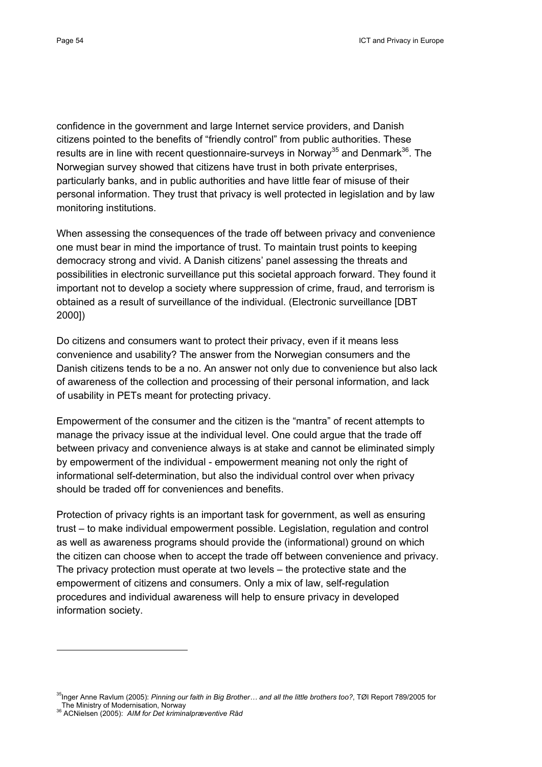confidence in the government and large Internet service providers, and Danish citizens pointed to the benefits of "friendly control" from public authorities. These results are in line with recent questionnaire-surveys in Norway<sup>35</sup> and Denmark<sup>36</sup>. The Norwegian survey showed that citizens have trust in both private enterprises, particularly banks, and in public authorities and have little fear of misuse of their personal information. They trust that privacy is well protected in legislation and by law monitoring institutions.

When assessing the consequences of the trade off between privacy and convenience one must bear in mind the importance of trust. To maintain trust points to keeping democracy strong and vivid. A Danish citizens' panel assessing the threats and possibilities in electronic surveillance put this societal approach forward. They found it important not to develop a society where suppression of crime, fraud, and terrorism is obtained as a result of surveillance of the individual. (Electronic surveillance [DBT 2000])

Do citizens and consumers want to protect their privacy, even if it means less convenience and usability? The answer from the Norwegian consumers and the Danish citizens tends to be a no. An answer not only due to convenience but also lack of awareness of the collection and processing of their personal information, and lack of usability in PETs meant for protecting privacy.

Empowerment of the consumer and the citizen is the "mantra" of recent attempts to manage the privacy issue at the individual level. One could argue that the trade off between privacy and convenience always is at stake and cannot be eliminated simply by empowerment of the individual - empowerment meaning not only the right of informational self-determination, but also the individual control over when privacy should be traded off for conveniences and benefits.

Protection of privacy rights is an important task for government, as well as ensuring trust – to make individual empowerment possible. Legislation, regulation and control as well as awareness programs should provide the (informational) ground on which the citizen can choose when to accept the trade off between convenience and privacy. The privacy protection must operate at two levels – the protective state and the empowerment of citizens and consumers. Only a mix of law, self-regulation procedures and individual awareness will help to ensure privacy in developed information society.

<sup>35</sup>Inger Anne Ravlum (2005): *Pinning our faith in Big Brother… and all the little brothers too?*, TØI Report 789/2005 for The Ministry of Modernisation, Norway 36 ACNielsen (2005): *AIM for Det kriminalpræventive Råd*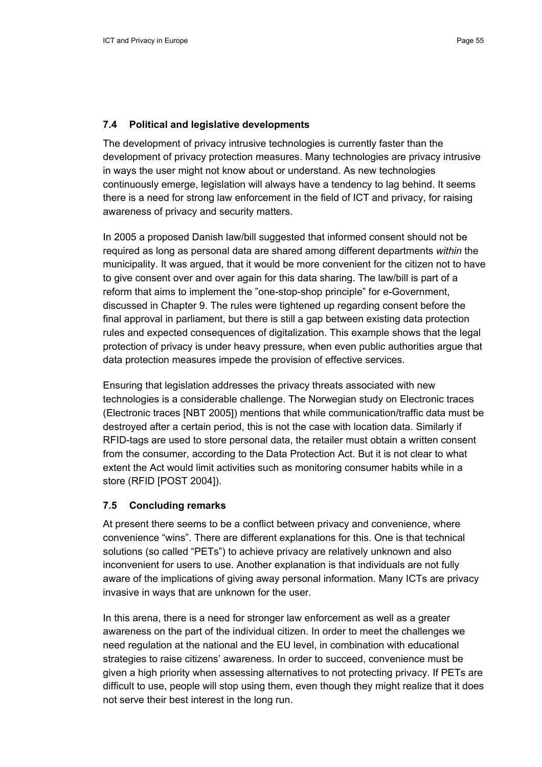#### **7.4 Political and legislative developments**

The development of privacy intrusive technologies is currently faster than the development of privacy protection measures. Many technologies are privacy intrusive in ways the user might not know about or understand. As new technologies continuously emerge, legislation will always have a tendency to lag behind. It seems there is a need for strong law enforcement in the field of ICT and privacy, for raising awareness of privacy and security matters.

In 2005 a proposed Danish law/bill suggested that informed consent should not be required as long as personal data are shared among different departments *within* the municipality. It was argued, that it would be more convenient for the citizen not to have to give consent over and over again for this data sharing. The law/bill is part of a reform that aims to implement the "one-stop-shop principle" for e-Government, discussed in Chapter 9. The rules were tightened up regarding consent before the final approval in parliament, but there is still a gap between existing data protection rules and expected consequences of digitalization. This example shows that the legal protection of privacy is under heavy pressure, when even public authorities argue that data protection measures impede the provision of effective services.

Ensuring that legislation addresses the privacy threats associated with new technologies is a considerable challenge. The Norwegian study on Electronic traces (Electronic traces [NBT 2005]) mentions that while communication/traffic data must be destroyed after a certain period, this is not the case with location data. Similarly if RFID-tags are used to store personal data, the retailer must obtain a written consent from the consumer, according to the Data Protection Act. But it is not clear to what extent the Act would limit activities such as monitoring consumer habits while in a store (RFID [POST 2004]).

#### **7.5 Concluding remarks**

At present there seems to be a conflict between privacy and convenience, where convenience "wins". There are different explanations for this. One is that technical solutions (so called "PETs") to achieve privacy are relatively unknown and also inconvenient for users to use. Another explanation is that individuals are not fully aware of the implications of giving away personal information. Many ICTs are privacy invasive in ways that are unknown for the user.

In this arena, there is a need for stronger law enforcement as well as a greater awareness on the part of the individual citizen. In order to meet the challenges we need regulation at the national and the EU level, in combination with educational strategies to raise citizens' awareness. In order to succeed, convenience must be given a high priority when assessing alternatives to not protecting privacy. If PETs are difficult to use, people will stop using them, even though they might realize that it does not serve their best interest in the long run.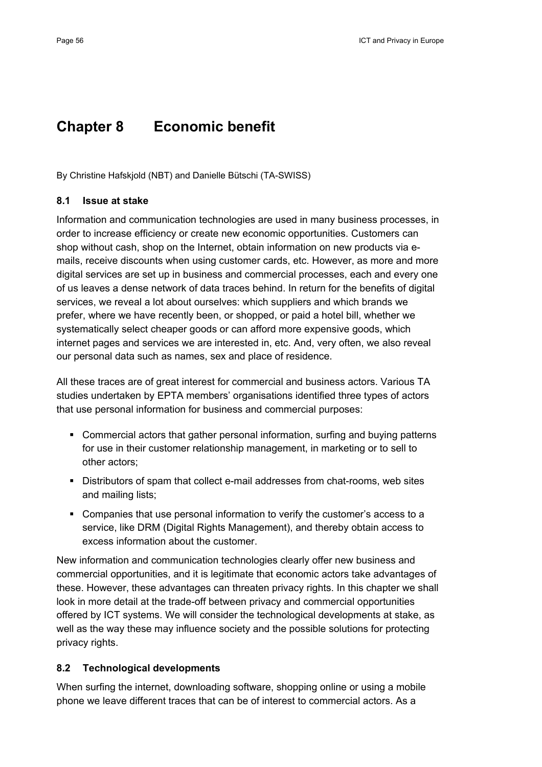# **Chapter 8 Economic benefit**

By Christine Hafskjold (NBT) and Danielle Bütschi (TA-SWISS)

#### **8.1 Issue at stake**

Information and communication technologies are used in many business processes, in order to increase efficiency or create new economic opportunities. Customers can shop without cash, shop on the Internet, obtain information on new products via emails, receive discounts when using customer cards, etc. However, as more and more digital services are set up in business and commercial processes, each and every one of us leaves a dense network of data traces behind. In return for the benefits of digital services, we reveal a lot about ourselves: which suppliers and which brands we prefer, where we have recently been, or shopped, or paid a hotel bill, whether we systematically select cheaper goods or can afford more expensive goods, which internet pages and services we are interested in, etc. And, very often, we also reveal our personal data such as names, sex and place of residence.

All these traces are of great interest for commercial and business actors. Various TA studies undertaken by EPTA members' organisations identified three types of actors that use personal information for business and commercial purposes:

- Commercial actors that gather personal information, surfing and buying patterns for use in their customer relationship management, in marketing or to sell to other actors;
- Distributors of spam that collect e-mail addresses from chat-rooms, web sites and mailing lists;
- Companies that use personal information to verify the customer's access to a service, like DRM (Digital Rights Management), and thereby obtain access to excess information about the customer.

New information and communication technologies clearly offer new business and commercial opportunities, and it is legitimate that economic actors take advantages of these. However, these advantages can threaten privacy rights. In this chapter we shall look in more detail at the trade-off between privacy and commercial opportunities offered by ICT systems. We will consider the technological developments at stake, as well as the way these may influence society and the possible solutions for protecting privacy rights.

#### **8.2 Technological developments**

When surfing the internet, downloading software, shopping online or using a mobile phone we leave different traces that can be of interest to commercial actors. As a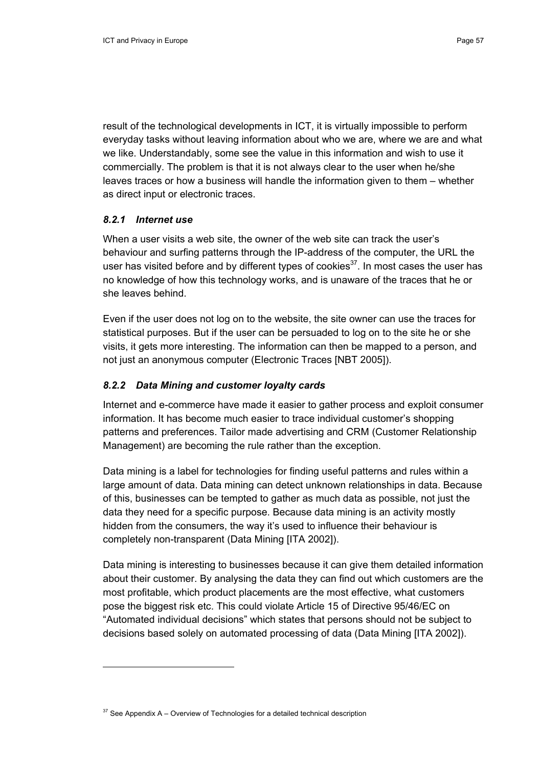result of the technological developments in ICT, it is virtually impossible to perform everyday tasks without leaving information about who we are, where we are and what we like. Understandably, some see the value in this information and wish to use it commercially. The problem is that it is not always clear to the user when he/she leaves traces or how a business will handle the information given to them – whether as direct input or electronic traces.

#### *8.2.1 Internet use*

When a user visits a web site, the owner of the web site can track the user's behaviour and surfing patterns through the IP-address of the computer, the URL the user has visited before and by different types of cookies $37$ . In most cases the user has no knowledge of how this technology works, and is unaware of the traces that he or she leaves behind.

Even if the user does not log on to the website, the site owner can use the traces for statistical purposes. But if the user can be persuaded to log on to the site he or she visits, it gets more interesting. The information can then be mapped to a person, and not just an anonymous computer (Electronic Traces [NBT 2005]).

#### *8.2.2 Data Mining and customer loyalty cards*

Internet and e-commerce have made it easier to gather process and exploit consumer information. It has become much easier to trace individual customer's shopping patterns and preferences. Tailor made advertising and CRM (Customer Relationship Management) are becoming the rule rather than the exception.

Data mining is a label for technologies for finding useful patterns and rules within a large amount of data. Data mining can detect unknown relationships in data. Because of this, businesses can be tempted to gather as much data as possible, not just the data they need for a specific purpose. Because data mining is an activity mostly hidden from the consumers, the way it's used to influence their behaviour is completely non-transparent (Data Mining [ITA 2002]).

Data mining is interesting to businesses because it can give them detailed information about their customer. By analysing the data they can find out which customers are the most profitable, which product placements are the most effective, what customers pose the biggest risk etc. This could violate Article 15 of Directive 95/46/EC on "Automated individual decisions" which states that persons should not be subject to decisions based solely on automated processing of data (Data Mining [ITA 2002]).

 $37$  See Appendix A – Overview of Technologies for a detailed technical description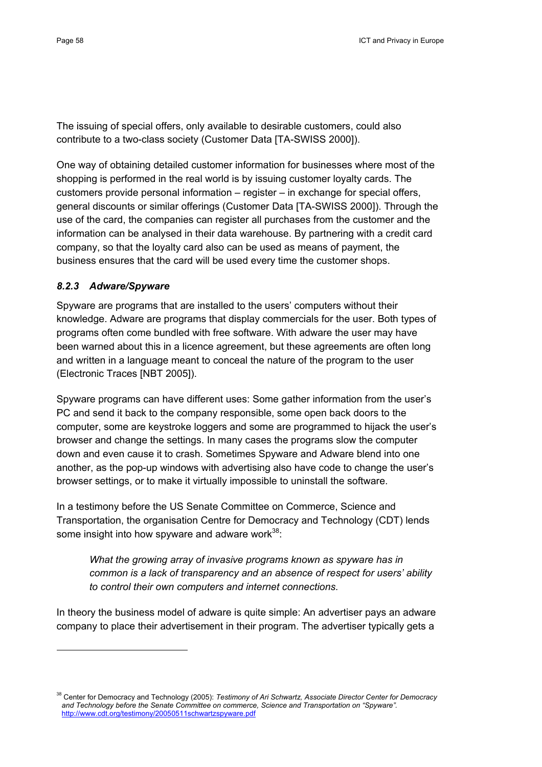The issuing of special offers, only available to desirable customers, could also contribute to a two-class society (Customer Data [TA-SWISS 2000]).

One way of obtaining detailed customer information for businesses where most of the shopping is performed in the real world is by issuing customer loyalty cards. The customers provide personal information – register – in exchange for special offers, general discounts or similar offerings (Customer Data [TA-SWISS 2000]). Through the use of the card, the companies can register all purchases from the customer and the information can be analysed in their data warehouse. By partnering with a credit card company, so that the loyalty card also can be used as means of payment, the business ensures that the card will be used every time the customer shops.

#### *8.2.3 Adware/Spyware*

Spyware are programs that are installed to the users' computers without their knowledge. Adware are programs that display commercials for the user. Both types of programs often come bundled with free software. With adware the user may have been warned about this in a licence agreement, but these agreements are often long and written in a language meant to conceal the nature of the program to the user (Electronic Traces [NBT 2005]).

Spyware programs can have different uses: Some gather information from the user's PC and send it back to the company responsible, some open back doors to the computer, some are keystroke loggers and some are programmed to hijack the user's browser and change the settings. In many cases the programs slow the computer down and even cause it to crash. Sometimes Spyware and Adware blend into one another, as the pop-up windows with advertising also have code to change the user's browser settings, or to make it virtually impossible to uninstall the software.

In a testimony before the US Senate Committee on Commerce, Science and Transportation, the organisation Centre for Democracy and Technology (CDT) lends some insight into how spyware and adware work<sup>38</sup>:

*What the growing array of invasive programs known as spyware has in common is a lack of transparency and an absence of respect for users' ability to control their own computers and internet connections.* 

In theory the business model of adware is quite simple: An advertiser pays an adware company to place their advertisement in their program. The advertiser typically gets a

<sup>38</sup> Center for Democracy and Technology (2005): *Testimony of Ari Schwartz, Associate Director Center for Democracy and Technology before the Senate Committee on commerce, Science and Transportation on "Spyware".*  http://www.cdt.org/testimony/20050511schwartzspyware.pdf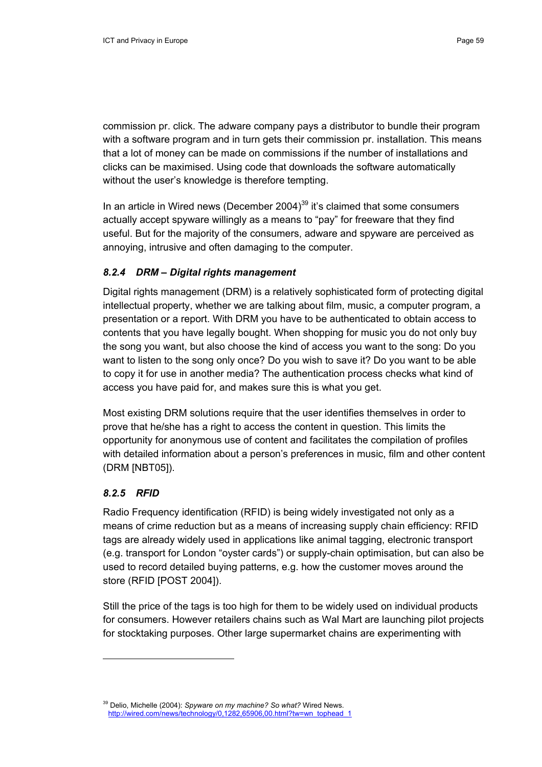commission pr. click. The adware company pays a distributor to bundle their program with a software program and in turn gets their commission pr. installation. This means that a lot of money can be made on commissions if the number of installations and clicks can be maximised. Using code that downloads the software automatically without the user's knowledge is therefore tempting.

In an article in Wired news (December 2004)<sup>39</sup> it's claimed that some consumers actually accept spyware willingly as a means to "pay" for freeware that they find useful. But for the majority of the consumers, adware and spyware are perceived as annoying, intrusive and often damaging to the computer.

#### *8.2.4 DRM – Digital rights management*

Digital rights management (DRM) is a relatively sophisticated form of protecting digital intellectual property, whether we are talking about film, music, a computer program, a presentation or a report. With DRM you have to be authenticated to obtain access to contents that you have legally bought. When shopping for music you do not only buy the song you want, but also choose the kind of access you want to the song: Do you want to listen to the song only once? Do you wish to save it? Do you want to be able to copy it for use in another media? The authentication process checks what kind of access you have paid for, and makes sure this is what you get.

Most existing DRM solutions require that the user identifies themselves in order to prove that he/she has a right to access the content in question. This limits the opportunity for anonymous use of content and facilitates the compilation of profiles with detailed information about a person's preferences in music, film and other content (DRM [NBT05]).

#### *8.2.5 RFID*

Radio Frequency identification (RFID) is being widely investigated not only as a means of crime reduction but as a means of increasing supply chain efficiency: RFID tags are already widely used in applications like animal tagging, electronic transport (e.g. transport for London "oyster cards") or supply-chain optimisation, but can also be used to record detailed buying patterns, e.g. how the customer moves around the store (RFID [POST 2004]).

Still the price of the tags is too high for them to be widely used on individual products for consumers. However retailers chains such as Wal Mart are launching pilot projects for stocktaking purposes. Other large supermarket chains are experimenting with

<sup>39</sup> Delio, Michelle (2004): *Spyware on my machine? So what?* Wired News. http://wired.com/news/technology/0,1282,65906,00.html?tw=wn\_tophead\_1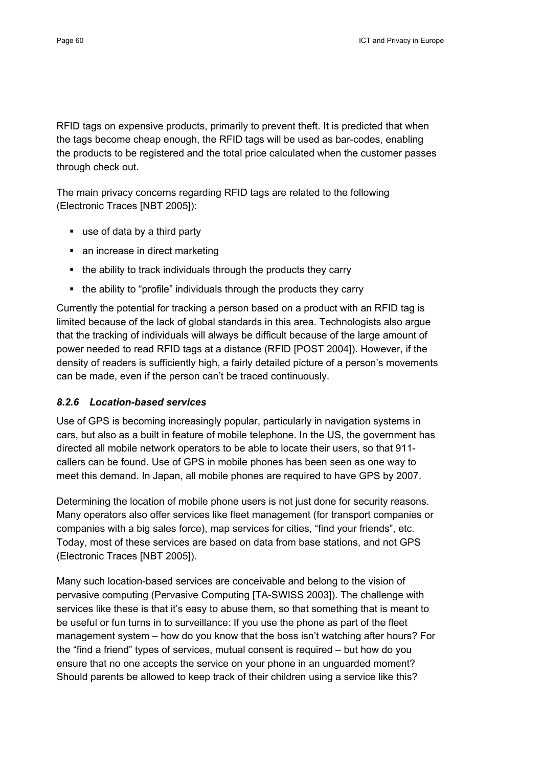RFID tags on expensive products, primarily to prevent theft. It is predicted that when the tags become cheap enough, the RFID tags will be used as bar-codes, enabling the products to be registered and the total price calculated when the customer passes through check out.

The main privacy concerns regarding RFID tags are related to the following (Electronic Traces [NBT 2005]):

- use of data by a third party
- an increase in direct marketing
- the ability to track individuals through the products they carry
- the ability to "profile" individuals through the products they carry

Currently the potential for tracking a person based on a product with an RFID tag is limited because of the lack of global standards in this area. Technologists also argue that the tracking of individuals will always be difficult because of the large amount of power needed to read RFID tags at a distance (RFID [POST 2004]). However, if the density of readers is sufficiently high, a fairly detailed picture of a person's movements can be made, even if the person can't be traced continuously.

#### *8.2.6 Location-based services*

Use of GPS is becoming increasingly popular, particularly in navigation systems in cars, but also as a built in feature of mobile telephone. In the US, the government has directed all mobile network operators to be able to locate their users, so that 911 callers can be found. Use of GPS in mobile phones has been seen as one way to meet this demand. In Japan, all mobile phones are required to have GPS by 2007.

Determining the location of mobile phone users is not just done for security reasons. Many operators also offer services like fleet management (for transport companies or companies with a big sales force), map services for cities, "find your friends", etc. Today, most of these services are based on data from base stations, and not GPS (Electronic Traces [NBT 2005]).

Many such location-based services are conceivable and belong to the vision of pervasive computing (Pervasive Computing [TA-SWISS 2003]). The challenge with services like these is that it's easy to abuse them, so that something that is meant to be useful or fun turns in to surveillance: If you use the phone as part of the fleet management system – how do you know that the boss isn't watching after hours? For the "find a friend" types of services, mutual consent is required – but how do you ensure that no one accepts the service on your phone in an unguarded moment? Should parents be allowed to keep track of their children using a service like this?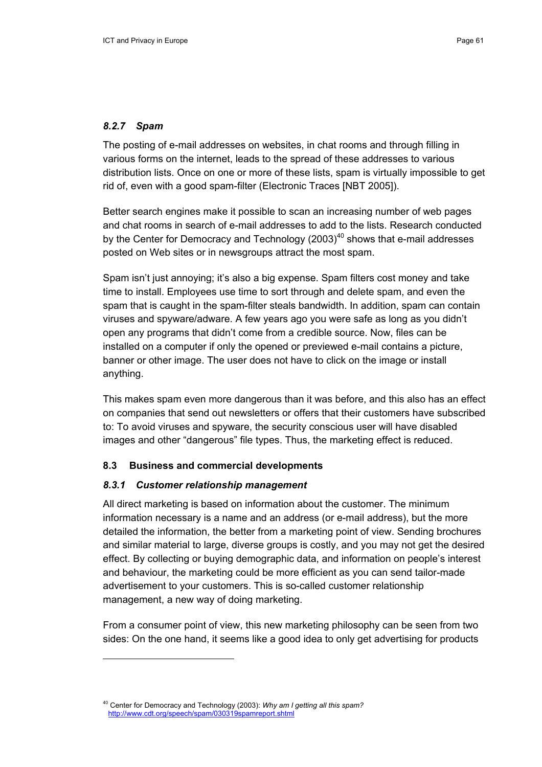#### *8.2.7 Spam*

The posting of e-mail addresses on websites, in chat rooms and through filling in various forms on the internet, leads to the spread of these addresses to various distribution lists. Once on one or more of these lists, spam is virtually impossible to get rid of, even with a good spam-filter (Electronic Traces [NBT 2005]).

Better search engines make it possible to scan an increasing number of web pages and chat rooms in search of e-mail addresses to add to the lists. Research conducted by the Center for Democracy and Technology  $(2003)^{40}$  shows that e-mail addresses posted on Web sites or in newsgroups attract the most spam.

Spam isn't just annoying; it's also a big expense. Spam filters cost money and take time to install. Employees use time to sort through and delete spam, and even the spam that is caught in the spam-filter steals bandwidth. In addition, spam can contain viruses and spyware/adware. A few years ago you were safe as long as you didn't open any programs that didn't come from a credible source. Now, files can be installed on a computer if only the opened or previewed e-mail contains a picture, banner or other image. The user does not have to click on the image or install anything.

This makes spam even more dangerous than it was before, and this also has an effect on companies that send out newsletters or offers that their customers have subscribed to: To avoid viruses and spyware, the security conscious user will have disabled images and other "dangerous" file types. Thus, the marketing effect is reduced.

#### **8.3 Business and commercial developments**

#### *8.3.1 Customer relationship management*

All direct marketing is based on information about the customer. The minimum information necessary is a name and an address (or e-mail address), but the more detailed the information, the better from a marketing point of view. Sending brochures and similar material to large, diverse groups is costly, and you may not get the desired effect. By collecting or buying demographic data, and information on people's interest and behaviour, the marketing could be more efficient as you can send tailor-made advertisement to your customers. This is so-called customer relationship management, a new way of doing marketing.

From a consumer point of view, this new marketing philosophy can be seen from two sides: On the one hand, it seems like a good idea to only get advertising for products

<sup>40</sup> Center for Democracy and Technology (2003): *Why am I getting all this spam?* http://www.cdt.org/speech/spam/030319spamreport.shtml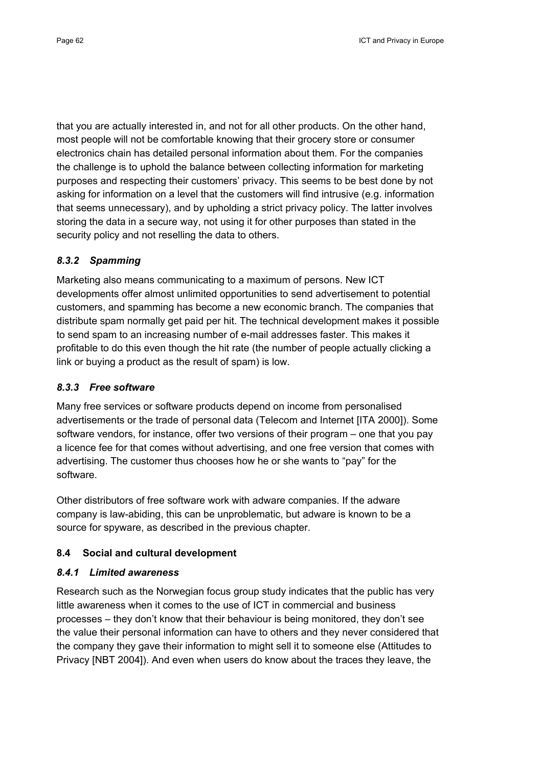that you are actually interested in, and not for all other products. On the other hand, most people will not be comfortable knowing that their grocery store or consumer electronics chain has detailed personal information about them. For the companies the challenge is to uphold the balance between collecting information for marketing purposes and respecting their customers' privacy. This seems to be best done by not asking for information on a level that the customers will find intrusive (e.g. information that seems unnecessary), and by upholding a strict privacy policy. The latter involves storing the data in a secure way, not using it for other purposes than stated in the security policy and not reselling the data to others.

## *8.3.2 Spamming*

Marketing also means communicating to a maximum of persons. New ICT developments offer almost unlimited opportunities to send advertisement to potential customers, and spamming has become a new economic branch. The companies that distribute spam normally get paid per hit. The technical development makes it possible to send spam to an increasing number of e-mail addresses faster. This makes it profitable to do this even though the hit rate (the number of people actually clicking a link or buying a product as the result of spam) is low.

## *8.3.3 Free software*

Many free services or software products depend on income from personalised advertisements or the trade of personal data (Telecom and Internet [ITA 2000]). Some software vendors, for instance, offer two versions of their program – one that you pay a licence fee for that comes without advertising, and one free version that comes with advertising. The customer thus chooses how he or she wants to "pay" for the software.

Other distributors of free software work with adware companies. If the adware company is law-abiding, this can be unproblematic, but adware is known to be a source for spyware, as described in the previous chapter.

## **8.4 Social and cultural development**

## *8.4.1 Limited awareness*

Research such as the Norwegian focus group study indicates that the public has very little awareness when it comes to the use of ICT in commercial and business processes – they don't know that their behaviour is being monitored, they don't see the value their personal information can have to others and they never considered that the company they gave their information to might sell it to someone else (Attitudes to Privacy [NBT 2004]). And even when users do know about the traces they leave, the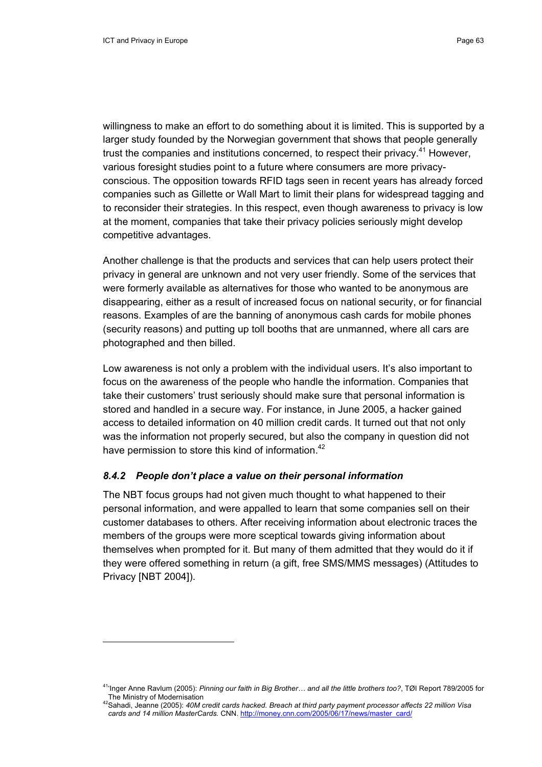$\overline{a}$ 

willingness to make an effort to do something about it is limited. This is supported by a larger study founded by the Norwegian government that shows that people generally trust the companies and institutions concerned, to respect their privacy.<sup>41</sup> However, various foresight studies point to a future where consumers are more privacyconscious. The opposition towards RFID tags seen in recent years has already forced companies such as Gillette or Wall Mart to limit their plans for widespread tagging and to reconsider their strategies. In this respect, even though awareness to privacy is low at the moment, companies that take their privacy policies seriously might develop competitive advantages.

Another challenge is that the products and services that can help users protect their privacy in general are unknown and not very user friendly. Some of the services that were formerly available as alternatives for those who wanted to be anonymous are disappearing, either as a result of increased focus on national security, or for financial reasons. Examples of are the banning of anonymous cash cards for mobile phones (security reasons) and putting up toll booths that are unmanned, where all cars are photographed and then billed.

Low awareness is not only a problem with the individual users. It's also important to focus on the awareness of the people who handle the information. Companies that take their customers' trust seriously should make sure that personal information is stored and handled in a secure way. For instance, in June 2005, a hacker gained access to detailed information on 40 million credit cards. It turned out that not only was the information not properly secured, but also the company in question did not have permission to store this kind of information.<sup>42</sup>

## *8.4.2 People don't place a value on their personal information*

The NBT focus groups had not given much thought to what happened to their personal information, and were appalled to learn that some companies sell on their customer databases to others. After receiving information about electronic traces the members of the groups were more sceptical towards giving information about themselves when prompted for it. But many of them admitted that they would do it if they were offered something in return (a gift, free SMS/MMS messages) (Attitudes to Privacy [NBT 2004]).

<sup>41&#</sup>x27;Inger Anne Ravlum (2005): *Pinning our faith in Big Brother… and all the little brothers too?*, TØI Report 789/2005 for

The Ministry of Modernisation 42Sahadi, Jeanne (2005): *40M credit cards hacked. Breach at third party payment processor affects 22 million Visa cards and 14 million MasterCards.* CNN. http://money.cnn.com/2005/06/17/news/master\_card/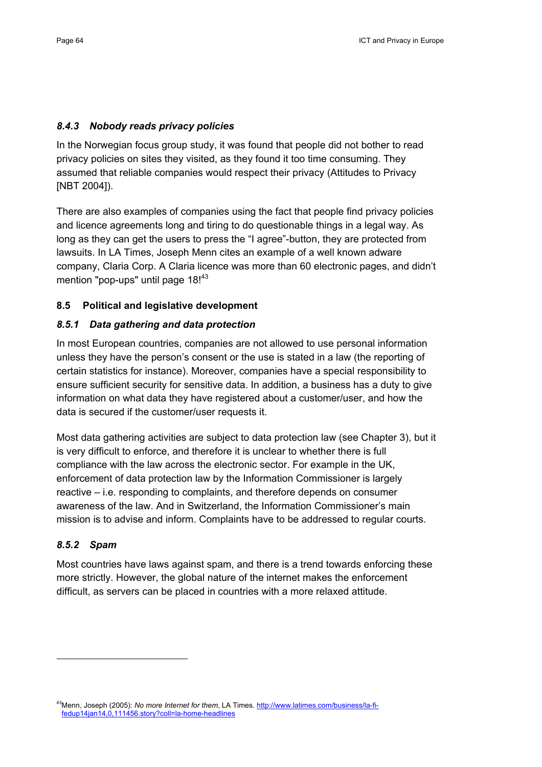#### *8.4.3 Nobody reads privacy policies*

In the Norwegian focus group study, it was found that people did not bother to read privacy policies on sites they visited, as they found it too time consuming. They assumed that reliable companies would respect their privacy (Attitudes to Privacy [NBT 2004]).

There are also examples of companies using the fact that people find privacy policies and licence agreements long and tiring to do questionable things in a legal way. As long as they can get the users to press the "I agree"-button, they are protected from lawsuits. In LA Times, Joseph Menn cites an example of a well known adware company, Claria Corp. A Claria licence was more than 60 electronic pages, and didn't mention "pop-ups" until page 18!<sup>43</sup>

#### **8.5 Political and legislative development**

## *8.5.1 Data gathering and data protection*

In most European countries, companies are not allowed to use personal information unless they have the person's consent or the use is stated in a law (the reporting of certain statistics for instance). Moreover, companies have a special responsibility to ensure sufficient security for sensitive data. In addition, a business has a duty to give information on what data they have registered about a customer/user, and how the data is secured if the customer/user requests it.

Most data gathering activities are subject to data protection law (see Chapter 3), but it is very difficult to enforce, and therefore it is unclear to whether there is full compliance with the law across the electronic sector. For example in the UK, enforcement of data protection law by the Information Commissioner is largely reactive – i.e. responding to complaints, and therefore depends on consumer awareness of the law. And in Switzerland, the Information Commissioner's main mission is to advise and inform. Complaints have to be addressed to regular courts.

## *8.5.2 Spam*

Most countries have laws against spam, and there is a trend towards enforcing these more strictly. However, the global nature of the internet makes the enforcement difficult, as servers can be placed in countries with a more relaxed attitude.

43Menn, Joseph (2005): *No more Internet for them*, LA Times. http://www.latimes.com/business/la-fifedup14jan14,0,111456.story?coll=la-home-headlines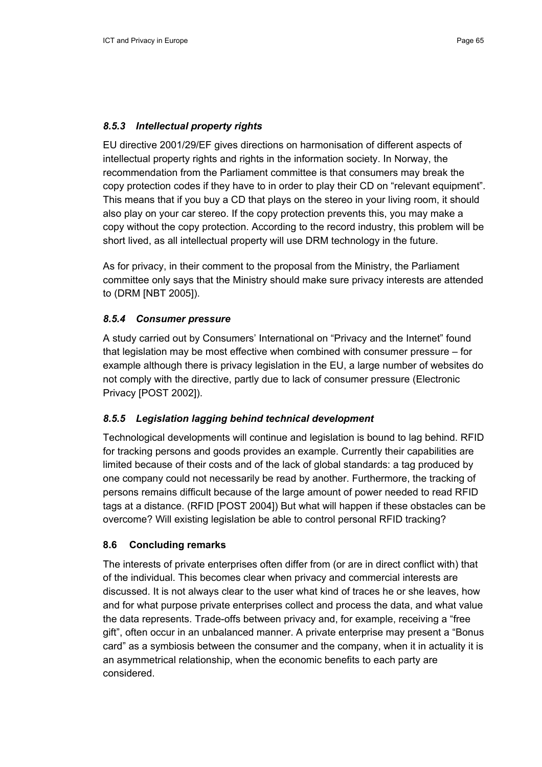#### *8.5.3 Intellectual property rights*

EU directive 2001/29/EF gives directions on harmonisation of different aspects of intellectual property rights and rights in the information society. In Norway, the recommendation from the Parliament committee is that consumers may break the copy protection codes if they have to in order to play their CD on "relevant equipment". This means that if you buy a CD that plays on the stereo in your living room, it should also play on your car stereo. If the copy protection prevents this, you may make a copy without the copy protection. According to the record industry, this problem will be short lived, as all intellectual property will use DRM technology in the future.

As for privacy, in their comment to the proposal from the Ministry, the Parliament committee only says that the Ministry should make sure privacy interests are attended to (DRM [NBT 2005]).

#### *8.5.4 Consumer pressure*

A study carried out by Consumers' International on "Privacy and the Internet" found that legislation may be most effective when combined with consumer pressure – for example although there is privacy legislation in the EU, a large number of websites do not comply with the directive, partly due to lack of consumer pressure (Electronic Privacy [POST 2002]).

#### *8.5.5 Legislation lagging behind technical development*

Technological developments will continue and legislation is bound to lag behind. RFID for tracking persons and goods provides an example. Currently their capabilities are limited because of their costs and of the lack of global standards: a tag produced by one company could not necessarily be read by another. Furthermore, the tracking of persons remains difficult because of the large amount of power needed to read RFID tags at a distance. (RFID [POST 2004]) But what will happen if these obstacles can be overcome? Will existing legislation be able to control personal RFID tracking?

#### **8.6 Concluding remarks**

The interests of private enterprises often differ from (or are in direct conflict with) that of the individual. This becomes clear when privacy and commercial interests are discussed. It is not always clear to the user what kind of traces he or she leaves, how and for what purpose private enterprises collect and process the data, and what value the data represents. Trade-offs between privacy and, for example, receiving a "free gift", often occur in an unbalanced manner. A private enterprise may present a "Bonus card" as a symbiosis between the consumer and the company, when it in actuality it is an asymmetrical relationship, when the economic benefits to each party are considered.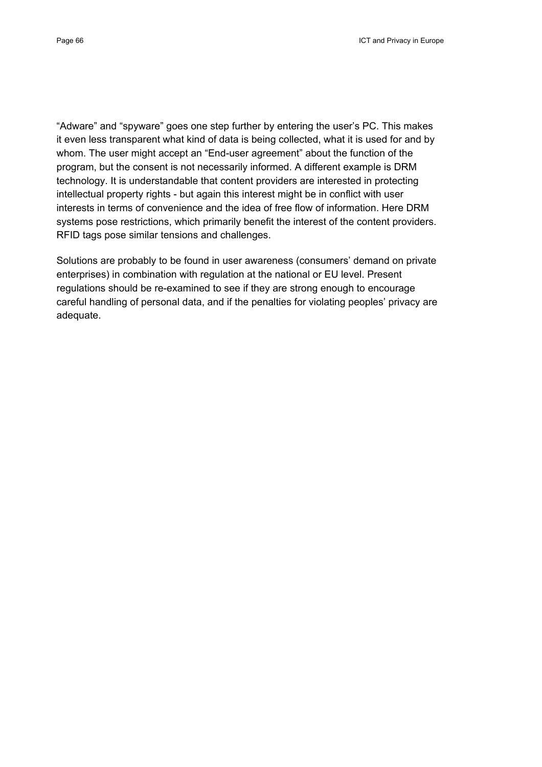"Adware" and "spyware" goes one step further by entering the user's PC. This makes it even less transparent what kind of data is being collected, what it is used for and by whom. The user might accept an "End-user agreement" about the function of the program, but the consent is not necessarily informed. A different example is DRM technology. It is understandable that content providers are interested in protecting intellectual property rights - but again this interest might be in conflict with user interests in terms of convenience and the idea of free flow of information. Here DRM systems pose restrictions, which primarily benefit the interest of the content providers. RFID tags pose similar tensions and challenges.

Solutions are probably to be found in user awareness (consumers' demand on private enterprises) in combination with regulation at the national or EU level. Present regulations should be re-examined to see if they are strong enough to encourage careful handling of personal data, and if the penalties for violating peoples' privacy are adequate.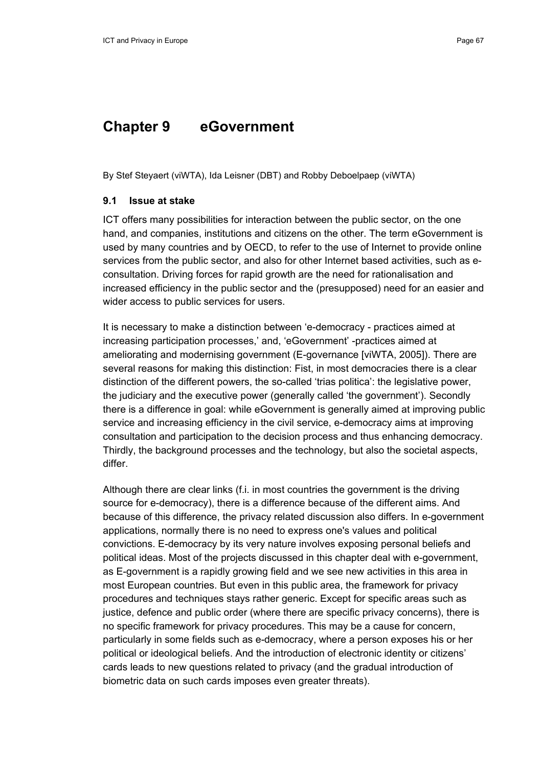## **Chapter 9 eGovernment**

By Stef Steyaert (viWTA), Ida Leisner (DBT) and Robby Deboelpaep (viWTA)

#### **9.1 Issue at stake**

ICT offers many possibilities for interaction between the public sector, on the one hand, and companies, institutions and citizens on the other. The term eGovernment is used by many countries and by OECD, to refer to the use of Internet to provide online services from the public sector, and also for other Internet based activities, such as econsultation. Driving forces for rapid growth are the need for rationalisation and increased efficiency in the public sector and the (presupposed) need for an easier and wider access to public services for users.

It is necessary to make a distinction between 'e-democracy - practices aimed at increasing participation processes,' and, 'eGovernment' -practices aimed at ameliorating and modernising government (E-governance [viWTA, 2005]). There are several reasons for making this distinction: Fist, in most democracies there is a clear distinction of the different powers, the so-called 'trias politica': the legislative power, the judiciary and the executive power (generally called 'the government'). Secondly there is a difference in goal: while eGovernment is generally aimed at improving public service and increasing efficiency in the civil service, e-democracy aims at improving consultation and participation to the decision process and thus enhancing democracy. Thirdly, the background processes and the technology, but also the societal aspects, differ.

Although there are clear links (f.i. in most countries the government is the driving source for e-democracy), there is a difference because of the different aims. And because of this difference, the privacy related discussion also differs. In e-government applications, normally there is no need to express one's values and political convictions. E-democracy by its very nature involves exposing personal beliefs and political ideas. Most of the projects discussed in this chapter deal with e-government, as E-government is a rapidly growing field and we see new activities in this area in most European countries. But even in this public area, the framework for privacy procedures and techniques stays rather generic. Except for specific areas such as justice, defence and public order (where there are specific privacy concerns), there is no specific framework for privacy procedures. This may be a cause for concern, particularly in some fields such as e-democracy, where a person exposes his or her political or ideological beliefs. And the introduction of electronic identity or citizens' cards leads to new questions related to privacy (and the gradual introduction of biometric data on such cards imposes even greater threats).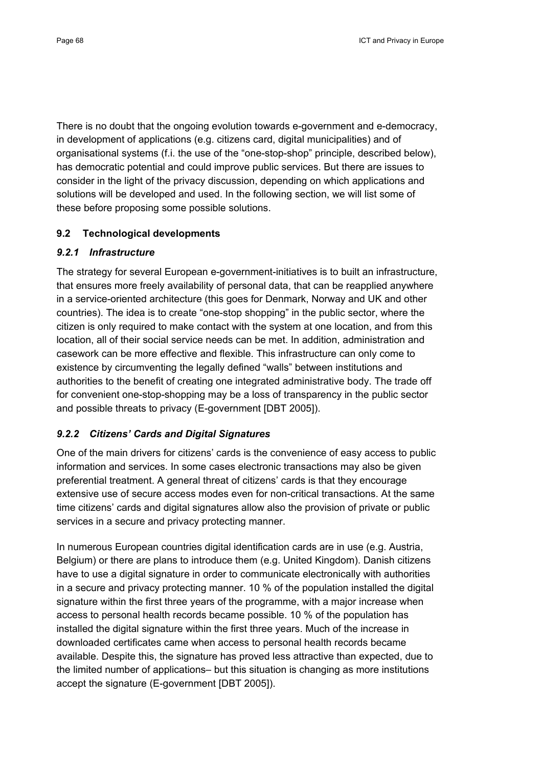There is no doubt that the ongoing evolution towards e-government and e-democracy, in development of applications (e.g. citizens card, digital municipalities) and of organisational systems (f.i. the use of the "one-stop-shop" principle, described below), has democratic potential and could improve public services. But there are issues to consider in the light of the privacy discussion, depending on which applications and solutions will be developed and used. In the following section, we will list some of these before proposing some possible solutions.

## **9.2 Technological developments**

## *9.2.1 Infrastructure*

The strategy for several European e-government-initiatives is to built an infrastructure, that ensures more freely availability of personal data, that can be reapplied anywhere in a service-oriented architecture (this goes for Denmark, Norway and UK and other countries). The idea is to create "one-stop shopping" in the public sector, where the citizen is only required to make contact with the system at one location, and from this location, all of their social service needs can be met. In addition, administration and casework can be more effective and flexible. This infrastructure can only come to existence by circumventing the legally defined "walls" between institutions and authorities to the benefit of creating one integrated administrative body. The trade off for convenient one-stop-shopping may be a loss of transparency in the public sector and possible threats to privacy (E-government [DBT 2005]).

## *9.2.2 Citizens' Cards and Digital Signatures*

One of the main drivers for citizens' cards is the convenience of easy access to public information and services. In some cases electronic transactions may also be given preferential treatment. A general threat of citizens' cards is that they encourage extensive use of secure access modes even for non-critical transactions. At the same time citizens' cards and digital signatures allow also the provision of private or public services in a secure and privacy protecting manner.

In numerous European countries digital identification cards are in use (e.g. Austria, Belgium) or there are plans to introduce them (e.g. United Kingdom). Danish citizens have to use a digital signature in order to communicate electronically with authorities in a secure and privacy protecting manner. 10 % of the population installed the digital signature within the first three years of the programme, with a major increase when access to personal health records became possible. 10 % of the population has installed the digital signature within the first three years. Much of the increase in downloaded certificates came when access to personal health records became available. Despite this, the signature has proved less attractive than expected, due to the limited number of applications– but this situation is changing as more institutions accept the signature (E-government [DBT 2005]).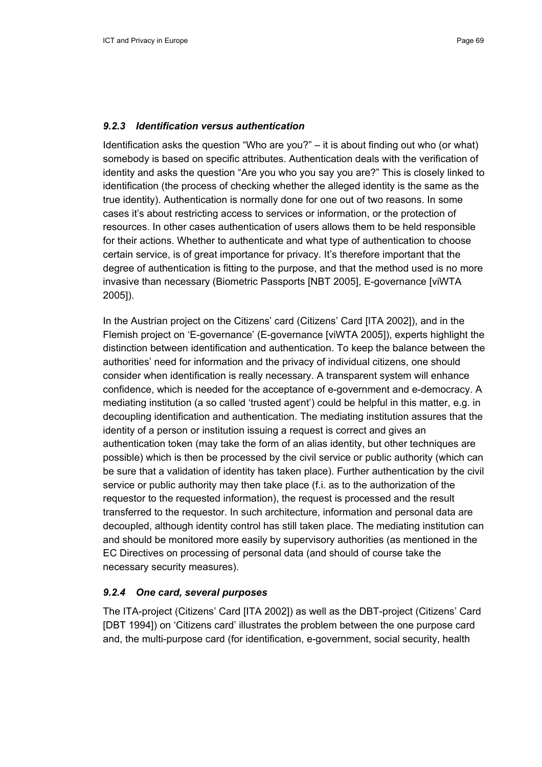#### *9.2.3 Identification versus authentication*

Identification asks the question "Who are you?" – it is about finding out who (or what) somebody is based on specific attributes. Authentication deals with the verification of identity and asks the question "Are you who you say you are?" This is closely linked to identification (the process of checking whether the alleged identity is the same as the true identity). Authentication is normally done for one out of two reasons. In some cases it's about restricting access to services or information, or the protection of resources. In other cases authentication of users allows them to be held responsible for their actions. Whether to authenticate and what type of authentication to choose certain service, is of great importance for privacy. It's therefore important that the degree of authentication is fitting to the purpose, and that the method used is no more invasive than necessary (Biometric Passports [NBT 2005], E-governance [viWTA 2005]).

In the Austrian project on the Citizens' card (Citizens' Card [ITA 2002]), and in the Flemish project on 'E-governance' (E-governance [viWTA 2005]), experts highlight the distinction between identification and authentication. To keep the balance between the authorities' need for information and the privacy of individual citizens, one should consider when identification is really necessary. A transparent system will enhance confidence, which is needed for the acceptance of e-government and e-democracy. A mediating institution (a so called 'trusted agent') could be helpful in this matter, e.g. in decoupling identification and authentication. The mediating institution assures that the identity of a person or institution issuing a request is correct and gives an authentication token (may take the form of an alias identity, but other techniques are possible) which is then be processed by the civil service or public authority (which can be sure that a validation of identity has taken place). Further authentication by the civil service or public authority may then take place (f.i. as to the authorization of the requestor to the requested information), the request is processed and the result transferred to the requestor. In such architecture, information and personal data are decoupled, although identity control has still taken place. The mediating institution can and should be monitored more easily by supervisory authorities (as mentioned in the EC Directives on processing of personal data (and should of course take the necessary security measures).

#### *9.2.4 One card, several purposes*

The ITA-project (Citizens' Card [ITA 2002]) as well as the DBT-project (Citizens' Card [DBT 1994]) on 'Citizens card' illustrates the problem between the one purpose card and, the multi-purpose card (for identification, e-government, social security, health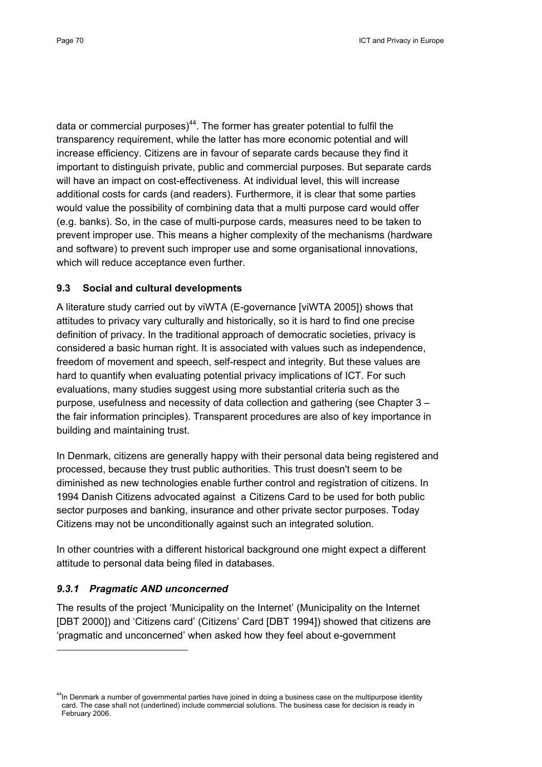data or commercial purposes) $44$ . The former has greater potential to fulfil the transparency requirement, while the latter has more economic potential and will increase efficiency. Citizens are in favour of separate cards because they find it important to distinguish private, public and commercial purposes. But separate cards will have an impact on cost-effectiveness. At individual level, this will increase additional costs for cards (and readers). Furthermore, it is clear that some parties would value the possibility of combining data that a multi purpose card would offer (e.g. banks). So, in the case of multi-purpose cards, measures need to be taken to prevent improper use. This means a higher complexity of the mechanisms (hardware and software) to prevent such improper use and some organisational innovations, which will reduce acceptance even further.

## **9.3 Social and cultural developments**

A literature study carried out by viWTA (E-governance [viWTA 2005]) shows that attitudes to privacy vary culturally and historically, so it is hard to find one precise definition of privacy. In the traditional approach of democratic societies, privacy is considered a basic human right. It is associated with values such as independence, freedom of movement and speech, self-respect and integrity. But these values are hard to quantify when evaluating potential privacy implications of ICT. For such evaluations, many studies suggest using more substantial criteria such as the purpose, usefulness and necessity of data collection and gathering (see Chapter 3 – the fair information principles). Transparent procedures are also of key importance in building and maintaining trust.

In Denmark, citizens are generally happy with their personal data being registered and processed, because they trust public authorities. This trust doesn't seem to be diminished as new technologies enable further control and registration of citizens. In 1994 Danish Citizens advocated against a Citizens Card to be used for both public sector purposes and banking, insurance and other private sector purposes. Today Citizens may not be unconditionally against such an integrated solution.

In other countries with a different historical background one might expect a different attitude to personal data being filed in databases.

## *9.3.1 Pragmatic AND unconcerned*

The results of the project 'Municipality on the Internet' (Municipality on the Internet [DBT 2000]) and 'Citizens card' (Citizens' Card [DBT 1994]) showed that citizens are 'pragmatic and unconcerned' when asked how they feel about e-government

<sup>&</sup>lt;sup>44</sup>In Denmark a number of governmental parties have joined in doing a business case on the multipurpose identity card. The case shall not (underlined) include commercial solutions. The business case for decision is ready in February 2006.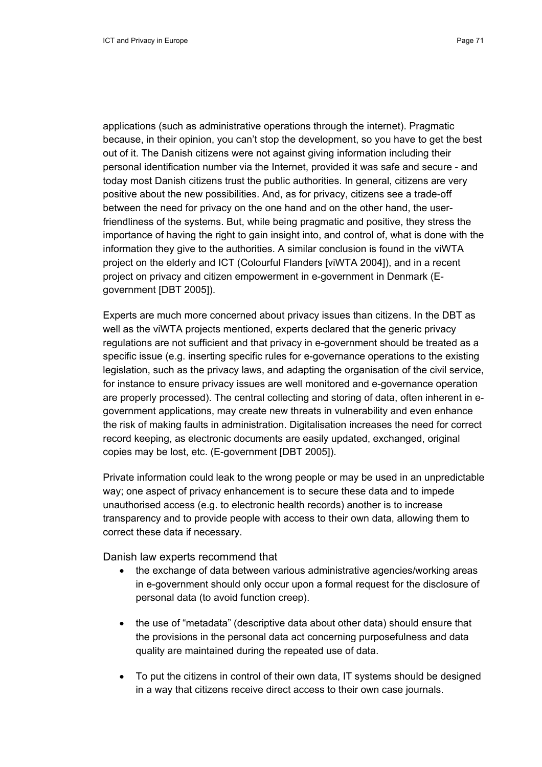applications (such as administrative operations through the internet). Pragmatic because, in their opinion, you can't stop the development, so you have to get the best out of it. The Danish citizens were not against giving information including their personal identification number via the Internet, provided it was safe and secure - and today most Danish citizens trust the public authorities. In general, citizens are very positive about the new possibilities. And, as for privacy, citizens see a trade-off between the need for privacy on the one hand and on the other hand, the userfriendliness of the systems. But, while being pragmatic and positive, they stress the importance of having the right to gain insight into, and control of, what is done with the information they give to the authorities. A similar conclusion is found in the viWTA project on the elderly and ICT (Colourful Flanders [viWTA 2004]), and in a recent project on privacy and citizen empowerment in e-government in Denmark (Egovernment [DBT 2005]).

Experts are much more concerned about privacy issues than citizens. In the DBT as well as the viWTA projects mentioned, experts declared that the generic privacy regulations are not sufficient and that privacy in e-government should be treated as a specific issue (e.g. inserting specific rules for e-governance operations to the existing legislation, such as the privacy laws, and adapting the organisation of the civil service, for instance to ensure privacy issues are well monitored and e-governance operation are properly processed). The central collecting and storing of data, often inherent in egovernment applications, may create new threats in vulnerability and even enhance the risk of making faults in administration. Digitalisation increases the need for correct record keeping, as electronic documents are easily updated, exchanged, original copies may be lost, etc. (E-government [DBT 2005]).

Private information could leak to the wrong people or may be used in an unpredictable way; one aspect of privacy enhancement is to secure these data and to impede unauthorised access (e.g. to electronic health records) another is to increase transparency and to provide people with access to their own data, allowing them to correct these data if necessary.

Danish law experts recommend that

- the exchange of data between various administrative agencies/working areas in e-government should only occur upon a formal request for the disclosure of personal data (to avoid function creep).
- the use of "metadata" (descriptive data about other data) should ensure that the provisions in the personal data act concerning purposefulness and data quality are maintained during the repeated use of data.
- To put the citizens in control of their own data, IT systems should be designed in a way that citizens receive direct access to their own case journals.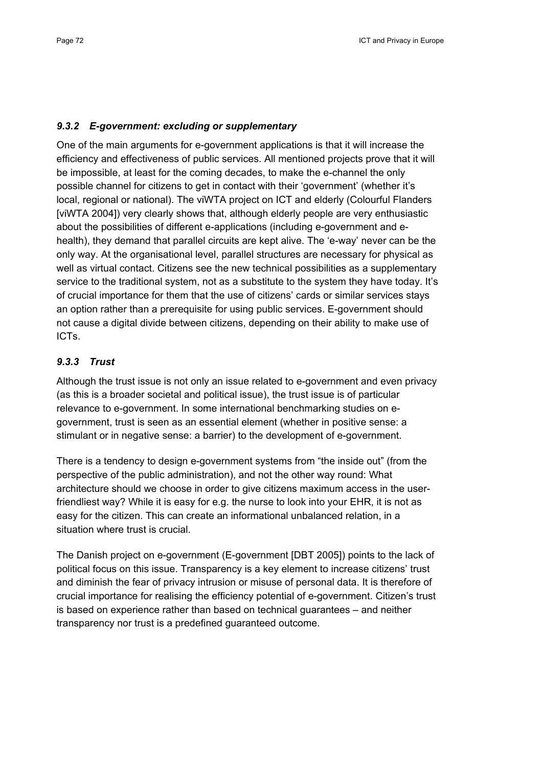#### *9.3.2 E-government: excluding or supplementary*

One of the main arguments for e-government applications is that it will increase the efficiency and effectiveness of public services. All mentioned projects prove that it will be impossible, at least for the coming decades, to make the e-channel the only possible channel for citizens to get in contact with their 'government' (whether it's local, regional or national). The viWTA project on ICT and elderly (Colourful Flanders [viWTA 2004]) very clearly shows that, although elderly people are very enthusiastic about the possibilities of different e-applications (including e-government and ehealth), they demand that parallel circuits are kept alive. The 'e-way' never can be the only way. At the organisational level, parallel structures are necessary for physical as well as virtual contact. Citizens see the new technical possibilities as a supplementary service to the traditional system, not as a substitute to the system they have today. It's of crucial importance for them that the use of citizens' cards or similar services stays an option rather than a prerequisite for using public services. E-government should not cause a digital divide between citizens, depending on their ability to make use of ICTs.

## *9.3.3 Trust*

Although the trust issue is not only an issue related to e-government and even privacy (as this is a broader societal and political issue), the trust issue is of particular relevance to e-government. In some international benchmarking studies on egovernment, trust is seen as an essential element (whether in positive sense: a stimulant or in negative sense: a barrier) to the development of e-government.

There is a tendency to design e-government systems from "the inside out" (from the perspective of the public administration), and not the other way round: What architecture should we choose in order to give citizens maximum access in the userfriendliest way? While it is easy for e.g. the nurse to look into your EHR, it is not as easy for the citizen. This can create an informational unbalanced relation, in a situation where trust is crucial.

The Danish project on e-government (E-government [DBT 2005]) points to the lack of political focus on this issue. Transparency is a key element to increase citizens' trust and diminish the fear of privacy intrusion or misuse of personal data. It is therefore of crucial importance for realising the efficiency potential of e-government. Citizen's trust is based on experience rather than based on technical guarantees – and neither transparency nor trust is a predefined guaranteed outcome.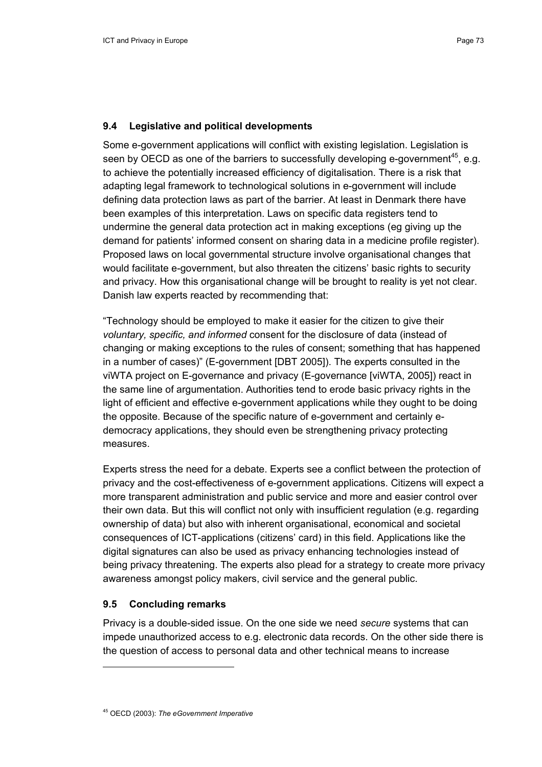#### **9.4 Legislative and political developments**

Some e-government applications will conflict with existing legislation. Legislation is seen by OECD as one of the barriers to successfully developing e-government<sup>45</sup>, e.g. to achieve the potentially increased efficiency of digitalisation. There is a risk that adapting legal framework to technological solutions in e-government will include defining data protection laws as part of the barrier. At least in Denmark there have been examples of this interpretation. Laws on specific data registers tend to undermine the general data protection act in making exceptions (eg giving up the demand for patients' informed consent on sharing data in a medicine profile register). Proposed laws on local governmental structure involve organisational changes that would facilitate e-government, but also threaten the citizens' basic rights to security and privacy. How this organisational change will be brought to reality is yet not clear. Danish law experts reacted by recommending that:

"Technology should be employed to make it easier for the citizen to give their *voluntary, specific, and informed* consent for the disclosure of data (instead of changing or making exceptions to the rules of consent; something that has happened in a number of cases)" (E-government [DBT 2005]). The experts consulted in the viWTA project on E-governance and privacy (E-governance [viWTA, 2005]) react in the same line of argumentation. Authorities tend to erode basic privacy rights in the light of efficient and effective e-government applications while they ought to be doing the opposite. Because of the specific nature of e-government and certainly edemocracy applications, they should even be strengthening privacy protecting measures.

Experts stress the need for a debate. Experts see a conflict between the protection of privacy and the cost-effectiveness of e-government applications. Citizens will expect a more transparent administration and public service and more and easier control over their own data. But this will conflict not only with insufficient regulation (e.g. regarding ownership of data) but also with inherent organisational, economical and societal consequences of ICT-applications (citizens' card) in this field. Applications like the digital signatures can also be used as privacy enhancing technologies instead of being privacy threatening. The experts also plead for a strategy to create more privacy awareness amongst policy makers, civil service and the general public.

# **9.5 Concluding remarks**

Privacy is a double-sided issue. On the one side we need *secure* systems that can impede unauthorized access to e.g. electronic data records. On the other side there is the question of access to personal data and other technical means to increase

<sup>45</sup> OECD (2003): *The eGovernment Imperative*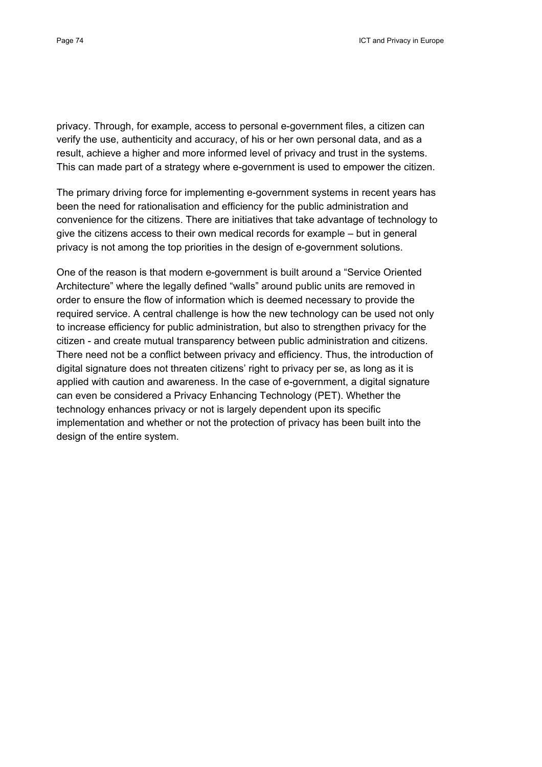privacy. Through, for example, access to personal e-government files, a citizen can verify the use, authenticity and accuracy, of his or her own personal data, and as a result, achieve a higher and more informed level of privacy and trust in the systems. This can made part of a strategy where e-government is used to empower the citizen.

The primary driving force for implementing e-government systems in recent years has been the need for rationalisation and efficiency for the public administration and convenience for the citizens. There are initiatives that take advantage of technology to give the citizens access to their own medical records for example – but in general privacy is not among the top priorities in the design of e-government solutions.

One of the reason is that modern e-government is built around a "Service Oriented Architecture" where the legally defined "walls" around public units are removed in order to ensure the flow of information which is deemed necessary to provide the required service. A central challenge is how the new technology can be used not only to increase efficiency for public administration, but also to strengthen privacy for the citizen - and create mutual transparency between public administration and citizens. There need not be a conflict between privacy and efficiency. Thus, the introduction of digital signature does not threaten citizens' right to privacy per se, as long as it is applied with caution and awareness. In the case of e-government, a digital signature can even be considered a Privacy Enhancing Technology (PET). Whether the technology enhances privacy or not is largely dependent upon its specific implementation and whether or not the protection of privacy has been built into the design of the entire system.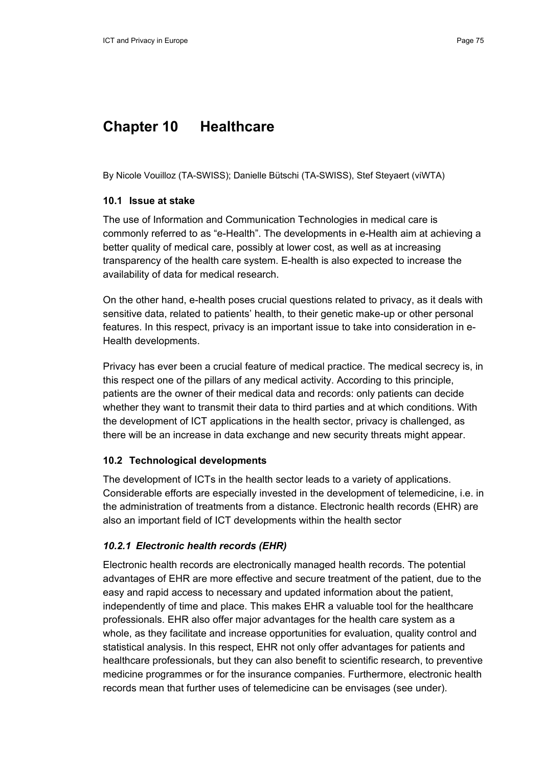# **Chapter 10 Healthcare**

By Nicole Vouilloz (TA-SWISS); Danielle Bütschi (TA-SWISS), Stef Steyaert (viWTA)

## **10.1 Issue at stake**

The use of Information and Communication Technologies in medical care is commonly referred to as "e-Health". The developments in e-Health aim at achieving a better quality of medical care, possibly at lower cost, as well as at increasing transparency of the health care system. E-health is also expected to increase the availability of data for medical research.

On the other hand, e-health poses crucial questions related to privacy, as it deals with sensitive data, related to patients' health, to their genetic make-up or other personal features. In this respect, privacy is an important issue to take into consideration in e-Health developments.

Privacy has ever been a crucial feature of medical practice. The medical secrecy is, in this respect one of the pillars of any medical activity. According to this principle, patients are the owner of their medical data and records: only patients can decide whether they want to transmit their data to third parties and at which conditions. With the development of ICT applications in the health sector, privacy is challenged, as there will be an increase in data exchange and new security threats might appear.

# **10.2 Technological developments**

The development of ICTs in the health sector leads to a variety of applications. Considerable efforts are especially invested in the development of telemedicine, i.e. in the administration of treatments from a distance. Electronic health records (EHR) are also an important field of ICT developments within the health sector

# *10.2.1 Electronic health records (EHR)*

Electronic health records are electronically managed health records. The potential advantages of EHR are more effective and secure treatment of the patient, due to the easy and rapid access to necessary and updated information about the patient, independently of time and place. This makes EHR a valuable tool for the healthcare professionals. EHR also offer major advantages for the health care system as a whole, as they facilitate and increase opportunities for evaluation, quality control and statistical analysis. In this respect, EHR not only offer advantages for patients and healthcare professionals, but they can also benefit to scientific research, to preventive medicine programmes or for the insurance companies. Furthermore, electronic health records mean that further uses of telemedicine can be envisages (see under).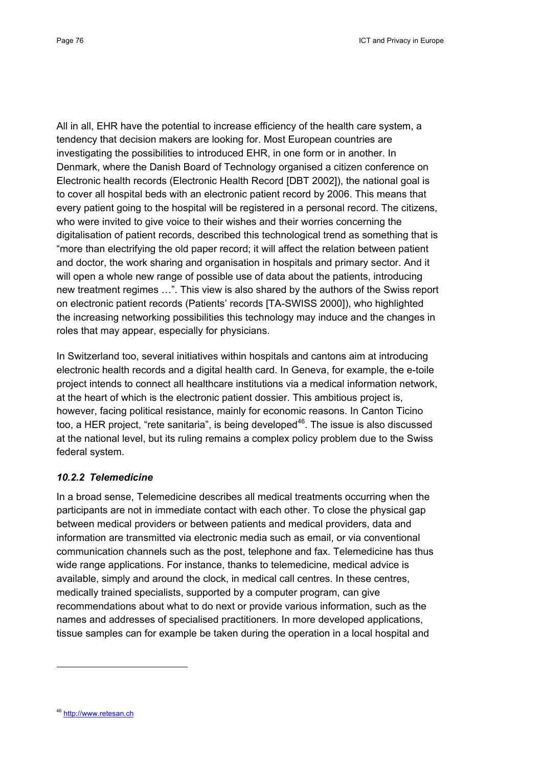All in all, EHR have the potential to increase efficiency of the health care system, a tendency that decision makers are looking for. Most European countries are investigating the possibilities to introduced EHR, in one form or in another. In Denmark, where the Danish Board of Technology organised a citizen conference on Electronic health records (Electronic Health Record [DBT 2002]), the national goal is to cover all hospital beds with an electronic patient record by 2006. This means that every patient going to the hospital will be registered in a personal record. The citizens, who were invited to give voice to their wishes and their worries concerning the digitalisation of patient records, described this technological trend as something that is "more than electrifying the old paper record; it will affect the relation between patient and doctor, the work sharing and organisation in hospitals and primary sector. And it will open a whole new range of possible use of data about the patients, introducing new treatment regimes …". This view is also shared by the authors of the Swiss report on electronic patient records (Patients' records [TA-SWISS 2000]), who highlighted the increasing networking possibilities this technology may induce and the changes in roles that may appear, especially for physicians.

In Switzerland too, several initiatives within hospitals and cantons aim at introducing electronic health records and a digital health card. In Geneva, for example, the e-toile project intends to connect all healthcare institutions via a medical information network, at the heart of which is the electronic patient dossier. This ambitious project is, however, facing political resistance, mainly for economic reasons. In Canton Ticino too, a HER project, "rete sanitaria", is being developed $46$ . The issue is also discussed at the national level, but its ruling remains a complex policy problem due to the Swiss federal system.

# *10.2.2 Telemedicine*

In a broad sense, Telemedicine describes all medical treatments occurring when the participants are not in immediate contact with each other. To close the physical gap between medical providers or between patients and medical providers, data and information are transmitted via electronic media such as email, or via conventional communication channels such as the post, telephone and fax. Telemedicine has thus wide range applications. For instance, thanks to telemedicine, medical advice is available, simply and around the clock, in medical call centres. In these centres, medically trained specialists, supported by a computer program, can give recommendations about what to do next or provide various information, such as the names and addresses of specialised practitioners. In more developed applications, tissue samples can for example be taken during the operation in a local hospital and

<sup>46</sup> http://www.retesan.ch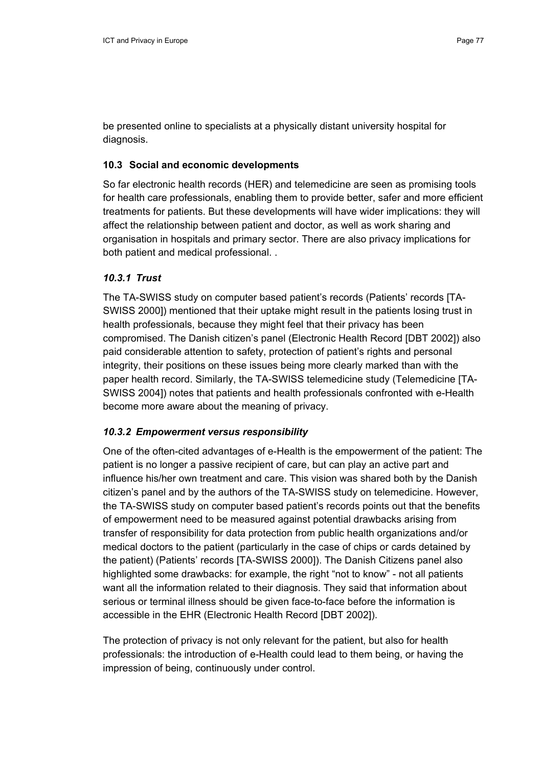be presented online to specialists at a physically distant university hospital for diagnosis.

### **10.3 Social and economic developments**

So far electronic health records (HER) and telemedicine are seen as promising tools for health care professionals, enabling them to provide better, safer and more efficient treatments for patients. But these developments will have wider implications: they will affect the relationship between patient and doctor, as well as work sharing and organisation in hospitals and primary sector. There are also privacy implications for both patient and medical professional. .

# *10.3.1 Trust*

The TA-SWISS study on computer based patient's records (Patients' records [TA-SWISS 2000]) mentioned that their uptake might result in the patients losing trust in health professionals, because they might feel that their privacy has been compromised. The Danish citizen's panel (Electronic Health Record [DBT 2002]) also paid considerable attention to safety, protection of patient's rights and personal integrity, their positions on these issues being more clearly marked than with the paper health record. Similarly, the TA-SWISS telemedicine study (Telemedicine [TA-SWISS 2004]) notes that patients and health professionals confronted with e-Health become more aware about the meaning of privacy.

# *10.3.2 Empowerment versus responsibility*

One of the often-cited advantages of e-Health is the empowerment of the patient: The patient is no longer a passive recipient of care, but can play an active part and influence his/her own treatment and care. This vision was shared both by the Danish citizen's panel and by the authors of the TA-SWISS study on telemedicine. However, the TA-SWISS study on computer based patient's records points out that the benefits of empowerment need to be measured against potential drawbacks arising from transfer of responsibility for data protection from public health organizations and/or medical doctors to the patient (particularly in the case of chips or cards detained by the patient) (Patients' records [TA-SWISS 2000]). The Danish Citizens panel also highlighted some drawbacks: for example, the right "not to know" - not all patients want all the information related to their diagnosis. They said that information about serious or terminal illness should be given face-to-face before the information is accessible in the EHR (Electronic Health Record [DBT 2002]).

The protection of privacy is not only relevant for the patient, but also for health professionals: the introduction of e-Health could lead to them being, or having the impression of being, continuously under control.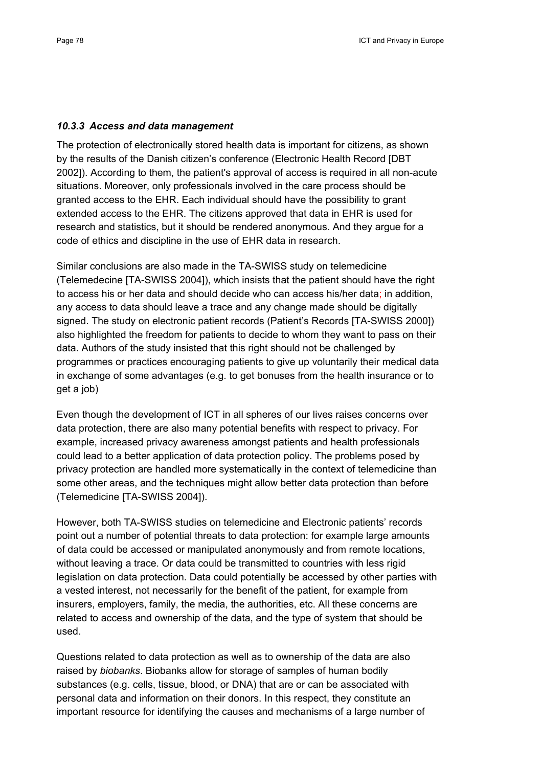#### *10.3.3 Access and data management*

The protection of electronically stored health data is important for citizens, as shown by the results of the Danish citizen's conference (Electronic Health Record [DBT 2002]). According to them, the patient's approval of access is required in all non-acute situations. Moreover, only professionals involved in the care process should be granted access to the EHR. Each individual should have the possibility to grant extended access to the EHR. The citizens approved that data in EHR is used for research and statistics, but it should be rendered anonymous. And they argue for a code of ethics and discipline in the use of EHR data in research.

Similar conclusions are also made in the TA-SWISS study on telemedicine (Telemedecine [TA-SWISS 2004]), which insists that the patient should have the right to access his or her data and should decide who can access his/her data; in addition, any access to data should leave a trace and any change made should be digitally signed. The study on electronic patient records (Patient's Records [TA-SWISS 2000]) also highlighted the freedom for patients to decide to whom they want to pass on their data. Authors of the study insisted that this right should not be challenged by programmes or practices encouraging patients to give up voluntarily their medical data in exchange of some advantages (e.g. to get bonuses from the health insurance or to get a job)

Even though the development of ICT in all spheres of our lives raises concerns over data protection, there are also many potential benefits with respect to privacy. For example, increased privacy awareness amongst patients and health professionals could lead to a better application of data protection policy. The problems posed by privacy protection are handled more systematically in the context of telemedicine than some other areas, and the techniques might allow better data protection than before (Telemedicine [TA-SWISS 2004]).

However, both TA-SWISS studies on telemedicine and Electronic patients' records point out a number of potential threats to data protection: for example large amounts of data could be accessed or manipulated anonymously and from remote locations, without leaving a trace. Or data could be transmitted to countries with less rigid legislation on data protection. Data could potentially be accessed by other parties with a vested interest, not necessarily for the benefit of the patient, for example from insurers, employers, family, the media, the authorities, etc. All these concerns are related to access and ownership of the data, and the type of system that should be used.

Questions related to data protection as well as to ownership of the data are also raised by *biobanks*. Biobanks allow for storage of samples of human bodily substances (e.g. cells, tissue, blood, or DNA) that are or can be associated with personal data and information on their donors. In this respect, they constitute an important resource for identifying the causes and mechanisms of a large number of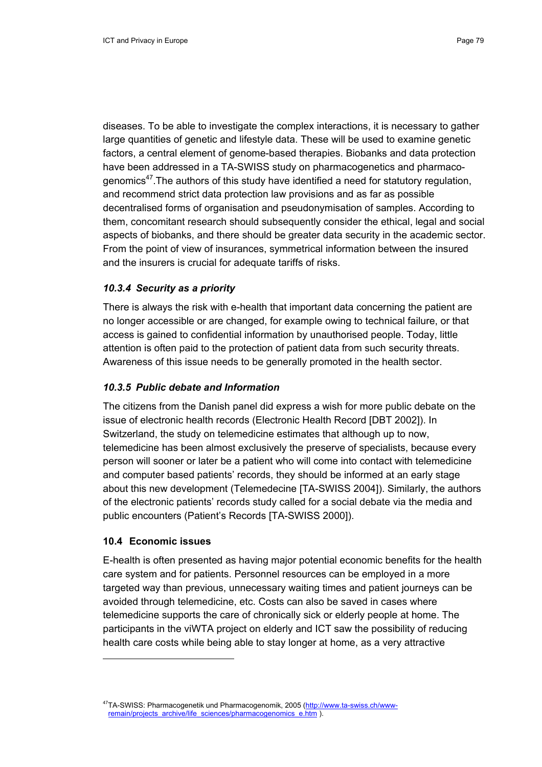diseases. To be able to investigate the complex interactions, it is necessary to gather large quantities of genetic and lifestyle data. These will be used to examine genetic factors, a central element of genome-based therapies. Biobanks and data protection have been addressed in a TA-SWISS study on pharmacogenetics and pharmacogenomics<sup>47</sup>. The authors of this study have identified a need for statutory regulation, and recommend strict data protection law provisions and as far as possible decentralised forms of organisation and pseudonymisation of samples. According to them, concomitant research should subsequently consider the ethical, legal and social aspects of biobanks, and there should be greater data security in the academic sector. From the point of view of insurances, symmetrical information between the insured and the insurers is crucial for adequate tariffs of risks.

## *10.3.4 Security as a priority*

There is always the risk with e-health that important data concerning the patient are no longer accessible or are changed, for example owing to technical failure, or that access is gained to confidential information by unauthorised people. Today, little attention is often paid to the protection of patient data from such security threats. Awareness of this issue needs to be generally promoted in the health sector.

### *10.3.5 Public debate and Information*

The citizens from the Danish panel did express a wish for more public debate on the issue of electronic health records (Electronic Health Record [DBT 2002]). In Switzerland, the study on telemedicine estimates that although up to now, telemedicine has been almost exclusively the preserve of specialists, because every person will sooner or later be a patient who will come into contact with telemedicine and computer based patients' records, they should be informed at an early stage about this new development (Telemedecine [TA-SWISS 2004]). Similarly, the authors of the electronic patients' records study called for a social debate via the media and public encounters (Patient's Records [TA-SWISS 2000]).

# **10.4 Economic issues**

E-health is often presented as having major potential economic benefits for the health care system and for patients. Personnel resources can be employed in a more targeted way than previous, unnecessary waiting times and patient journeys can be avoided through telemedicine, etc. Costs can also be saved in cases where telemedicine supports the care of chronically sick or elderly people at home. The participants in the viWTA project on elderly and ICT saw the possibility of reducing health care costs while being able to stay longer at home, as a very attractive

<sup>47</sup>TA-SWISS: Pharmacogenetik und Pharmacogenomik, 2005 (http://www.ta-swiss.ch/wwwremain/projects\_archive/life\_sciences/pharmacogenomics\_e.htm )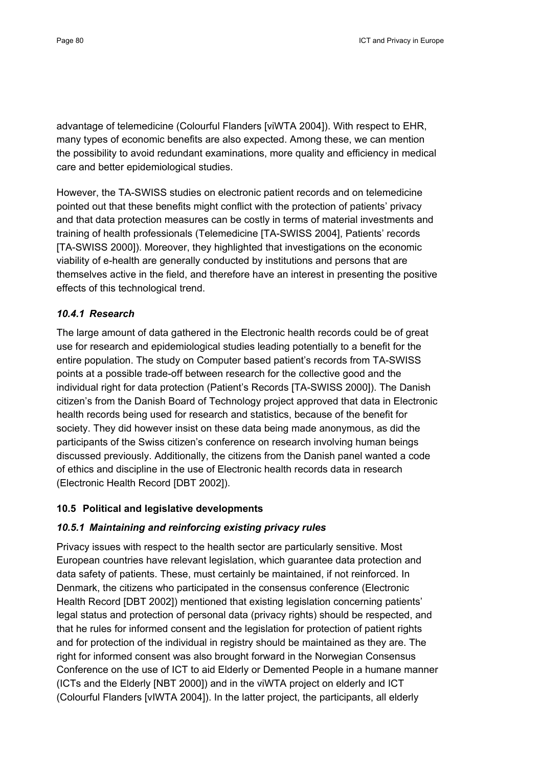advantage of telemedicine (Colourful Flanders [viWTA 2004]). With respect to EHR, many types of economic benefits are also expected. Among these, we can mention the possibility to avoid redundant examinations, more quality and efficiency in medical care and better epidemiological studies.

However, the TA-SWISS studies on electronic patient records and on telemedicine pointed out that these benefits might conflict with the protection of patients' privacy and that data protection measures can be costly in terms of material investments and training of health professionals (Telemedicine [TA-SWISS 2004], Patients' records [TA-SWISS 2000]). Moreover, they highlighted that investigations on the economic viability of e-health are generally conducted by institutions and persons that are themselves active in the field, and therefore have an interest in presenting the positive effects of this technological trend.

# *10.4.1 Research*

The large amount of data gathered in the Electronic health records could be of great use for research and epidemiological studies leading potentially to a benefit for the entire population. The study on Computer based patient's records from TA-SWISS points at a possible trade-off between research for the collective good and the individual right for data protection (Patient's Records [TA-SWISS 2000]). The Danish citizen's from the Danish Board of Technology project approved that data in Electronic health records being used for research and statistics, because of the benefit for society. They did however insist on these data being made anonymous, as did the participants of the Swiss citizen's conference on research involving human beings discussed previously. Additionally, the citizens from the Danish panel wanted a code of ethics and discipline in the use of Electronic health records data in research (Electronic Health Record [DBT 2002]).

# **10.5 Political and legislative developments**

# *10.5.1 Maintaining and reinforcing existing privacy rules*

Privacy issues with respect to the health sector are particularly sensitive. Most European countries have relevant legislation, which guarantee data protection and data safety of patients. These, must certainly be maintained, if not reinforced. In Denmark, the citizens who participated in the consensus conference (Electronic Health Record [DBT 2002]) mentioned that existing legislation concerning patients' legal status and protection of personal data (privacy rights) should be respected, and that he rules for informed consent and the legislation for protection of patient rights and for protection of the individual in registry should be maintained as they are. The right for informed consent was also brought forward in the Norwegian Consensus Conference on the use of ICT to aid Elderly or Demented People in a humane manner (ICTs and the Elderly [NBT 2000]) and in the viWTA project on elderly and ICT (Colourful Flanders [vIWTA 2004]). In the latter project, the participants, all elderly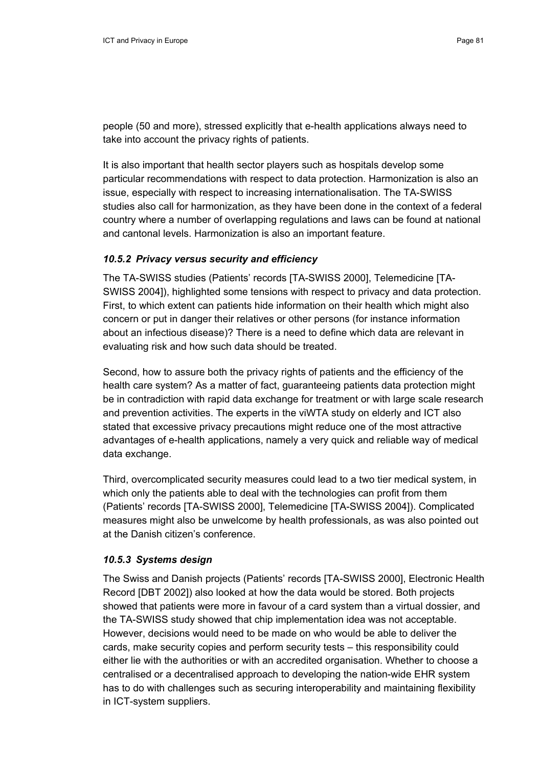people (50 and more), stressed explicitly that e-health applications always need to take into account the privacy rights of patients.

It is also important that health sector players such as hospitals develop some particular recommendations with respect to data protection. Harmonization is also an issue, especially with respect to increasing internationalisation. The TA-SWISS studies also call for harmonization, as they have been done in the context of a federal country where a number of overlapping regulations and laws can be found at national and cantonal levels. Harmonization is also an important feature.

## *10.5.2 Privacy versus security and efficiency*

The TA-SWISS studies (Patients' records [TA-SWISS 2000], Telemedicine [TA-SWISS 2004]), highlighted some tensions with respect to privacy and data protection. First, to which extent can patients hide information on their health which might also concern or put in danger their relatives or other persons (for instance information about an infectious disease)? There is a need to define which data are relevant in evaluating risk and how such data should be treated.

Second, how to assure both the privacy rights of patients and the efficiency of the health care system? As a matter of fact, guaranteeing patients data protection might be in contradiction with rapid data exchange for treatment or with large scale research and prevention activities. The experts in the viWTA study on elderly and ICT also stated that excessive privacy precautions might reduce one of the most attractive advantages of e-health applications, namely a very quick and reliable way of medical data exchange.

Third, overcomplicated security measures could lead to a two tier medical system, in which only the patients able to deal with the technologies can profit from them (Patients' records [TA-SWISS 2000], Telemedicine [TA-SWISS 2004]). Complicated measures might also be unwelcome by health professionals, as was also pointed out at the Danish citizen's conference.

#### *10.5.3 Systems design*

The Swiss and Danish projects (Patients' records [TA-SWISS 2000], Electronic Health Record [DBT 2002]) also looked at how the data would be stored. Both projects showed that patients were more in favour of a card system than a virtual dossier, and the TA-SWISS study showed that chip implementation idea was not acceptable. However, decisions would need to be made on who would be able to deliver the cards, make security copies and perform security tests – this responsibility could either lie with the authorities or with an accredited organisation. Whether to choose a centralised or a decentralised approach to developing the nation-wide EHR system has to do with challenges such as securing interoperability and maintaining flexibility in ICT-system suppliers.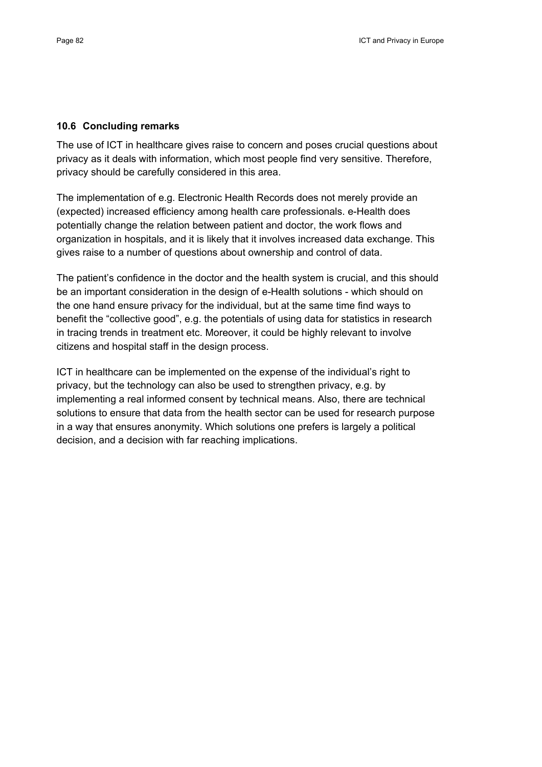#### **10.6 Concluding remarks**

The use of ICT in healthcare gives raise to concern and poses crucial questions about privacy as it deals with information, which most people find very sensitive. Therefore, privacy should be carefully considered in this area.

The implementation of e.g. Electronic Health Records does not merely provide an (expected) increased efficiency among health care professionals. e-Health does potentially change the relation between patient and doctor, the work flows and organization in hospitals, and it is likely that it involves increased data exchange. This gives raise to a number of questions about ownership and control of data.

The patient's confidence in the doctor and the health system is crucial, and this should be an important consideration in the design of e-Health solutions - which should on the one hand ensure privacy for the individual, but at the same time find ways to benefit the "collective good", e.g. the potentials of using data for statistics in research in tracing trends in treatment etc. Moreover, it could be highly relevant to involve citizens and hospital staff in the design process.

ICT in healthcare can be implemented on the expense of the individual's right to privacy, but the technology can also be used to strengthen privacy, e.g. by implementing a real informed consent by technical means. Also, there are technical solutions to ensure that data from the health sector can be used for research purpose in a way that ensures anonymity. Which solutions one prefers is largely a political decision, and a decision with far reaching implications.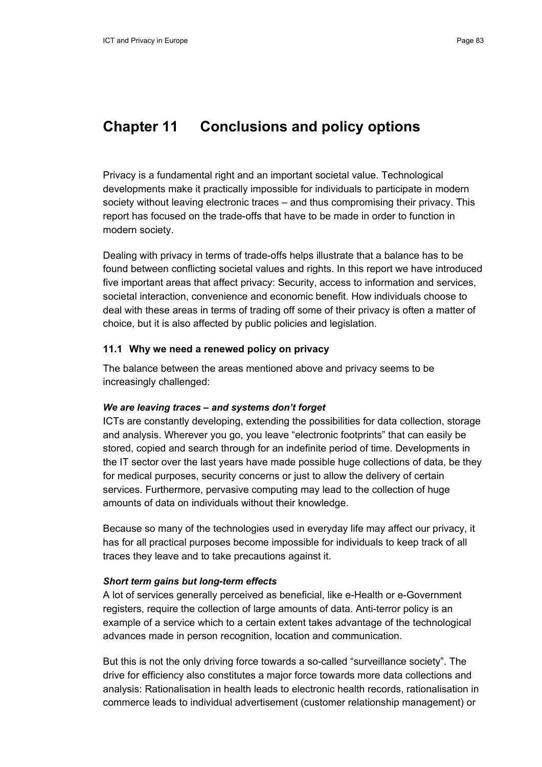# **Chapter 11 Conclusions and policy options**

Privacy is a fundamental right and an important societal value. Technological developments make it practically impossible for individuals to participate in modern society without leaving electronic traces – and thus compromising their privacy. This report has focused on the trade-offs that have to be made in order to function in modern society.

Dealing with privacy in terms of trade-offs helps illustrate that a balance has to be found between conflicting societal values and rights. In this report we have introduced five important areas that affect privacy: Security, access to information and services, societal interaction, convenience and economic benefit. How individuals choose to deal with these areas in terms of trading off some of their privacy is often a matter of choice, but it is also affected by public policies and legislation.

# **11.1 Why we need a renewed policy on privacy**

The balance between the areas mentioned above and privacy seems to be increasingly challenged:

#### *We are leaving traces – and systems don't forget*

ICTs are constantly developing, extending the possibilities for data collection, storage and analysis. Wherever you go, you leave "electronic footprints" that can easily be stored, copied and search through for an indefinite period of time. Developments in the IT sector over the last years have made possible huge collections of data, be they for medical purposes, security concerns or just to allow the delivery of certain services. Furthermore, pervasive computing may lead to the collection of huge amounts of data on individuals without their knowledge.

Because so many of the technologies used in everyday life may affect our privacy, it has for all practical purposes become impossible for individuals to keep track of all traces they leave and to take precautions against it.

#### *Short term gains but long-term effects*

A lot of services generally perceived as beneficial, like e-Health or e-Government registers, require the collection of large amounts of data. Anti-terror policy is an example of a service which to a certain extent takes advantage of the technological advances made in person recognition, location and communication.

But this is not the only driving force towards a so-called "surveillance society". The drive for efficiency also constitutes a major force towards more data collections and analysis: Rationalisation in health leads to electronic health records, rationalisation in commerce leads to individual advertisement (customer relationship management) or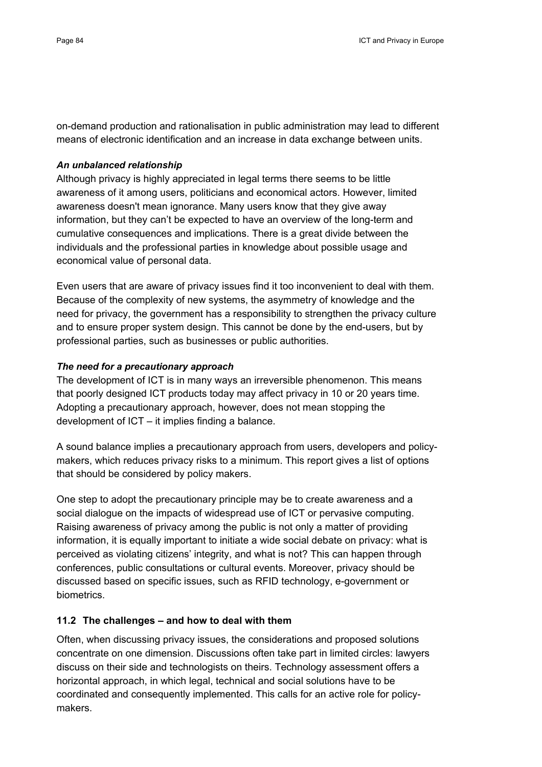on-demand production and rationalisation in public administration may lead to different means of electronic identification and an increase in data exchange between units.

#### *An unbalanced relationship*

Although privacy is highly appreciated in legal terms there seems to be little awareness of it among users, politicians and economical actors. However, limited awareness doesn't mean ignorance. Many users know that they give away information, but they can't be expected to have an overview of the long-term and cumulative consequences and implications. There is a great divide between the individuals and the professional parties in knowledge about possible usage and economical value of personal data.

Even users that are aware of privacy issues find it too inconvenient to deal with them. Because of the complexity of new systems, the asymmetry of knowledge and the need for privacy, the government has a responsibility to strengthen the privacy culture and to ensure proper system design. This cannot be done by the end-users, but by professional parties, such as businesses or public authorities.

## *The need for a precautionary approach*

The development of ICT is in many ways an irreversible phenomenon. This means that poorly designed ICT products today may affect privacy in 10 or 20 years time. Adopting a precautionary approach, however, does not mean stopping the development of ICT – it implies finding a balance.

A sound balance implies a precautionary approach from users, developers and policymakers, which reduces privacy risks to a minimum. This report gives a list of options that should be considered by policy makers.

One step to adopt the precautionary principle may be to create awareness and a social dialogue on the impacts of widespread use of ICT or pervasive computing. Raising awareness of privacy among the public is not only a matter of providing information, it is equally important to initiate a wide social debate on privacy: what is perceived as violating citizens' integrity, and what is not? This can happen through conferences, public consultations or cultural events. Moreover, privacy should be discussed based on specific issues, such as RFID technology, e-government or biometrics.

# **11.2 The challenges – and how to deal with them**

Often, when discussing privacy issues, the considerations and proposed solutions concentrate on one dimension. Discussions often take part in limited circles: lawyers discuss on their side and technologists on theirs. Technology assessment offers a horizontal approach, in which legal, technical and social solutions have to be coordinated and consequently implemented. This calls for an active role for policymakers.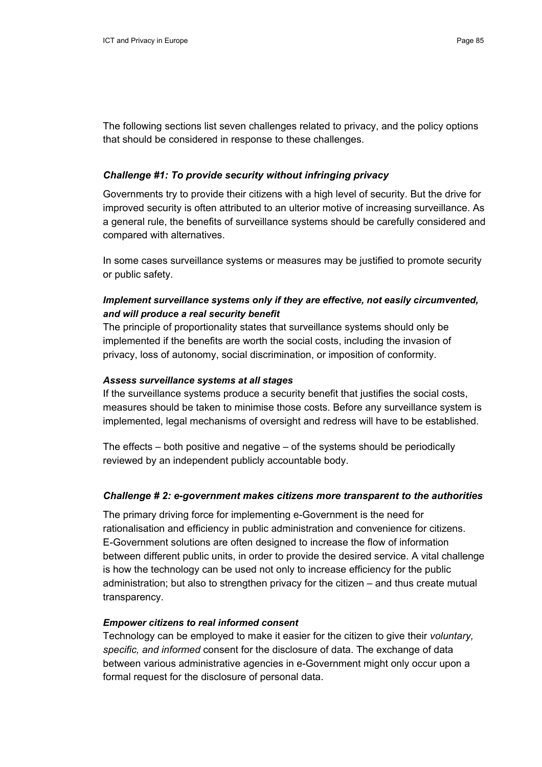The following sections list seven challenges related to privacy, and the policy options that should be considered in response to these challenges.

## *Challenge #1: To provide security without infringing privacy*

Governments try to provide their citizens with a high level of security. But the drive for improved security is often attributed to an ulterior motive of increasing surveillance. As a general rule, the benefits of surveillance systems should be carefully considered and compared with alternatives.

In some cases surveillance systems or measures may be justified to promote security or public safety.

# *Implement surveillance systems only if they are effective, not easily circumvented, and will produce a real security benefit*

The principle of proportionality states that surveillance systems should only be implemented if the benefits are worth the social costs, including the invasion of privacy, loss of autonomy, social discrimination, or imposition of conformity.

### *Assess surveillance systems at all stages*

If the surveillance systems produce a security benefit that justifies the social costs, measures should be taken to minimise those costs. Before any surveillance system is implemented, legal mechanisms of oversight and redress will have to be established.

The effects – both positive and negative – of the systems should be periodically reviewed by an independent publicly accountable body.

# *Challenge # 2: e-government makes citizens more transparent to the authorities*

The primary driving force for implementing e-Government is the need for rationalisation and efficiency in public administration and convenience for citizens. E-Government solutions are often designed to increase the flow of information between different public units, in order to provide the desired service. A vital challenge is how the technology can be used not only to increase efficiency for the public administration; but also to strengthen privacy for the citizen – and thus create mutual transparency.

# *Empower citizens to real informed consent*

Technology can be employed to make it easier for the citizen to give their *voluntary, specific, and informed* consent for the disclosure of data. The exchange of data between various administrative agencies in e-Government might only occur upon a formal request for the disclosure of personal data.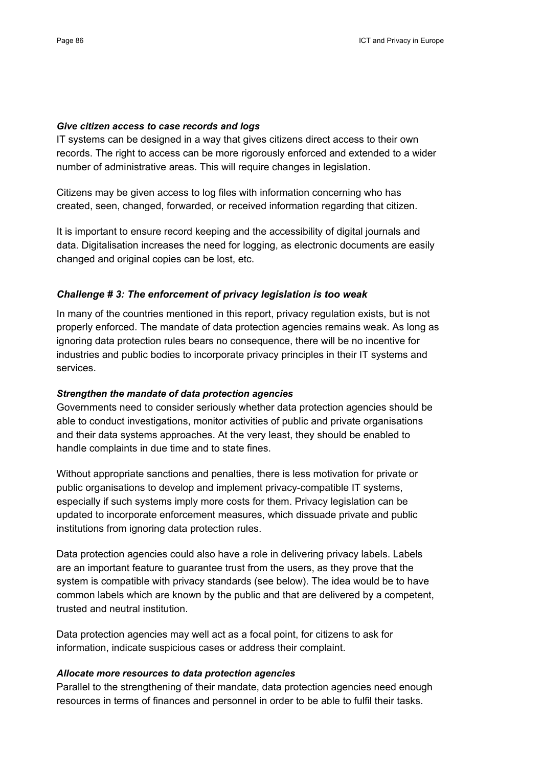#### *Give citizen access to case records and logs*

IT systems can be designed in a way that gives citizens direct access to their own records. The right to access can be more rigorously enforced and extended to a wider number of administrative areas. This will require changes in legislation.

Citizens may be given access to log files with information concerning who has created, seen, changed, forwarded, or received information regarding that citizen.

It is important to ensure record keeping and the accessibility of digital journals and data. Digitalisation increases the need for logging, as electronic documents are easily changed and original copies can be lost, etc.

### *Challenge # 3: The enforcement of privacy legislation is too weak*

In many of the countries mentioned in this report, privacy regulation exists, but is not properly enforced. The mandate of data protection agencies remains weak. As long as ignoring data protection rules bears no consequence, there will be no incentive for industries and public bodies to incorporate privacy principles in their IT systems and services.

#### *Strengthen the mandate of data protection agencies*

Governments need to consider seriously whether data protection agencies should be able to conduct investigations, monitor activities of public and private organisations and their data systems approaches. At the very least, they should be enabled to handle complaints in due time and to state fines.

Without appropriate sanctions and penalties, there is less motivation for private or public organisations to develop and implement privacy-compatible IT systems, especially if such systems imply more costs for them. Privacy legislation can be updated to incorporate enforcement measures, which dissuade private and public institutions from ignoring data protection rules.

Data protection agencies could also have a role in delivering privacy labels. Labels are an important feature to guarantee trust from the users, as they prove that the system is compatible with privacy standards (see below). The idea would be to have common labels which are known by the public and that are delivered by a competent, trusted and neutral institution.

Data protection agencies may well act as a focal point, for citizens to ask for information, indicate suspicious cases or address their complaint.

### *Allocate more resources to data protection agencies*

Parallel to the strengthening of their mandate, data protection agencies need enough resources in terms of finances and personnel in order to be able to fulfil their tasks.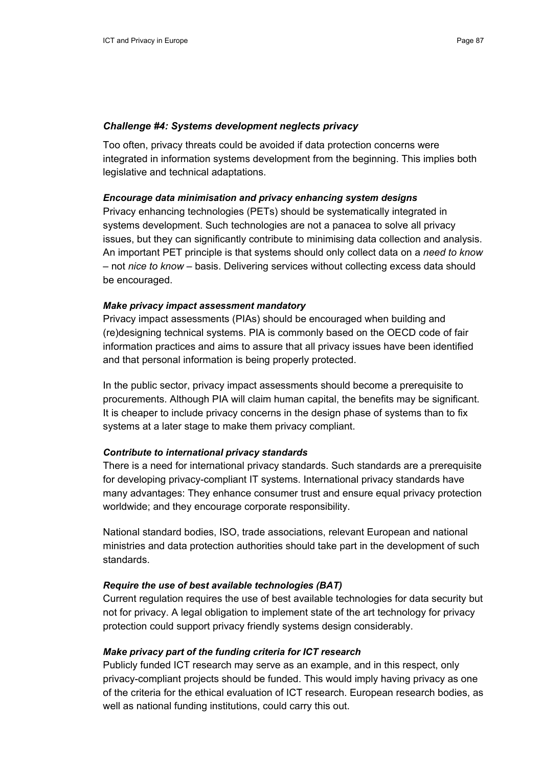#### *Challenge #4: Systems development neglects privacy*

Too often, privacy threats could be avoided if data protection concerns were integrated in information systems development from the beginning. This implies both legislative and technical adaptations.

#### *Encourage data minimisation and privacy enhancing system designs*

Privacy enhancing technologies (PETs) should be systematically integrated in systems development. Such technologies are not a panacea to solve all privacy issues, but they can significantly contribute to minimising data collection and analysis. An important PET principle is that systems should only collect data on a *need to know –* not *nice to know –* basis. Delivering services without collecting excess data should be encouraged.

## *Make privacy impact assessment mandatory*

Privacy impact assessments (PIAs) should be encouraged when building and (re)designing technical systems. PIA is commonly based on the OECD code of fair information practices and aims to assure that all privacy issues have been identified and that personal information is being properly protected.

In the public sector, privacy impact assessments should become a prerequisite to procurements. Although PIA will claim human capital, the benefits may be significant. It is cheaper to include privacy concerns in the design phase of systems than to fix systems at a later stage to make them privacy compliant.

#### *Contribute to international privacy standards*

There is a need for international privacy standards. Such standards are a prerequisite for developing privacy-compliant IT systems. International privacy standards have many advantages: They enhance consumer trust and ensure equal privacy protection worldwide; and they encourage corporate responsibility.

National standard bodies, ISO, trade associations, relevant European and national ministries and data protection authorities should take part in the development of such standards.

#### *Require the use of best available technologies (BAT)*

Current regulation requires the use of best available technologies for data security but not for privacy. A legal obligation to implement state of the art technology for privacy protection could support privacy friendly systems design considerably.

#### *Make privacy part of the funding criteria for ICT research*

Publicly funded ICT research may serve as an example, and in this respect, only privacy-compliant projects should be funded. This would imply having privacy as one of the criteria for the ethical evaluation of ICT research. European research bodies, as well as national funding institutions, could carry this out.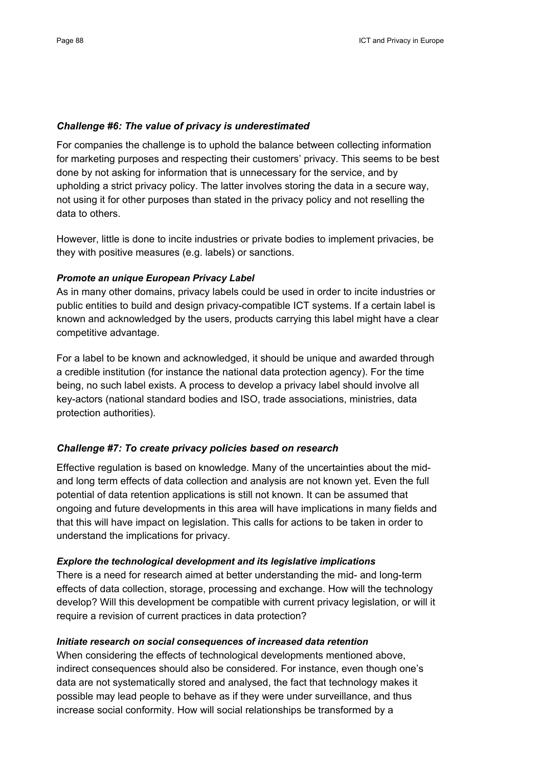### *Challenge #6: The value of privacy is underestimated*

For companies the challenge is to uphold the balance between collecting information for marketing purposes and respecting their customers' privacy. This seems to be best done by not asking for information that is unnecessary for the service, and by upholding a strict privacy policy. The latter involves storing the data in a secure way, not using it for other purposes than stated in the privacy policy and not reselling the data to others.

However, little is done to incite industries or private bodies to implement privacies, be they with positive measures (e.g. labels) or sanctions.

#### *Promote an unique European Privacy Label*

As in many other domains, privacy labels could be used in order to incite industries or public entities to build and design privacy-compatible ICT systems. If a certain label is known and acknowledged by the users, products carrying this label might have a clear competitive advantage.

For a label to be known and acknowledged, it should be unique and awarded through a credible institution (for instance the national data protection agency). For the time being, no such label exists. A process to develop a privacy label should involve all key-actors (national standard bodies and ISO, trade associations, ministries, data protection authorities).

# *Challenge #7: To create privacy policies based on research*

Effective regulation is based on knowledge. Many of the uncertainties about the midand long term effects of data collection and analysis are not known yet. Even the full potential of data retention applications is still not known. It can be assumed that ongoing and future developments in this area will have implications in many fields and that this will have impact on legislation. This calls for actions to be taken in order to understand the implications for privacy.

#### *Explore the technological development and its legislative implications*

There is a need for research aimed at better understanding the mid- and long-term effects of data collection, storage, processing and exchange. How will the technology develop? Will this development be compatible with current privacy legislation, or will it require a revision of current practices in data protection?

#### *Initiate research on social consequences of increased data retention*

When considering the effects of technological developments mentioned above, indirect consequences should also be considered. For instance, even though one's data are not systematically stored and analysed, the fact that technology makes it possible may lead people to behave as if they were under surveillance, and thus increase social conformity. How will social relationships be transformed by a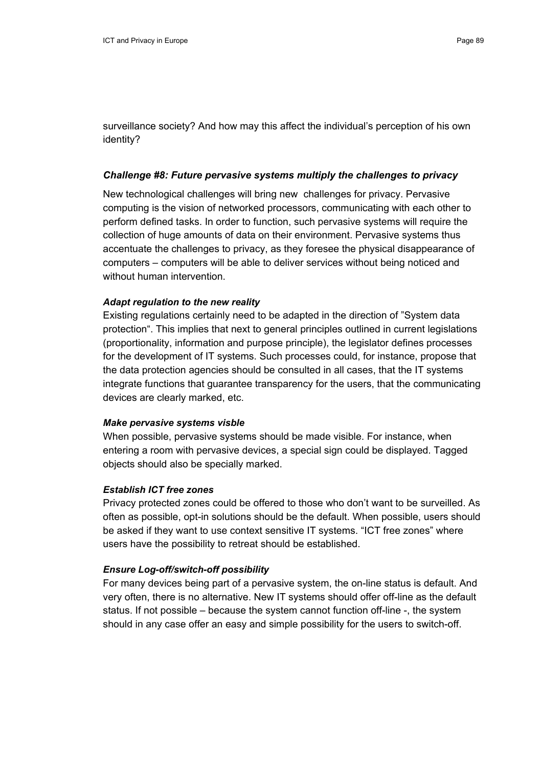surveillance society? And how may this affect the individual's perception of his own identity?

#### *Challenge #8: Future pervasive systems multiply the challenges to privacy*

New technological challenges will bring new challenges for privacy. Pervasive computing is the vision of networked processors, communicating with each other to perform defined tasks. In order to function, such pervasive systems will require the collection of huge amounts of data on their environment. Pervasive systems thus accentuate the challenges to privacy, as they foresee the physical disappearance of computers – computers will be able to deliver services without being noticed and without human intervention.

#### *Adapt regulation to the new reality*

Existing regulations certainly need to be adapted in the direction of "System data protection". This implies that next to general principles outlined in current legislations (proportionality, information and purpose principle), the legislator defines processes for the development of IT systems. Such processes could, for instance, propose that the data protection agencies should be consulted in all cases, that the IT systems integrate functions that guarantee transparency for the users, that the communicating devices are clearly marked, etc.

#### *Make pervasive systems visble*

When possible, pervasive systems should be made visible. For instance, when entering a room with pervasive devices, a special sign could be displayed. Tagged objects should also be specially marked.

#### *Establish ICT free zones*

Privacy protected zones could be offered to those who don't want to be surveilled. As often as possible, opt-in solutions should be the default. When possible, users should be asked if they want to use context sensitive IT systems. "ICT free zones" where users have the possibility to retreat should be established.

#### *Ensure Log-off/switch-off possibility*

For many devices being part of a pervasive system, the on-line status is default. And very often, there is no alternative. New IT systems should offer off-line as the default status. If not possible – because the system cannot function off-line -, the system should in any case offer an easy and simple possibility for the users to switch-off.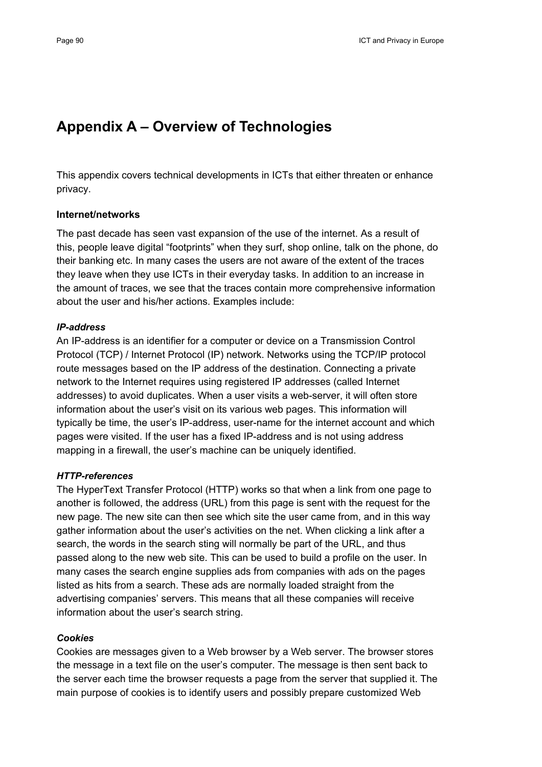# **Appendix A – Overview of Technologies**

This appendix covers technical developments in ICTs that either threaten or enhance privacy.

#### **Internet/networks**

The past decade has seen vast expansion of the use of the internet. As a result of this, people leave digital "footprints" when they surf, shop online, talk on the phone, do their banking etc. In many cases the users are not aware of the extent of the traces they leave when they use ICTs in their everyday tasks. In addition to an increase in the amount of traces, we see that the traces contain more comprehensive information about the user and his/her actions. Examples include:

#### *IP-address*

An IP-address is an identifier for a computer or device on a Transmission Control Protocol (TCP) / Internet Protocol (IP) network. Networks using the TCP/IP protocol route messages based on the IP address of the destination. Connecting a private network to the Internet requires using registered IP addresses (called Internet addresses) to avoid duplicates. When a user visits a web-server, it will often store information about the user's visit on its various web pages. This information will typically be time, the user's IP-address, user-name for the internet account and which pages were visited. If the user has a fixed IP-address and is not using address mapping in a firewall, the user's machine can be uniquely identified.

#### *HTTP-references*

The HyperText Transfer Protocol (HTTP) works so that when a link from one page to another is followed, the address (URL) from this page is sent with the request for the new page. The new site can then see which site the user came from, and in this way gather information about the user's activities on the net. When clicking a link after a search, the words in the search sting will normally be part of the URL, and thus passed along to the new web site. This can be used to build a profile on the user. In many cases the search engine supplies ads from companies with ads on the pages listed as hits from a search. These ads are normally loaded straight from the advertising companies' servers. This means that all these companies will receive information about the user's search string.

## *Cookies*

Cookies are messages given to a Web browser by a Web server. The browser stores the message in a text file on the user's computer. The message is then sent back to the server each time the browser requests a page from the server that supplied it. The main purpose of cookies is to identify users and possibly prepare customized Web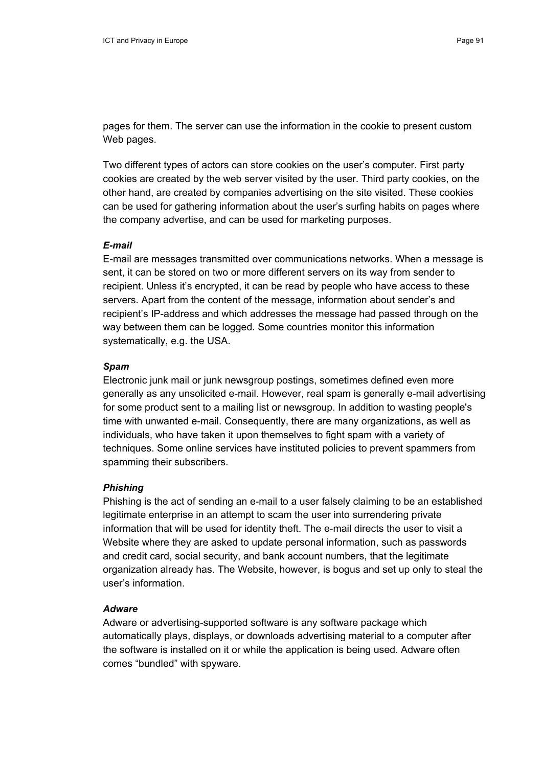pages for them. The server can use the information in the cookie to present custom Web pages.

Two different types of actors can store cookies on the user's computer. First party cookies are created by the web server visited by the user. Third party cookies, on the other hand, are created by companies advertising on the site visited. These cookies can be used for gathering information about the user's surfing habits on pages where the company advertise, and can be used for marketing purposes.

## *E-mail*

E-mail are messages transmitted over communications networks. When a message is sent, it can be stored on two or more different servers on its way from sender to recipient. Unless it's encrypted, it can be read by people who have access to these servers. Apart from the content of the message, information about sender's and recipient's IP-address and which addresses the message had passed through on the way between them can be logged. Some countries monitor this information systematically, e.g. the USA.

#### *Spam*

Electronic junk mail or junk newsgroup postings, sometimes defined even more generally as any unsolicited e-mail. However, real spam is generally e-mail advertising for some product sent to a mailing list or newsgroup. In addition to wasting people's time with unwanted e-mail. Consequently, there are many organizations, as well as individuals, who have taken it upon themselves to fight spam with a variety of techniques. Some online services have instituted policies to prevent spammers from spamming their subscribers.

#### *Phishing*

Phishing is the act of sending an e-mail to a user falsely claiming to be an established legitimate enterprise in an attempt to scam the user into surrendering private information that will be used for identity theft. The e-mail directs the user to visit a Website where they are asked to update personal information, such as passwords and credit card, social security, and bank account numbers, that the legitimate organization already has. The Website, however, is bogus and set up only to steal the user's information.

#### *Adware*

Adware or advertising-supported software is any software package which automatically plays, displays, or downloads advertising material to a computer after the software is installed on it or while the application is being used. Adware often comes "bundled" with spyware.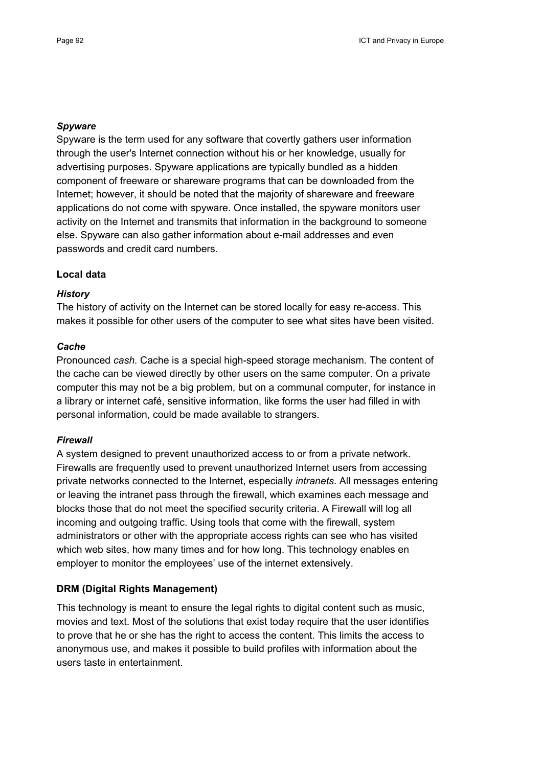#### *Spyware*

Spyware is the term used for any software that covertly gathers user information through the user's Internet connection without his or her knowledge, usually for advertising purposes. Spyware applications are typically bundled as a hidden component of freeware or shareware programs that can be downloaded from the Internet; however, it should be noted that the majority of shareware and freeware applications do not come with spyware. Once installed, the spyware monitors user activity on the Internet and transmits that information in the background to someone else. Spyware can also gather information about e-mail addresses and even passwords and credit card numbers.

#### **Local data**

#### *History*

The history of activity on the Internet can be stored locally for easy re-access. This makes it possible for other users of the computer to see what sites have been visited.

#### *Cache*

Pronounced *cash.* Cache is a special high-speed storage mechanism. The content of the cache can be viewed directly by other users on the same computer. On a private computer this may not be a big problem, but on a communal computer, for instance in a library or internet café, sensitive information, like forms the user had filled in with personal information, could be made available to strangers.

#### *Firewall*

A system designed to prevent unauthorized access to or from a private network. Firewalls are frequently used to prevent unauthorized Internet users from accessing private networks connected to the Internet, especially *intranets*. All messages entering or leaving the intranet pass through the firewall, which examines each message and blocks those that do not meet the specified security criteria. A Firewall will log all incoming and outgoing traffic. Using tools that come with the firewall, system administrators or other with the appropriate access rights can see who has visited which web sites, how many times and for how long. This technology enables en employer to monitor the employees' use of the internet extensively.

#### **DRM (Digital Rights Management)**

This technology is meant to ensure the legal rights to digital content such as music, movies and text. Most of the solutions that exist today require that the user identifies to prove that he or she has the right to access the content. This limits the access to anonymous use, and makes it possible to build profiles with information about the users taste in entertainment.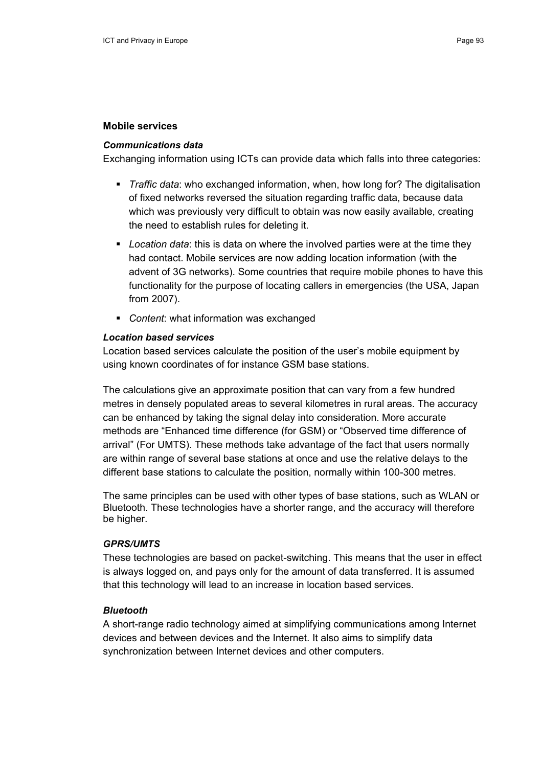#### **Mobile services**

#### *Communications data*

Exchanging information using ICTs can provide data which falls into three categories:

- *Traffic data*: who exchanged information, when, how long for? The digitalisation of fixed networks reversed the situation regarding traffic data, because data which was previously very difficult to obtain was now easily available, creating the need to establish rules for deleting it.
- *Location data*: this is data on where the involved parties were at the time they had contact. Mobile services are now adding location information (with the advent of 3G networks). Some countries that require mobile phones to have this functionality for the purpose of locating callers in emergencies (the USA, Japan from 2007).
- *Content*: what information was exchanged

#### *Location based services*

Location based services calculate the position of the user's mobile equipment by using known coordinates of for instance GSM base stations.

The calculations give an approximate position that can vary from a few hundred metres in densely populated areas to several kilometres in rural areas. The accuracy can be enhanced by taking the signal delay into consideration. More accurate methods are "Enhanced time difference (for GSM) or "Observed time difference of arrival" (For UMTS). These methods take advantage of the fact that users normally are within range of several base stations at once and use the relative delays to the different base stations to calculate the position, normally within 100-300 metres.

The same principles can be used with other types of base stations, such as WLAN or Bluetooth. These technologies have a shorter range, and the accuracy will therefore be higher.

#### *GPRS/UMTS*

These technologies are based on packet-switching. This means that the user in effect is always logged on, and pays only for the amount of data transferred. It is assumed that this technology will lead to an increase in location based services.

#### *Bluetooth*

A short-range radio technology aimed at simplifying communications among Internet devices and between devices and the Internet. It also aims to simplify data synchronization between Internet devices and other computers.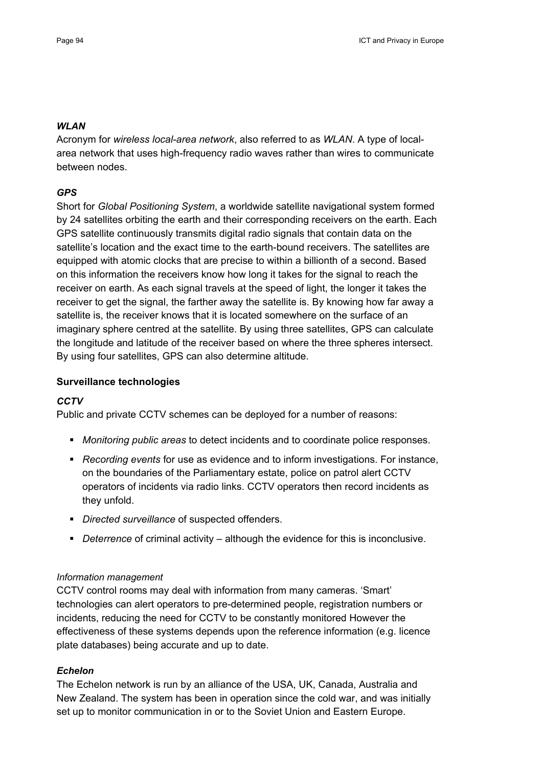### *WLAN*

Acronym for *wireless local-area network*, also referred to as *WLAN*. A type of localarea network that uses high-frequency radio waves rather than wires to communicate between nodes.

# *GPS*

Short for *Global Positioning System*, a worldwide satellite navigational system formed by 24 satellites orbiting the earth and their corresponding receivers on the earth. Each GPS satellite continuously transmits digital radio signals that contain data on the satellite's location and the exact time to the earth-bound receivers. The satellites are equipped with atomic clocks that are precise to within a billionth of a second. Based on this information the receivers know how long it takes for the signal to reach the receiver on earth. As each signal travels at the speed of light, the longer it takes the receiver to get the signal, the farther away the satellite is. By knowing how far away a satellite is, the receiver knows that it is located somewhere on the surface of an imaginary sphere centred at the satellite. By using three satellites, GPS can calculate the longitude and latitude of the receiver based on where the three spheres intersect. By using four satellites, GPS can also determine altitude.

# **Surveillance technologies**

# *CCTV*

Public and private CCTV schemes can be deployed for a number of reasons:

- *Monitoring public areas* to detect incidents and to coordinate police responses.
- *Recording events* for use as evidence and to inform investigations. For instance, on the boundaries of the Parliamentary estate, police on patrol alert CCTV operators of incidents via radio links. CCTV operators then record incidents as they unfold.
- *Directed surveillance* of suspected offenders.
- *Deterrence* of criminal activity although the evidence for this is inconclusive.

# *Information management*

CCTV control rooms may deal with information from many cameras. 'Smart' technologies can alert operators to pre-determined people, registration numbers or incidents, reducing the need for CCTV to be constantly monitored However the effectiveness of these systems depends upon the reference information (e.g. licence plate databases) being accurate and up to date.

# *Echelon*

The Echelon network is run by an alliance of the USA, UK, Canada, Australia and New Zealand. The system has been in operation since the cold war, and was initially set up to monitor communication in or to the Soviet Union and Eastern Europe.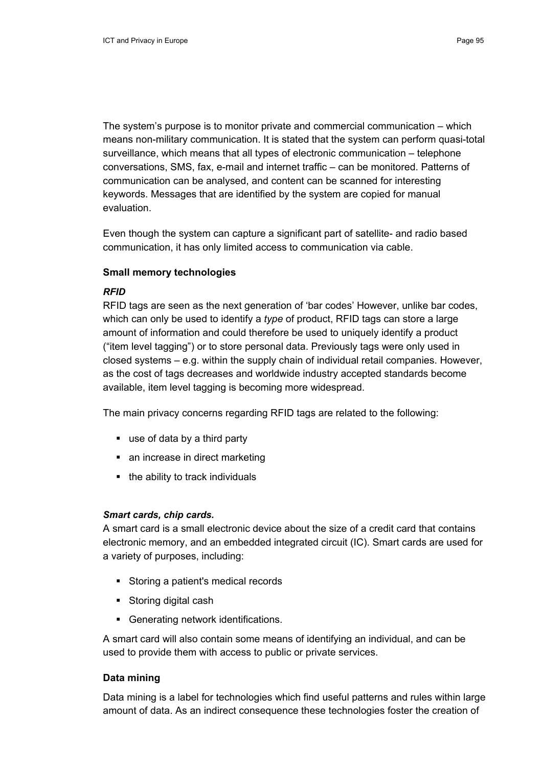The system's purpose is to monitor private and commercial communication – which means non-military communication. It is stated that the system can perform quasi-total surveillance, which means that all types of electronic communication – telephone conversations, SMS, fax, e-mail and internet traffic – can be monitored. Patterns of communication can be analysed, and content can be scanned for interesting keywords. Messages that are identified by the system are copied for manual evaluation.

Even though the system can capture a significant part of satellite- and radio based communication, it has only limited access to communication via cable.

#### **Small memory technologies**

#### *RFID*

RFID tags are seen as the next generation of 'bar codes' However, unlike bar codes, which can only be used to identify a *type* of product, RFID tags can store a large amount of information and could therefore be used to uniquely identify a product ("item level tagging") or to store personal data. Previously tags were only used in closed systems – e.g. within the supply chain of individual retail companies. However, as the cost of tags decreases and worldwide industry accepted standards become available, item level tagging is becoming more widespread.

The main privacy concerns regarding RFID tags are related to the following:

- use of data by a third party
- an increase in direct marketing
- the ability to track individuals

# *Smart cards, chip cards.*

A smart card is a small electronic device about the size of a credit card that contains electronic memory, and an embedded integrated circuit (IC). Smart cards are used for a variety of purposes, including:

- Storing a patient's medical records
- Storing digital cash
- Generating network identifications.

A smart card will also contain some means of identifying an individual, and can be used to provide them with access to public or private services.

# **Data mining**

Data mining is a label for technologies which find useful patterns and rules within large amount of data. As an indirect consequence these technologies foster the creation of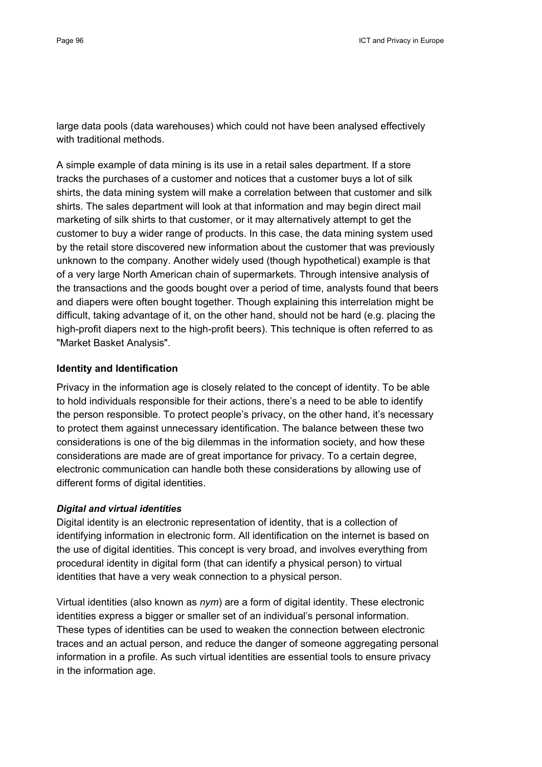large data pools (data warehouses) which could not have been analysed effectively with traditional methods.

A simple example of data mining is its use in a retail sales department. If a store tracks the purchases of a customer and notices that a customer buys a lot of silk shirts, the data mining system will make a correlation between that customer and silk shirts. The sales department will look at that information and may begin direct mail marketing of silk shirts to that customer, or it may alternatively attempt to get the customer to buy a wider range of products. In this case, the data mining system used by the retail store discovered new information about the customer that was previously unknown to the company. Another widely used (though hypothetical) example is that of a very large North American chain of supermarkets. Through intensive analysis of the transactions and the goods bought over a period of time, analysts found that beers and diapers were often bought together. Though explaining this interrelation might be difficult, taking advantage of it, on the other hand, should not be hard (e.g. placing the high-profit diapers next to the high-profit beers). This technique is often referred to as "Market Basket Analysis".

## **Identity and Identification**

Privacy in the information age is closely related to the concept of identity. To be able to hold individuals responsible for their actions, there's a need to be able to identify the person responsible. To protect people's privacy, on the other hand, it's necessary to protect them against unnecessary identification. The balance between these two considerations is one of the big dilemmas in the information society, and how these considerations are made are of great importance for privacy. To a certain degree, electronic communication can handle both these considerations by allowing use of different forms of digital identities.

# *Digital and virtual identities*

Digital identity is an electronic representation of identity, that is a collection of identifying information in electronic form. All identification on the internet is based on the use of digital identities. This concept is very broad, and involves everything from procedural identity in digital form (that can identify a physical person) to virtual identities that have a very weak connection to a physical person.

Virtual identities (also known as *nym*) are a form of digital identity. These electronic identities express a bigger or smaller set of an individual's personal information. These types of identities can be used to weaken the connection between electronic traces and an actual person, and reduce the danger of someone aggregating personal information in a profile. As such virtual identities are essential tools to ensure privacy in the information age.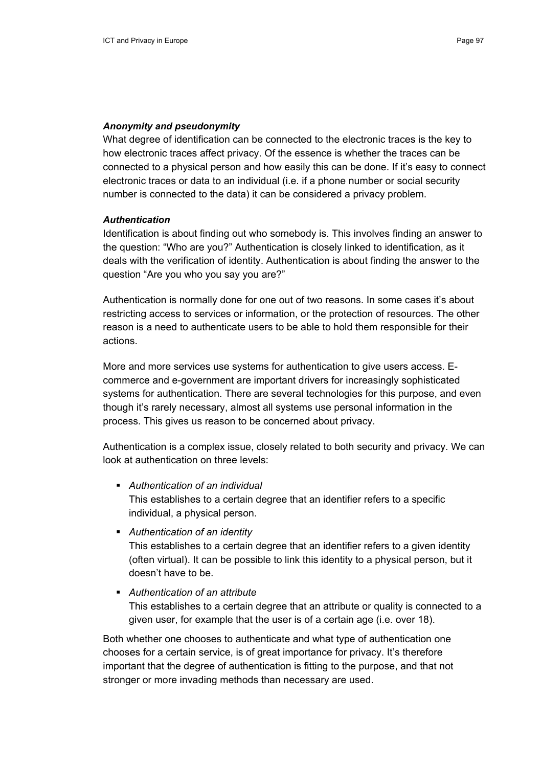## *Anonymity and pseudonymity*

What degree of identification can be connected to the electronic traces is the key to how electronic traces affect privacy. Of the essence is whether the traces can be connected to a physical person and how easily this can be done. If it's easy to connect electronic traces or data to an individual (i.e. if a phone number or social security number is connected to the data) it can be considered a privacy problem.

#### *Authentication*

Identification is about finding out who somebody is. This involves finding an answer to the question: "Who are you?" Authentication is closely linked to identification, as it deals with the verification of identity. Authentication is about finding the answer to the question "Are you who you say you are?"

Authentication is normally done for one out of two reasons. In some cases it's about restricting access to services or information, or the protection of resources. The other reason is a need to authenticate users to be able to hold them responsible for their actions.

More and more services use systems for authentication to give users access. Ecommerce and e-government are important drivers for increasingly sophisticated systems for authentication. There are several technologies for this purpose, and even though it's rarely necessary, almost all systems use personal information in the process. This gives us reason to be concerned about privacy.

Authentication is a complex issue, closely related to both security and privacy. We can look at authentication on three levels:

- *Authentication of an individual* This establishes to a certain degree that an identifier refers to a specific individual, a physical person.
- *Authentication of an identity* This establishes to a certain degree that an identifier refers to a given identity (often virtual). It can be possible to link this identity to a physical person, but it doesn't have to be.
- *Authentication of an attribute* This establishes to a certain degree that an attribute or quality is connected to a given user, for example that the user is of a certain age (i.e. over 18).

Both whether one chooses to authenticate and what type of authentication one chooses for a certain service, is of great importance for privacy. It's therefore important that the degree of authentication is fitting to the purpose, and that not stronger or more invading methods than necessary are used.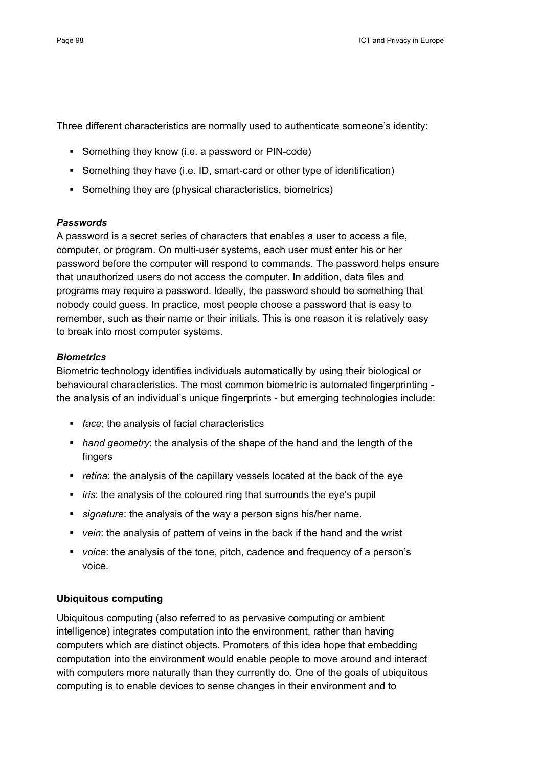Three different characteristics are normally used to authenticate someone's identity:

- Something they know (i.e. a password or PIN-code)
- Something they have (i.e. ID, smart-card or other type of identification)
- Something they are (physical characteristics, biometrics)

#### *Passwords*

A password is a secret series of characters that enables a user to access a file, computer, or program. On multi-user systems, each user must enter his or her password before the computer will respond to commands. The password helps ensure that unauthorized users do not access the computer. In addition, data files and programs may require a password. Ideally, the password should be something that nobody could guess. In practice, most people choose a password that is easy to remember, such as their name or their initials. This is one reason it is relatively easy to break into most computer systems.

#### *Biometrics*

Biometric technology identifies individuals automatically by using their biological or behavioural characteristics. The most common biometric is automated fingerprinting the analysis of an individual's unique fingerprints - but emerging technologies include:

- *face*: the analysis of facial characteristics
- *hand geometry*: the analysis of the shape of the hand and the length of the fingers
- *retina*: the analysis of the capillary vessels located at the back of the eye
- *iris*: the analysis of the coloured ring that surrounds the eye's pupil
- *signature*: the analysis of the way a person signs his/her name.
- *vein*: the analysis of pattern of veins in the back if the hand and the wrist
- *voice*: the analysis of the tone, pitch, cadence and frequency of a person's voice.

#### **Ubiquitous computing**

Ubiquitous computing (also referred to as pervasive computing or ambient intelligence) integrates computation into the environment, rather than having computers which are distinct objects. Promoters of this idea hope that embedding computation into the environment would enable people to move around and interact with computers more naturally than they currently do. One of the goals of ubiquitous computing is to enable devices to sense changes in their environment and to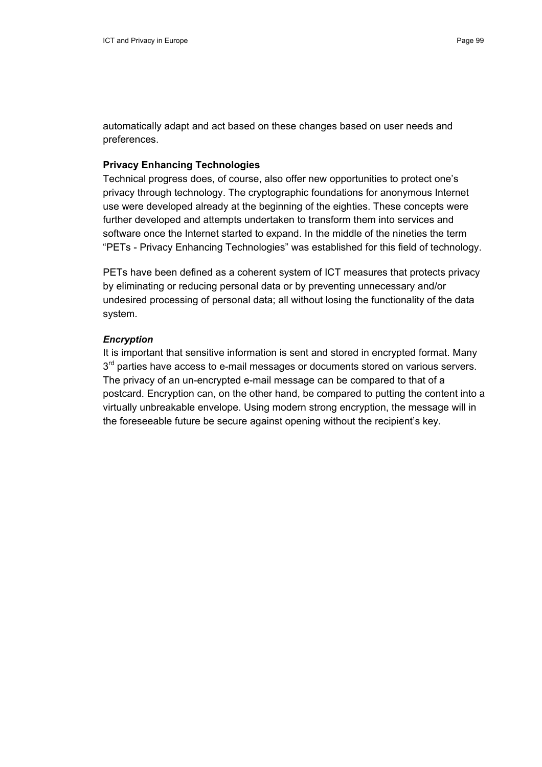automatically adapt and act based on these changes based on user needs and preferences.

# **Privacy Enhancing Technologies**

Technical progress does, of course, also offer new opportunities to protect one's privacy through technology. The cryptographic foundations for anonymous Internet use were developed already at the beginning of the eighties. These concepts were further developed and attempts undertaken to transform them into services and software once the Internet started to expand. In the middle of the nineties the term "PETs - Privacy Enhancing Technologies" was established for this field of technology.

PETs have been defined as a coherent system of ICT measures that protects privacy by eliminating or reducing personal data or by preventing unnecessary and/or undesired processing of personal data; all without losing the functionality of the data system.

#### *Encryption*

It is important that sensitive information is sent and stored in encrypted format. Many  $3<sup>rd</sup>$  parties have access to e-mail messages or documents stored on various servers. The privacy of an un-encrypted e-mail message can be compared to that of a postcard. Encryption can, on the other hand, be compared to putting the content into a virtually unbreakable envelope. Using modern strong encryption, the message will in the foreseeable future be secure against opening without the recipient's key.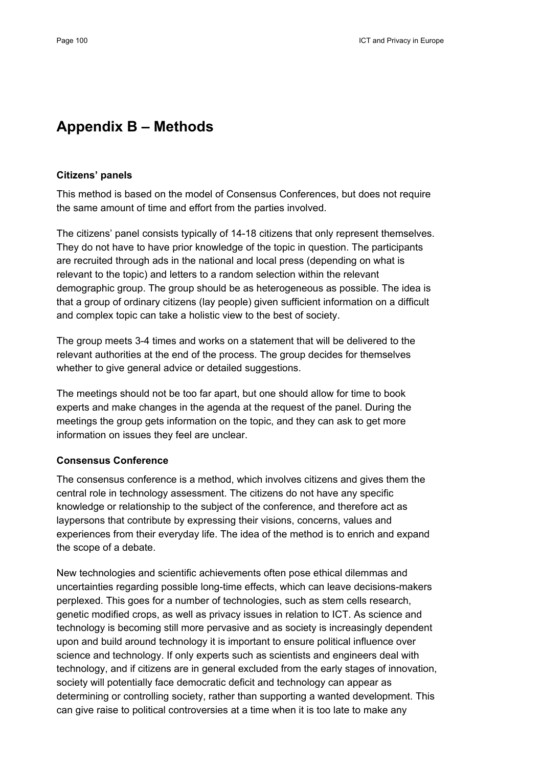# **Appendix B – Methods**

#### **Citizens' panels**

This method is based on the model of Consensus Conferences, but does not require the same amount of time and effort from the parties involved.

The citizens' panel consists typically of 14-18 citizens that only represent themselves. They do not have to have prior knowledge of the topic in question. The participants are recruited through ads in the national and local press (depending on what is relevant to the topic) and letters to a random selection within the relevant demographic group. The group should be as heterogeneous as possible. The idea is that a group of ordinary citizens (lay people) given sufficient information on a difficult and complex topic can take a holistic view to the best of society.

The group meets 3-4 times and works on a statement that will be delivered to the relevant authorities at the end of the process. The group decides for themselves whether to give general advice or detailed suggestions.

The meetings should not be too far apart, but one should allow for time to book experts and make changes in the agenda at the request of the panel. During the meetings the group gets information on the topic, and they can ask to get more information on issues they feel are unclear.

#### **Consensus Conference**

The consensus conference is a method, which involves citizens and gives them the central role in technology assessment. The citizens do not have any specific knowledge or relationship to the subject of the conference, and therefore act as laypersons that contribute by expressing their visions, concerns, values and experiences from their everyday life. The idea of the method is to enrich and expand the scope of a debate.

New technologies and scientific achievements often pose ethical dilemmas and uncertainties regarding possible long-time effects, which can leave decisions-makers perplexed. This goes for a number of technologies, such as stem cells research, genetic modified crops, as well as privacy issues in relation to ICT. As science and technology is becoming still more pervasive and as society is increasingly dependent upon and build around technology it is important to ensure political influence over science and technology. If only experts such as scientists and engineers deal with technology, and if citizens are in general excluded from the early stages of innovation, society will potentially face democratic deficit and technology can appear as determining or controlling society, rather than supporting a wanted development. This can give raise to political controversies at a time when it is too late to make any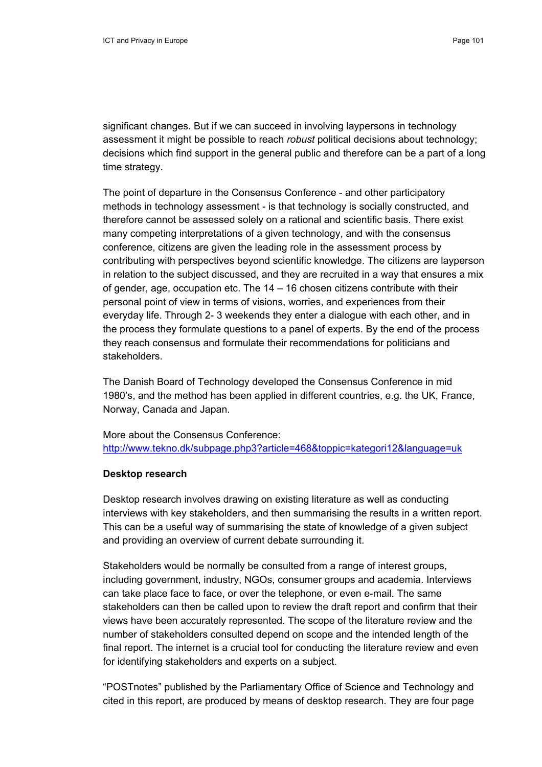significant changes. But if we can succeed in involving laypersons in technology assessment it might be possible to reach *robust* political decisions about technology; decisions which find support in the general public and therefore can be a part of a long time strategy.

The point of departure in the Consensus Conference - and other participatory methods in technology assessment - is that technology is socially constructed, and therefore cannot be assessed solely on a rational and scientific basis. There exist many competing interpretations of a given technology, and with the consensus conference, citizens are given the leading role in the assessment process by contributing with perspectives beyond scientific knowledge. The citizens are layperson in relation to the subject discussed, and they are recruited in a way that ensures a mix of gender, age, occupation etc. The 14 – 16 chosen citizens contribute with their personal point of view in terms of visions, worries, and experiences from their everyday life. Through 2- 3 weekends they enter a dialogue with each other, and in the process they formulate questions to a panel of experts. By the end of the process they reach consensus and formulate their recommendations for politicians and stakeholders.

The Danish Board of Technology developed the Consensus Conference in mid 1980's, and the method has been applied in different countries, e.g. the UK, France, Norway, Canada and Japan.

More about the Consensus Conference: http://www.tekno.dk/subpage.php3?article=468&toppic=kategori12&language=uk

#### **Desktop research**

Desktop research involves drawing on existing literature as well as conducting interviews with key stakeholders, and then summarising the results in a written report. This can be a useful way of summarising the state of knowledge of a given subject and providing an overview of current debate surrounding it.

Stakeholders would be normally be consulted from a range of interest groups, including government, industry, NGOs, consumer groups and academia. Interviews can take place face to face, or over the telephone, or even e-mail. The same stakeholders can then be called upon to review the draft report and confirm that their views have been accurately represented. The scope of the literature review and the number of stakeholders consulted depend on scope and the intended length of the final report. The internet is a crucial tool for conducting the literature review and even for identifying stakeholders and experts on a subject.

"POSTnotes" published by the Parliamentary Office of Science and Technology and cited in this report, are produced by means of desktop research. They are four page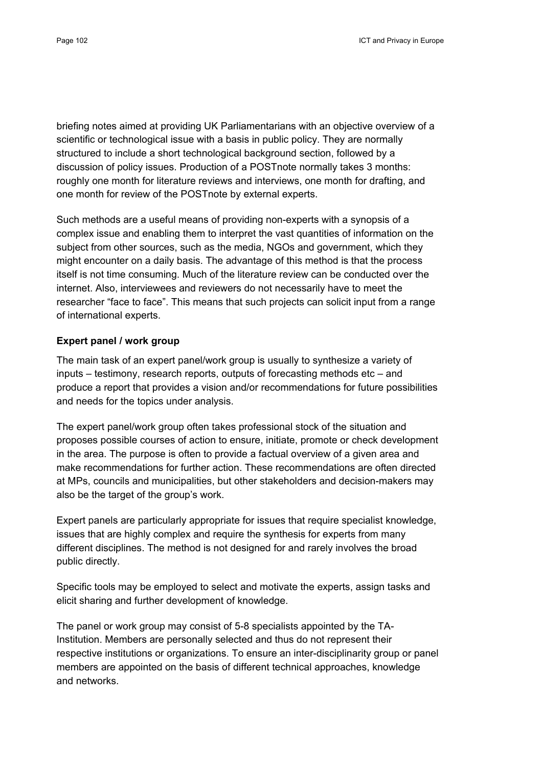briefing notes aimed at providing UK Parliamentarians with an objective overview of a scientific or technological issue with a basis in public policy. They are normally structured to include a short technological background section, followed by a discussion of policy issues. Production of a POSTnote normally takes 3 months: roughly one month for literature reviews and interviews, one month for drafting, and one month for review of the POSTnote by external experts.

Such methods are a useful means of providing non-experts with a synopsis of a complex issue and enabling them to interpret the vast quantities of information on the subject from other sources, such as the media, NGOs and government, which they might encounter on a daily basis. The advantage of this method is that the process itself is not time consuming. Much of the literature review can be conducted over the internet. Also, interviewees and reviewers do not necessarily have to meet the researcher "face to face". This means that such projects can solicit input from a range of international experts.

# **Expert panel / work group**

The main task of an expert panel/work group is usually to synthesize a variety of inputs – testimony, research reports, outputs of forecasting methods etc – and produce a report that provides a vision and/or recommendations for future possibilities and needs for the topics under analysis.

The expert panel/work group often takes professional stock of the situation and proposes possible courses of action to ensure, initiate, promote or check development in the area. The purpose is often to provide a factual overview of a given area and make recommendations for further action. These recommendations are often directed at MPs, councils and municipalities, but other stakeholders and decision-makers may also be the target of the group's work.

Expert panels are particularly appropriate for issues that require specialist knowledge, issues that are highly complex and require the synthesis for experts from many different disciplines. The method is not designed for and rarely involves the broad public directly.

Specific tools may be employed to select and motivate the experts, assign tasks and elicit sharing and further development of knowledge.

The panel or work group may consist of 5-8 specialists appointed by the TA-Institution. Members are personally selected and thus do not represent their respective institutions or organizations. To ensure an inter-disciplinarity group or panel members are appointed on the basis of different technical approaches, knowledge and networks.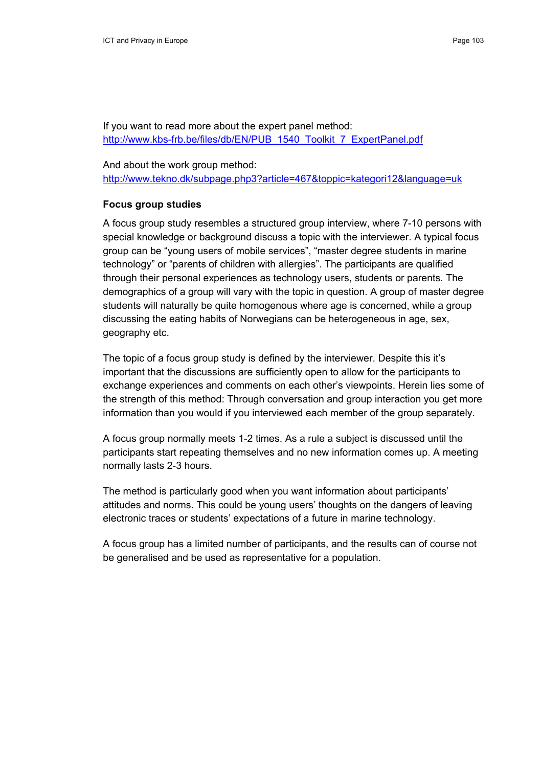If you want to read more about the expert panel method: http://www.kbs-frb.be/files/db/EN/PUB\_1540\_Toolkit\_7\_ExpertPanel.pdf

And about the work group method: http://www.tekno.dk/subpage.php3?article=467&toppic=kategori12&language=uk

#### **Focus group studies**

A focus group study resembles a structured group interview, where 7-10 persons with special knowledge or background discuss a topic with the interviewer. A typical focus group can be "young users of mobile services", "master degree students in marine technology" or "parents of children with allergies". The participants are qualified through their personal experiences as technology users, students or parents. The demographics of a group will vary with the topic in question. A group of master degree students will naturally be quite homogenous where age is concerned, while a group discussing the eating habits of Norwegians can be heterogeneous in age, sex, geography etc.

The topic of a focus group study is defined by the interviewer. Despite this it's important that the discussions are sufficiently open to allow for the participants to exchange experiences and comments on each other's viewpoints. Herein lies some of the strength of this method: Through conversation and group interaction you get more information than you would if you interviewed each member of the group separately.

A focus group normally meets 1-2 times. As a rule a subject is discussed until the participants start repeating themselves and no new information comes up. A meeting normally lasts 2-3 hours.

The method is particularly good when you want information about participants' attitudes and norms. This could be young users' thoughts on the dangers of leaving electronic traces or students' expectations of a future in marine technology.

A focus group has a limited number of participants, and the results can of course not be generalised and be used as representative for a population.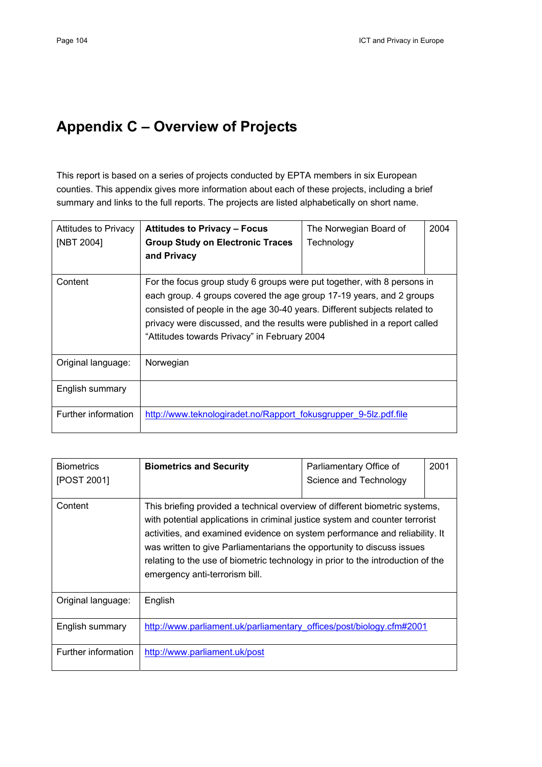# **Appendix C – Overview of Projects**

This report is based on a series of projects conducted by EPTA members in six European counties. This appendix gives more information about each of these projects, including a brief summary and links to the full reports. The projects are listed alphabetically on short name.

| <b>Attitudes to Privacy</b><br>[NBT 2004] | <b>Attitudes to Privacy - Focus</b><br><b>Group Study on Electronic Traces</b><br>and Privacy                                                                                                                                                                                                                                                             | The Norwegian Board of<br>Technology | 2004 |
|-------------------------------------------|-----------------------------------------------------------------------------------------------------------------------------------------------------------------------------------------------------------------------------------------------------------------------------------------------------------------------------------------------------------|--------------------------------------|------|
| Content                                   | For the focus group study 6 groups were put together, with 8 persons in<br>each group. 4 groups covered the age group 17-19 years, and 2 groups<br>consisted of people in the age 30-40 years. Different subjects related to<br>privacy were discussed, and the results were published in a report called<br>"Attitudes towards Privacy" in February 2004 |                                      |      |
| Original language:                        | Norwegian                                                                                                                                                                                                                                                                                                                                                 |                                      |      |
| English summary                           |                                                                                                                                                                                                                                                                                                                                                           |                                      |      |
| Further information                       | http://www.teknologiradet.no/Rapport fokusgrupper 9-5lz.pdf.file                                                                                                                                                                                                                                                                                          |                                      |      |

| <b>Biometrics</b>   | <b>Biometrics and Security</b>                                                                                                                                                                                                                                                                                                                                                                                                            | Parliamentary Office of | 2001 |
|---------------------|-------------------------------------------------------------------------------------------------------------------------------------------------------------------------------------------------------------------------------------------------------------------------------------------------------------------------------------------------------------------------------------------------------------------------------------------|-------------------------|------|
| [POST 2001]         |                                                                                                                                                                                                                                                                                                                                                                                                                                           | Science and Technology  |      |
| Content             | This briefing provided a technical overview of different biometric systems,<br>with potential applications in criminal justice system and counter terrorist<br>activities, and examined evidence on system performance and reliability. It<br>was written to give Parliamentarians the opportunity to discuss issues<br>relating to the use of biometric technology in prior to the introduction of the<br>emergency anti-terrorism bill. |                         |      |
| Original language:  | English                                                                                                                                                                                                                                                                                                                                                                                                                                   |                         |      |
| English summary     | http://www.parliament.uk/parliamentary offices/post/biology.cfm#2001                                                                                                                                                                                                                                                                                                                                                                      |                         |      |
| Further information | http://www.parliament.uk/post                                                                                                                                                                                                                                                                                                                                                                                                             |                         |      |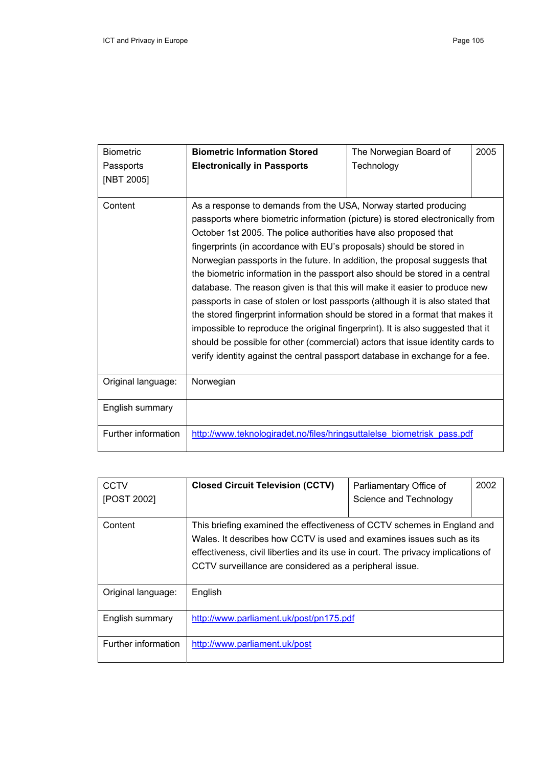| <b>Biometric</b>    | <b>Biometric Information Stored</b>                                                                                                                                                                                                                                                                                                                                                                                                                                                                                                                                                                                                                                                                                                                                                                                                                                                                                                                             | The Norwegian Board of | 2005 |
|---------------------|-----------------------------------------------------------------------------------------------------------------------------------------------------------------------------------------------------------------------------------------------------------------------------------------------------------------------------------------------------------------------------------------------------------------------------------------------------------------------------------------------------------------------------------------------------------------------------------------------------------------------------------------------------------------------------------------------------------------------------------------------------------------------------------------------------------------------------------------------------------------------------------------------------------------------------------------------------------------|------------------------|------|
| Passports           | <b>Electronically in Passports</b>                                                                                                                                                                                                                                                                                                                                                                                                                                                                                                                                                                                                                                                                                                                                                                                                                                                                                                                              | Technology             |      |
| [NBT 2005]          |                                                                                                                                                                                                                                                                                                                                                                                                                                                                                                                                                                                                                                                                                                                                                                                                                                                                                                                                                                 |                        |      |
| Content             | As a response to demands from the USA, Norway started producing<br>passports where biometric information (picture) is stored electronically from<br>October 1st 2005. The police authorities have also proposed that<br>fingerprints (in accordance with EU's proposals) should be stored in<br>Norwegian passports in the future. In addition, the proposal suggests that<br>the biometric information in the passport also should be stored in a central<br>database. The reason given is that this will make it easier to produce new<br>passports in case of stolen or lost passports (although it is also stated that<br>the stored fingerprint information should be stored in a format that makes it<br>impossible to reproduce the original fingerprint). It is also suggested that it<br>should be possible for other (commercial) actors that issue identity cards to<br>verify identity against the central passport database in exchange for a fee. |                        |      |
| Original language:  | Norwegian                                                                                                                                                                                                                                                                                                                                                                                                                                                                                                                                                                                                                                                                                                                                                                                                                                                                                                                                                       |                        |      |
| English summary     |                                                                                                                                                                                                                                                                                                                                                                                                                                                                                                                                                                                                                                                                                                                                                                                                                                                                                                                                                                 |                        |      |
| Further information | http://www.teknologiradet.no/files/hringsuttalelse biometrisk pass.pdf                                                                                                                                                                                                                                                                                                                                                                                                                                                                                                                                                                                                                                                                                                                                                                                                                                                                                          |                        |      |

| <b>CCTV</b>         | <b>Closed Circuit Television (CCTV)</b>                                          | Parliamentary Office of | 2002 |
|---------------------|----------------------------------------------------------------------------------|-------------------------|------|
| [POST 2002]         |                                                                                  | Science and Technology  |      |
|                     |                                                                                  |                         |      |
| Content             | This briefing examined the effectiveness of CCTV schemes in England and          |                         |      |
|                     | Wales. It describes how CCTV is used and examines issues such as its             |                         |      |
|                     | effectiveness, civil liberties and its use in court. The privacy implications of |                         |      |
|                     | CCTV surveillance are considered as a peripheral issue.                          |                         |      |
|                     |                                                                                  |                         |      |
| Original language:  | English                                                                          |                         |      |
|                     |                                                                                  |                         |      |
| English summary     | http://www.parliament.uk/post/pn175.pdf                                          |                         |      |
|                     |                                                                                  |                         |      |
| Further information | http://www.parliament.uk/post                                                    |                         |      |
|                     |                                                                                  |                         |      |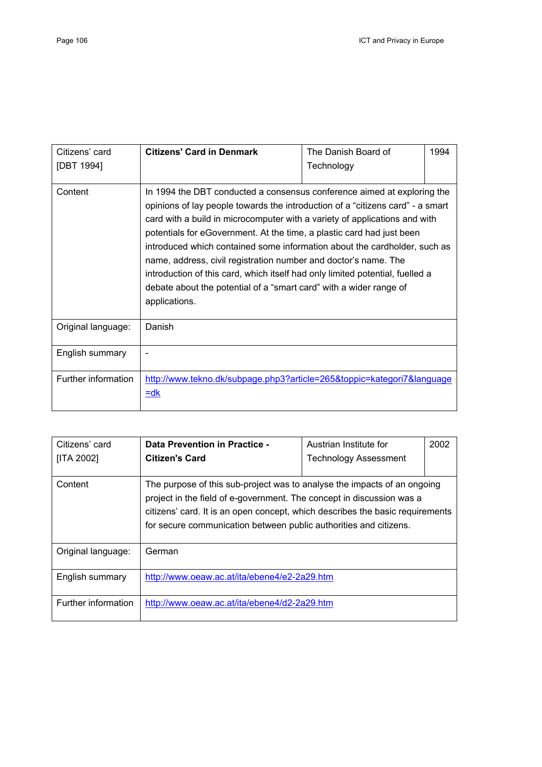| Citizens' card<br>[DBT 1994] | <b>Citizens' Card in Denmark</b>                                                                                                                                                                                                                                                                                                                                                                                                                                                                                                                                                                                                         | The Danish Board of<br>Technology | 1994 |
|------------------------------|------------------------------------------------------------------------------------------------------------------------------------------------------------------------------------------------------------------------------------------------------------------------------------------------------------------------------------------------------------------------------------------------------------------------------------------------------------------------------------------------------------------------------------------------------------------------------------------------------------------------------------------|-----------------------------------|------|
| Content                      | In 1994 the DBT conducted a consensus conference aimed at exploring the<br>opinions of lay people towards the introduction of a "citizens card" - a smart<br>card with a build in microcomputer with a variety of applications and with<br>potentials for eGovernment. At the time, a plastic card had just been<br>introduced which contained some information about the cardholder, such as<br>name, address, civil registration number and doctor's name. The<br>introduction of this card, which itself had only limited potential, fuelled a<br>debate about the potential of a "smart card" with a wider range of<br>applications. |                                   |      |
| Original language:           | Danish                                                                                                                                                                                                                                                                                                                                                                                                                                                                                                                                                                                                                                   |                                   |      |
| English summary              |                                                                                                                                                                                                                                                                                                                                                                                                                                                                                                                                                                                                                                          |                                   |      |
| Further information          | http://www.tekno.dk/subpage.php3?article=265&toppic=kategori7&language<br>$=$ dk                                                                                                                                                                                                                                                                                                                                                                                                                                                                                                                                                         |                                   |      |

| Citizens' card<br>[ITA 2002] | Data Prevention in Practice -<br>Citizen's Card                                                                                                                                                                                                                                                         | Austrian Institute for<br><b>Technology Assessment</b> | 2002 |
|------------------------------|---------------------------------------------------------------------------------------------------------------------------------------------------------------------------------------------------------------------------------------------------------------------------------------------------------|--------------------------------------------------------|------|
|                              |                                                                                                                                                                                                                                                                                                         |                                                        |      |
| Content                      | The purpose of this sub-project was to analyse the impacts of an ongoing<br>project in the field of e-government. The concept in discussion was a<br>citizens' card. It is an open concept, which describes the basic requirements<br>for secure communication between public authorities and citizens. |                                                        |      |
| Original language:           | German                                                                                                                                                                                                                                                                                                  |                                                        |      |
| English summary              | http://www.oeaw.ac.at/ita/ebene4/e2-2a29.htm                                                                                                                                                                                                                                                            |                                                        |      |
| Further information          | http://www.oeaw.ac.at/ita/ebene4/d2-2a29.htm                                                                                                                                                                                                                                                            |                                                        |      |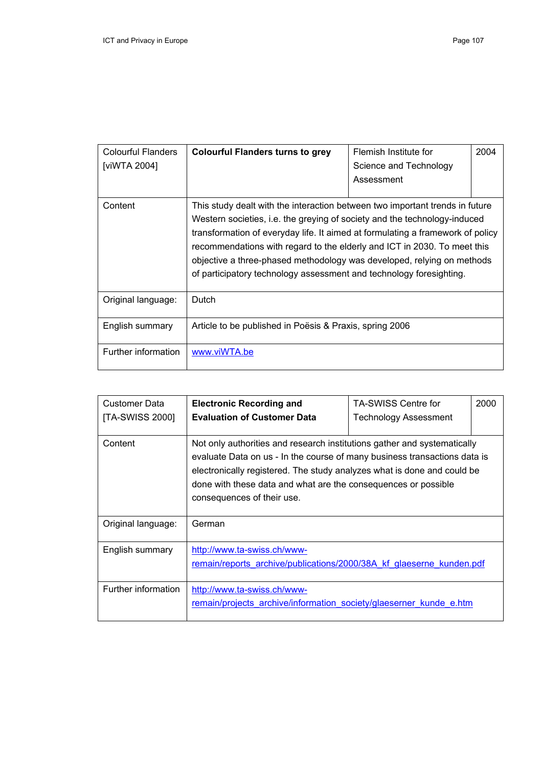| Colourful Flanders<br>[viWTA 2004] | <b>Colourful Flanders turns to grey</b>                                                                                                                                                                                                                                                                                                                                                                                                                                  | Flemish Institute for<br>Science and Technology<br>Assessment | 2004 |
|------------------------------------|--------------------------------------------------------------------------------------------------------------------------------------------------------------------------------------------------------------------------------------------------------------------------------------------------------------------------------------------------------------------------------------------------------------------------------------------------------------------------|---------------------------------------------------------------|------|
| Content                            | This study dealt with the interaction between two important trends in future<br>Western societies, i.e. the greying of society and the technology-induced<br>transformation of everyday life. It aimed at formulating a framework of policy<br>recommendations with regard to the elderly and ICT in 2030. To meet this<br>objective a three-phased methodology was developed, relying on methods<br>of participatory technology assessment and technology foresighting. |                                                               |      |
| Original language:                 | Dutch                                                                                                                                                                                                                                                                                                                                                                                                                                                                    |                                                               |      |
| English summary                    | Article to be published in Poesis & Praxis, spring 2006                                                                                                                                                                                                                                                                                                                                                                                                                  |                                                               |      |
| Further information                | www.viWTA.be                                                                                                                                                                                                                                                                                                                                                                                                                                                             |                                                               |      |

| Customer Data       | <b>Electronic Recording and</b>                                                                                                                                                                                                                                                                                                  | <b>TA-SWISS Centre for</b>   | 2000 |
|---------------------|----------------------------------------------------------------------------------------------------------------------------------------------------------------------------------------------------------------------------------------------------------------------------------------------------------------------------------|------------------------------|------|
| [TA-SWISS 2000]     | <b>Evaluation of Customer Data</b>                                                                                                                                                                                                                                                                                               | <b>Technology Assessment</b> |      |
|                     |                                                                                                                                                                                                                                                                                                                                  |                              |      |
| Content             | Not only authorities and research institutions gather and systematically<br>evaluate Data on us - In the course of many business transactions data is<br>electronically registered. The study analyzes what is done and could be<br>done with these data and what are the consequences or possible<br>consequences of their use. |                              |      |
| Original language:  | German                                                                                                                                                                                                                                                                                                                           |                              |      |
| English summary     | http://www.ta-swiss.ch/www-<br>remain/reports archive/publications/2000/38A kf glaeserne kunden.pdf                                                                                                                                                                                                                              |                              |      |
| Further information | http://www.ta-swiss.ch/www-<br>remain/projects archive/information society/glaeserner kunde e.htm                                                                                                                                                                                                                                |                              |      |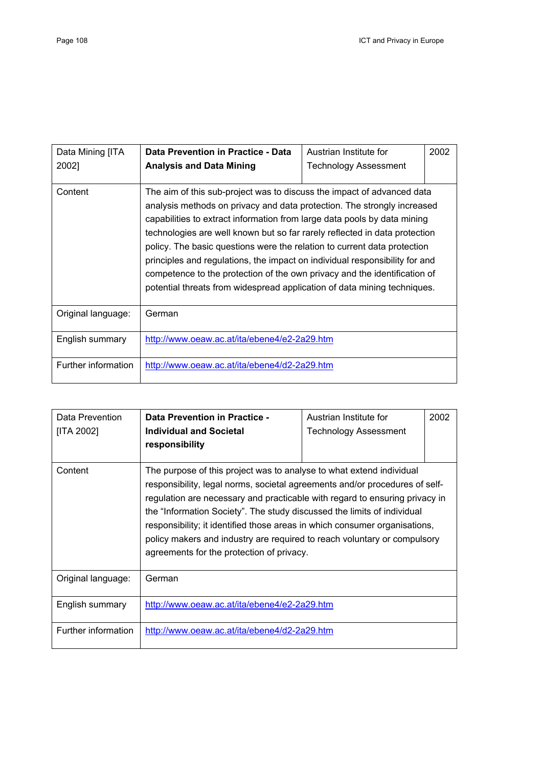| Data Mining [ITA<br>2002] | Data Prevention in Practice - Data<br><b>Analysis and Data Mining</b>                                                                                                                                                                                                                                                                                                                                                                                                                                                                                                                                                           | Austrian Institute for<br><b>Technology Assessment</b> | 2002 |
|---------------------------|---------------------------------------------------------------------------------------------------------------------------------------------------------------------------------------------------------------------------------------------------------------------------------------------------------------------------------------------------------------------------------------------------------------------------------------------------------------------------------------------------------------------------------------------------------------------------------------------------------------------------------|--------------------------------------------------------|------|
| Content                   | The aim of this sub-project was to discuss the impact of advanced data<br>analysis methods on privacy and data protection. The strongly increased<br>capabilities to extract information from large data pools by data mining<br>technologies are well known but so far rarely reflected in data protection<br>policy. The basic questions were the relation to current data protection<br>principles and regulations, the impact on individual responsibility for and<br>competence to the protection of the own privacy and the identification of<br>potential threats from widespread application of data mining techniques. |                                                        |      |
| Original language:        | German                                                                                                                                                                                                                                                                                                                                                                                                                                                                                                                                                                                                                          |                                                        |      |
| English summary           | http://www.oeaw.ac.at/ita/ebene4/e2-2a29.htm                                                                                                                                                                                                                                                                                                                                                                                                                                                                                                                                                                                    |                                                        |      |
| Further information       | http://www.oeaw.ac.at/ita/ebene4/d2-2a29.htm                                                                                                                                                                                                                                                                                                                                                                                                                                                                                                                                                                                    |                                                        |      |

| Data Prevention<br>[ITA 2002] | Data Prevention in Practice -<br><b>Individual and Societal</b><br>responsibility                                                                                                                                                                                                                                                                                                                                                                                                                                    | Austrian Institute for<br><b>Technology Assessment</b> | 2002 |
|-------------------------------|----------------------------------------------------------------------------------------------------------------------------------------------------------------------------------------------------------------------------------------------------------------------------------------------------------------------------------------------------------------------------------------------------------------------------------------------------------------------------------------------------------------------|--------------------------------------------------------|------|
| Content                       | The purpose of this project was to analyse to what extend individual<br>responsibility, legal norms, societal agreements and/or procedures of self-<br>regulation are necessary and practicable with regard to ensuring privacy in<br>the "Information Society". The study discussed the limits of individual<br>responsibility; it identified those areas in which consumer organisations,<br>policy makers and industry are required to reach voluntary or compulsory<br>agreements for the protection of privacy. |                                                        |      |
| Original language:            | German                                                                                                                                                                                                                                                                                                                                                                                                                                                                                                               |                                                        |      |
| English summary               | http://www.oeaw.ac.at/ita/ebene4/e2-2a29.htm                                                                                                                                                                                                                                                                                                                                                                                                                                                                         |                                                        |      |
| Further information           | http://www.oeaw.ac.at/ita/ebene4/d2-2a29.htm                                                                                                                                                                                                                                                                                                                                                                                                                                                                         |                                                        |      |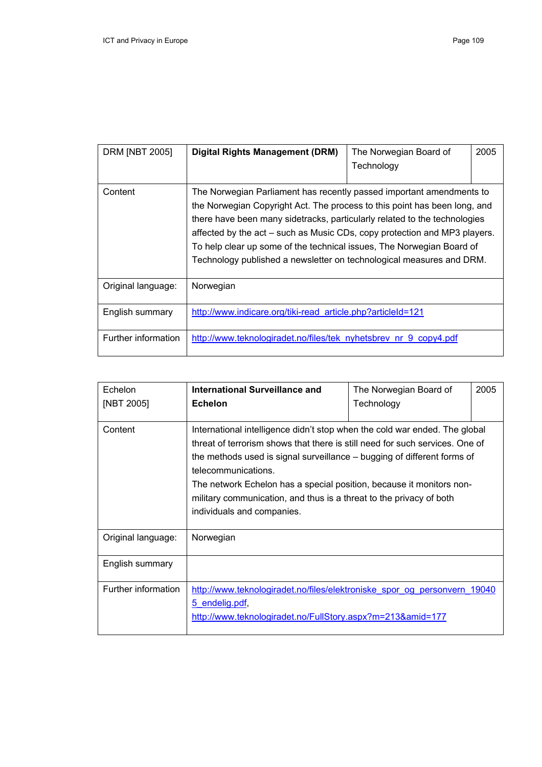| <b>DRM [NBT 2005]</b> | <b>Digital Rights Management (DRM)</b>                                                                                                                                                                                                                                                                                                                                                                                                                       | The Norwegian Board of<br>Technology | 2005 |
|-----------------------|--------------------------------------------------------------------------------------------------------------------------------------------------------------------------------------------------------------------------------------------------------------------------------------------------------------------------------------------------------------------------------------------------------------------------------------------------------------|--------------------------------------|------|
|                       |                                                                                                                                                                                                                                                                                                                                                                                                                                                              |                                      |      |
| Content               | The Norwegian Parliament has recently passed important amendments to<br>the Norwegian Copyright Act. The process to this point has been long, and<br>there have been many sidetracks, particularly related to the technologies<br>affected by the act – such as Music CDs, copy protection and MP3 players.<br>To help clear up some of the technical issues, The Norwegian Board of<br>Technology published a newsletter on technological measures and DRM. |                                      |      |
| Original language:    | Norwegian                                                                                                                                                                                                                                                                                                                                                                                                                                                    |                                      |      |
| English summary       | http://www.indicare.org/tiki-read article.php?articleId=121                                                                                                                                                                                                                                                                                                                                                                                                  |                                      |      |
| Further information   | http://www.teknologiradet.no/files/tek nyhetsbrev nr 9 copy4.pdf                                                                                                                                                                                                                                                                                                                                                                                             |                                      |      |

| Echelon<br>[NBT 2005] | International Surveillance and<br><b>Echelon</b>                                                                                                                                                                                                                                                                                                                                                                                          | The Norwegian Board of<br>Technology | 2005 |
|-----------------------|-------------------------------------------------------------------------------------------------------------------------------------------------------------------------------------------------------------------------------------------------------------------------------------------------------------------------------------------------------------------------------------------------------------------------------------------|--------------------------------------|------|
| Content               | International intelligence didn't stop when the cold war ended. The global<br>threat of terrorism shows that there is still need for such services. One of<br>the methods used is signal surveillance – bugging of different forms of<br>telecommunications.<br>The network Echelon has a special position, because it monitors non-<br>military communication, and thus is a threat to the privacy of both<br>individuals and companies. |                                      |      |
| Original language:    | Norwegian                                                                                                                                                                                                                                                                                                                                                                                                                                 |                                      |      |
| English summary       |                                                                                                                                                                                                                                                                                                                                                                                                                                           |                                      |      |
| Further information   | http://www.teknologiradet.no/files/elektroniske spor og personvern 19040<br>5 endelig.pdf,<br>http://www.teknologiradet.no/FullStory.aspx?m=213&amid=177                                                                                                                                                                                                                                                                                  |                                      |      |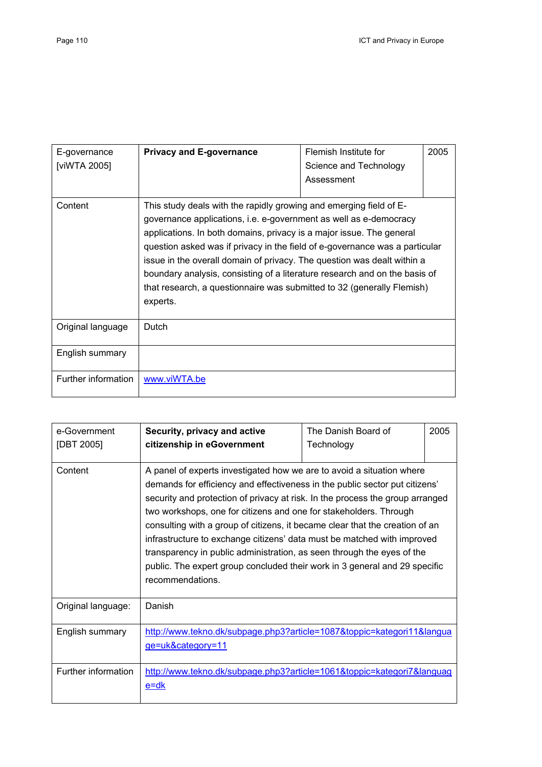| E-governance<br>[viWTA 2005] | <b>Privacy and E-governance</b>                                                                                                                                                                                                                                                                                                                                                                                                                                                                                                               | Flemish Institute for<br>Science and Technology<br>Assessment | 2005 |
|------------------------------|-----------------------------------------------------------------------------------------------------------------------------------------------------------------------------------------------------------------------------------------------------------------------------------------------------------------------------------------------------------------------------------------------------------------------------------------------------------------------------------------------------------------------------------------------|---------------------------------------------------------------|------|
| Content                      | This study deals with the rapidly growing and emerging field of E-<br>governance applications, i.e. e-government as well as e-democracy<br>applications. In both domains, privacy is a major issue. The general<br>question asked was if privacy in the field of e-governance was a particular<br>issue in the overall domain of privacy. The question was dealt within a<br>boundary analysis, consisting of a literature research and on the basis of<br>that research, a questionnaire was submitted to 32 (generally Flemish)<br>experts. |                                                               |      |
| Original language            | Dutch                                                                                                                                                                                                                                                                                                                                                                                                                                                                                                                                         |                                                               |      |
| English summary              |                                                                                                                                                                                                                                                                                                                                                                                                                                                                                                                                               |                                                               |      |
| Further information          | www.viWTA.be                                                                                                                                                                                                                                                                                                                                                                                                                                                                                                                                  |                                                               |      |

| e-Government<br>[DBT 2005] | Security, privacy and active<br>citizenship in eGovernment                                                                                                                                                                                                                                                                                                                                                                                                                                                                                                                                                                                        | The Danish Board of<br>Technology | 2005 |
|----------------------------|---------------------------------------------------------------------------------------------------------------------------------------------------------------------------------------------------------------------------------------------------------------------------------------------------------------------------------------------------------------------------------------------------------------------------------------------------------------------------------------------------------------------------------------------------------------------------------------------------------------------------------------------------|-----------------------------------|------|
| Content                    | A panel of experts investigated how we are to avoid a situation where<br>demands for efficiency and effectiveness in the public sector put citizens'<br>security and protection of privacy at risk. In the process the group arranged<br>two workshops, one for citizens and one for stakeholders. Through<br>consulting with a group of citizens, it became clear that the creation of an<br>infrastructure to exchange citizens' data must be matched with improved<br>transparency in public administration, as seen through the eyes of the<br>public. The expert group concluded their work in 3 general and 29 specific<br>recommendations. |                                   |      |
| Original language:         | Danish                                                                                                                                                                                                                                                                                                                                                                                                                                                                                                                                                                                                                                            |                                   |      |
| English summary            | http://www.tekno.dk/subpage.php3?article=1087&toppic=kategori11&langua<br>ge=uk&category=11                                                                                                                                                                                                                                                                                                                                                                                                                                                                                                                                                       |                                   |      |
| Further information        | http://www.tekno.dk/subpage.php3?article=1061&toppic=kategori7&languag<br>e=dk                                                                                                                                                                                                                                                                                                                                                                                                                                                                                                                                                                    |                                   |      |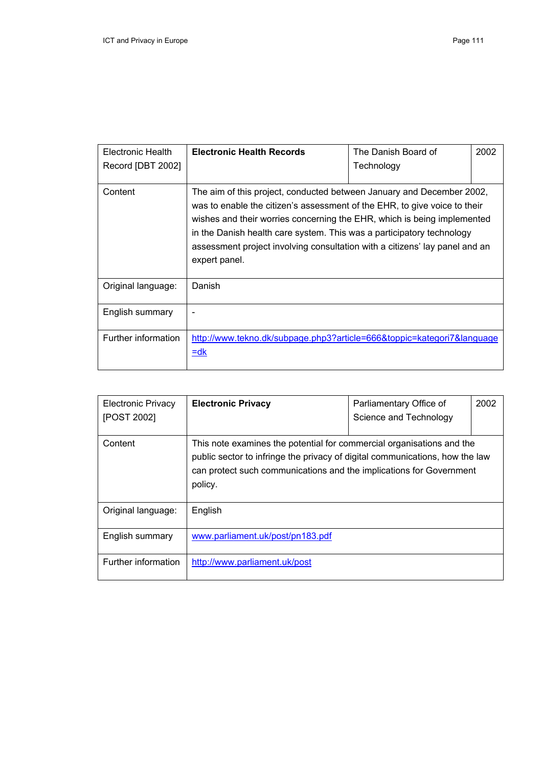| Electronic Health<br>Record [DBT 2002] | <b>Electronic Health Records</b>                                                                                                                                                                                                                                                                                                                                                                       | The Danish Board of<br>Technology | 2002 |
|----------------------------------------|--------------------------------------------------------------------------------------------------------------------------------------------------------------------------------------------------------------------------------------------------------------------------------------------------------------------------------------------------------------------------------------------------------|-----------------------------------|------|
| Content                                | The aim of this project, conducted between January and December 2002,<br>was to enable the citizen's assessment of the EHR, to give voice to their<br>wishes and their worries concerning the EHR, which is being implemented<br>in the Danish health care system. This was a participatory technology<br>assessment project involving consultation with a citizens' lay panel and an<br>expert panel. |                                   |      |
| Original language:                     | Danish                                                                                                                                                                                                                                                                                                                                                                                                 |                                   |      |
| English summary                        |                                                                                                                                                                                                                                                                                                                                                                                                        |                                   |      |
| Further information                    | http://www.tekno.dk/subpage.php3?article=666&toppic=kategori7&language<br>$=$ dk                                                                                                                                                                                                                                                                                                                       |                                   |      |

| <b>Electronic Privacy</b><br>[POST 2002] | <b>Electronic Privacy</b>                                                                                                                                                                                                               | Parliamentary Office of<br>Science and Technology | 2002 |
|------------------------------------------|-----------------------------------------------------------------------------------------------------------------------------------------------------------------------------------------------------------------------------------------|---------------------------------------------------|------|
| Content                                  | This note examines the potential for commercial organisations and the<br>public sector to infringe the privacy of digital communications, how the law<br>can protect such communications and the implications for Government<br>policy. |                                                   |      |
| Original language:                       | English                                                                                                                                                                                                                                 |                                                   |      |
| English summary                          | www.parliament.uk/post/pn183.pdf                                                                                                                                                                                                        |                                                   |      |
| Further information                      | http://www.parliament.uk/post                                                                                                                                                                                                           |                                                   |      |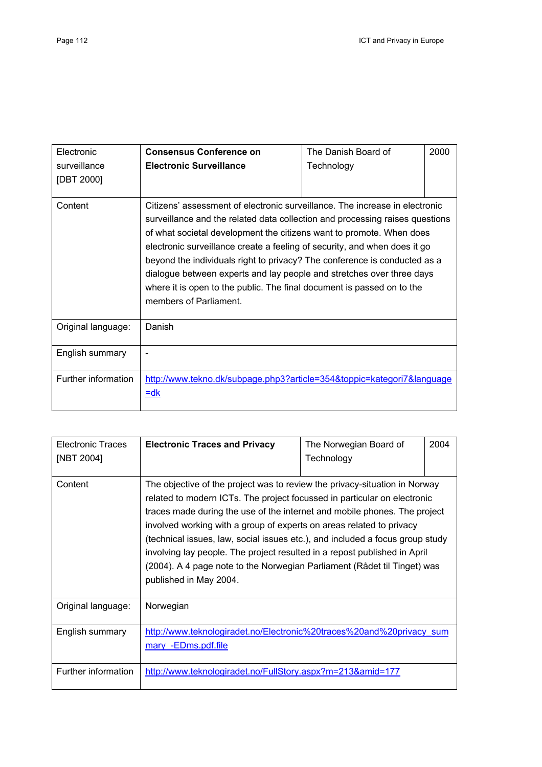| Electronic<br>surveillance<br>[DBT 2000] | <b>Consensus Conference on</b><br><b>Electronic Surveillance</b>                                                                                                                                                                                                                                                                                                                                                                                                                                                                                                           | The Danish Board of<br>Technology | 2000 |
|------------------------------------------|----------------------------------------------------------------------------------------------------------------------------------------------------------------------------------------------------------------------------------------------------------------------------------------------------------------------------------------------------------------------------------------------------------------------------------------------------------------------------------------------------------------------------------------------------------------------------|-----------------------------------|------|
| Content                                  | Citizens' assessment of electronic surveillance. The increase in electronic<br>surveillance and the related data collection and processing raises questions<br>of what societal development the citizens want to promote. When does<br>electronic surveillance create a feeling of security, and when does it go<br>beyond the individuals right to privacy? The conference is conducted as a<br>dialogue between experts and lay people and stretches over three days<br>where it is open to the public. The final document is passed on to the<br>members of Parliament. |                                   |      |
| Original language:                       | Danish                                                                                                                                                                                                                                                                                                                                                                                                                                                                                                                                                                     |                                   |      |
| English summary                          |                                                                                                                                                                                                                                                                                                                                                                                                                                                                                                                                                                            |                                   |      |
| Further information                      | http://www.tekno.dk/subpage.php3?article=354&toppic=kategori7&language<br>$=$ dk                                                                                                                                                                                                                                                                                                                                                                                                                                                                                           |                                   |      |

| <b>Electronic Traces</b><br>[NBT 2004] | <b>Electronic Traces and Privacy</b>                                                                                                                                                                                                                                                                                                                                                                                                                                                                                                                                            | The Norwegian Board of<br>Technology | 2004 |
|----------------------------------------|---------------------------------------------------------------------------------------------------------------------------------------------------------------------------------------------------------------------------------------------------------------------------------------------------------------------------------------------------------------------------------------------------------------------------------------------------------------------------------------------------------------------------------------------------------------------------------|--------------------------------------|------|
| Content                                | The objective of the project was to review the privacy-situation in Norway<br>related to modern ICTs. The project focussed in particular on electronic<br>traces made during the use of the internet and mobile phones. The project<br>involved working with a group of experts on areas related to privacy<br>(technical issues, law, social issues etc.), and included a focus group study<br>involving lay people. The project resulted in a repost published in April<br>(2004). A 4 page note to the Norwegian Parliament (Rådet til Tinget) was<br>published in May 2004. |                                      |      |
| Original language:                     | Norwegian                                                                                                                                                                                                                                                                                                                                                                                                                                                                                                                                                                       |                                      |      |
| English summary                        | http://www.teknologiradet.no/Electronic%20traces%20and%20privacy_sum<br>mary -EDms.pdf.file                                                                                                                                                                                                                                                                                                                                                                                                                                                                                     |                                      |      |
| Further information                    | http://www.teknologiradet.no/FullStory.aspx?m=213&amid=177                                                                                                                                                                                                                                                                                                                                                                                                                                                                                                                      |                                      |      |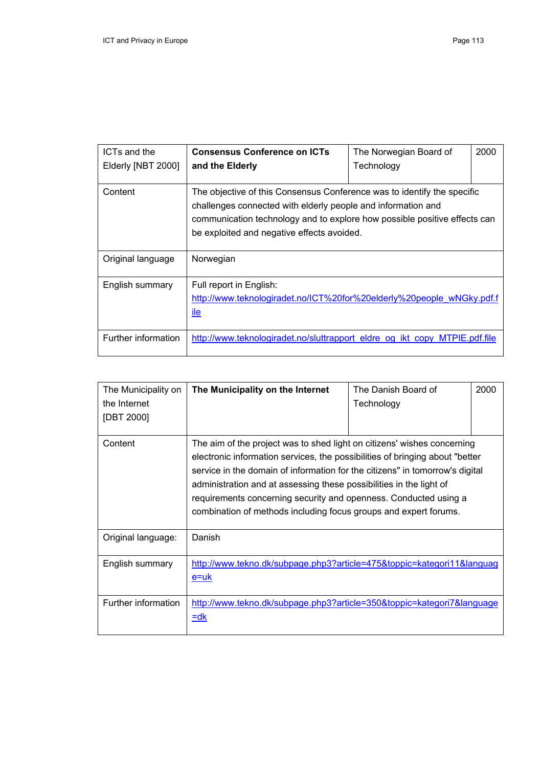| ICTs and the<br>Elderly [NBT 2000] | <b>Consensus Conference on ICTs</b><br>and the Elderly                                                                                                                                                                                                             | The Norwegian Board of<br>Technology | 2000 |
|------------------------------------|--------------------------------------------------------------------------------------------------------------------------------------------------------------------------------------------------------------------------------------------------------------------|--------------------------------------|------|
| Content                            | The objective of this Consensus Conference was to identify the specific<br>challenges connected with elderly people and information and<br>communication technology and to explore how possible positive effects can<br>be exploited and negative effects avoided. |                                      |      |
| Original language                  | Norwegian                                                                                                                                                                                                                                                          |                                      |      |
| English summary                    | Full report in English:<br>http://www.teknologiradet.no/ICT%20for%20elderly%20people wNGky.pdf.f<br><u>ile</u>                                                                                                                                                     |                                      |      |
| Further information                | http://www.teknologiradet.no/sluttrapport eldre og ikt copy MTPIE.pdf.file                                                                                                                                                                                         |                                      |      |

| The Municipality on<br>the Internet<br>[DBT 2000] | The Municipality on the Internet                                                                                                                                                                                                                                                                                                                                                                                                                       | The Danish Board of<br>Technology | 2000 |
|---------------------------------------------------|--------------------------------------------------------------------------------------------------------------------------------------------------------------------------------------------------------------------------------------------------------------------------------------------------------------------------------------------------------------------------------------------------------------------------------------------------------|-----------------------------------|------|
| Content                                           | The aim of the project was to shed light on citizens' wishes concerning<br>electronic information services, the possibilities of bringing about "better<br>service in the domain of information for the citizens" in tomorrow's digital<br>administration and at assessing these possibilities in the light of<br>requirements concerning security and openness. Conducted using a<br>combination of methods including focus groups and expert forums. |                                   |      |
| Original language:                                | Danish                                                                                                                                                                                                                                                                                                                                                                                                                                                 |                                   |      |
| English summary                                   | http://www.tekno.dk/subpage.php3?article=475&toppic=kategori11&languag<br>e=uk                                                                                                                                                                                                                                                                                                                                                                         |                                   |      |
| Further information                               | http://www.tekno.dk/subpage.php3?article=350&toppic=kategori7&language<br>$=$ dk                                                                                                                                                                                                                                                                                                                                                                       |                                   |      |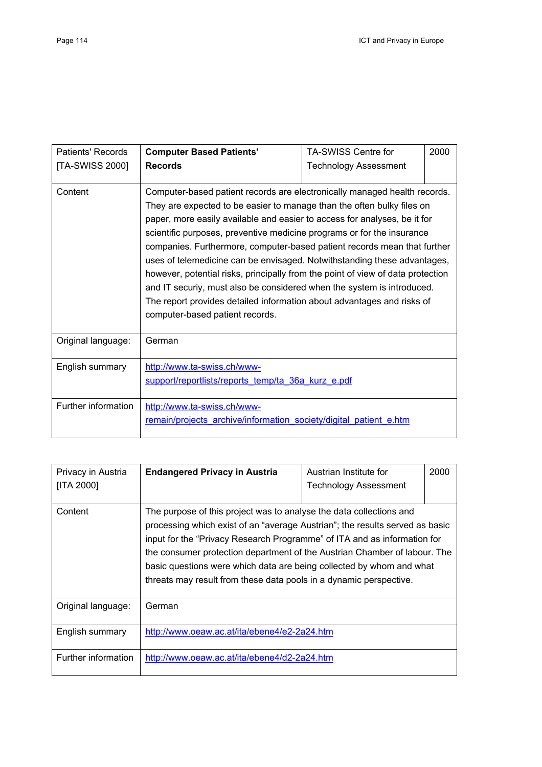| Patients' Records   | <b>Computer Based Patients'</b>                                                                                                                                                                                                                                                                                                                                                                                                                                                                                                                                                                                                                                                                                                              | <b>TA-SWISS Centre for</b>   | 2000 |
|---------------------|----------------------------------------------------------------------------------------------------------------------------------------------------------------------------------------------------------------------------------------------------------------------------------------------------------------------------------------------------------------------------------------------------------------------------------------------------------------------------------------------------------------------------------------------------------------------------------------------------------------------------------------------------------------------------------------------------------------------------------------------|------------------------------|------|
| [TA-SWISS 2000]     | <b>Records</b>                                                                                                                                                                                                                                                                                                                                                                                                                                                                                                                                                                                                                                                                                                                               | <b>Technology Assessment</b> |      |
| Content             | Computer-based patient records are electronically managed health records.<br>They are expected to be easier to manage than the often bulky files on<br>paper, more easily available and easier to access for analyses, be it for<br>scientific purposes, preventive medicine programs or for the insurance<br>companies. Furthermore, computer-based patient records mean that further<br>uses of telemedicine can be envisaged. Notwithstanding these advantages,<br>however, potential risks, principally from the point of view of data protection<br>and IT securiy, must also be considered when the system is introduced.<br>The report provides detailed information about advantages and risks of<br>computer-based patient records. |                              |      |
| Original language:  | German                                                                                                                                                                                                                                                                                                                                                                                                                                                                                                                                                                                                                                                                                                                                       |                              |      |
| English summary     | http://www.ta-swiss.ch/www-<br>support/reportlists/reports temp/ta 36a kurz e.pdf                                                                                                                                                                                                                                                                                                                                                                                                                                                                                                                                                                                                                                                            |                              |      |
| Further information | http://www.ta-swiss.ch/www-<br>remain/projects archive/information society/digital patient e.htm                                                                                                                                                                                                                                                                                                                                                                                                                                                                                                                                                                                                                                             |                              |      |

| Privacy in Austria  | <b>Endangered Privacy in Austria</b>                                         | Austrian Institute for       | 2000 |
|---------------------|------------------------------------------------------------------------------|------------------------------|------|
| [ITA 2000]          |                                                                              | <b>Technology Assessment</b> |      |
|                     |                                                                              |                              |      |
| Content             | The purpose of this project was to analyse the data collections and          |                              |      |
|                     | processing which exist of an "average Austrian"; the results served as basic |                              |      |
|                     | input for the "Privacy Research Programme" of ITA and as information for     |                              |      |
|                     | the consumer protection department of the Austrian Chamber of labour. The    |                              |      |
|                     | basic questions were which data are being collected by whom and what         |                              |      |
|                     | threats may result from these data pools in a dynamic perspective.           |                              |      |
|                     |                                                                              |                              |      |
| Original language:  | German                                                                       |                              |      |
|                     |                                                                              |                              |      |
| English summary     | http://www.oeaw.ac.at/ita/ebene4/e2-2a24.htm                                 |                              |      |
|                     |                                                                              |                              |      |
| Further information | http://www.oeaw.ac.at/ita/ebene4/d2-2a24.htm                                 |                              |      |
|                     |                                                                              |                              |      |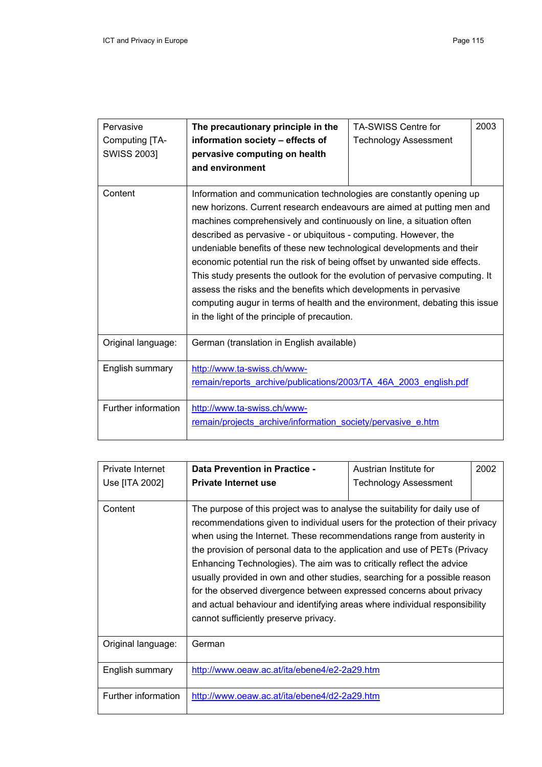| Pervasive           | The precautionary principle in the                                           | <b>TA-SWISS Centre for</b>   | 2003 |
|---------------------|------------------------------------------------------------------------------|------------------------------|------|
| Computing [TA-      | information society - effects of                                             | <b>Technology Assessment</b> |      |
| <b>SWISS 2003]</b>  | pervasive computing on health                                                |                              |      |
|                     | and environment                                                              |                              |      |
|                     |                                                                              |                              |      |
| Content             | Information and communication technologies are constantly opening up         |                              |      |
|                     | new horizons. Current research endeavours are aimed at putting men and       |                              |      |
|                     | machines comprehensively and continuously on line, a situation often         |                              |      |
|                     | described as pervasive - or ubiquitous - computing. However, the             |                              |      |
|                     | undeniable benefits of these new technological developments and their        |                              |      |
|                     | economic potential run the risk of being offset by unwanted side effects.    |                              |      |
|                     | This study presents the outlook for the evolution of pervasive computing. It |                              |      |
|                     | assess the risks and the benefits which developments in pervasive            |                              |      |
|                     | computing augur in terms of health and the environment, debating this issue  |                              |      |
|                     | in the light of the principle of precaution.                                 |                              |      |
|                     |                                                                              |                              |      |
| Original language:  | German (translation in English available)                                    |                              |      |
|                     |                                                                              |                              |      |
| English summary     | http://www.ta-swiss.ch/www-                                                  |                              |      |
|                     | remain/reports archive/publications/2003/TA 46A 2003 english.pdf             |                              |      |
|                     |                                                                              |                              |      |
| Further information | http://www.ta-swiss.ch/www-                                                  |                              |      |
|                     | remain/projects archive/information society/pervasive e.htm                  |                              |      |
|                     |                                                                              |                              |      |

| <b>Private Internet</b><br>Use [ITA 2002] | Data Prevention in Practice -<br><b>Private Internet use</b>                                                                                                                                                                                                                                                                                                                                                                                                                                                                                                                                                                                                               | Austrian Institute for<br><b>Technology Assessment</b> | 2002 |
|-------------------------------------------|----------------------------------------------------------------------------------------------------------------------------------------------------------------------------------------------------------------------------------------------------------------------------------------------------------------------------------------------------------------------------------------------------------------------------------------------------------------------------------------------------------------------------------------------------------------------------------------------------------------------------------------------------------------------------|--------------------------------------------------------|------|
| Content                                   | The purpose of this project was to analyse the suitability for daily use of<br>recommendations given to individual users for the protection of their privacy<br>when using the Internet. These recommendations range from austerity in<br>the provision of personal data to the application and use of PETs (Privacy<br>Enhancing Technologies). The aim was to critically reflect the advice<br>usually provided in own and other studies, searching for a possible reason<br>for the observed divergence between expressed concerns about privacy<br>and actual behaviour and identifying areas where individual responsibility<br>cannot sufficiently preserve privacy. |                                                        |      |
| Original language:                        | German                                                                                                                                                                                                                                                                                                                                                                                                                                                                                                                                                                                                                                                                     |                                                        |      |
| English summary                           | http://www.oeaw.ac.at/ita/ebene4/e2-2a29.htm                                                                                                                                                                                                                                                                                                                                                                                                                                                                                                                                                                                                                               |                                                        |      |
| Further information                       | http://www.oeaw.ac.at/ita/ebene4/d2-2a29.htm                                                                                                                                                                                                                                                                                                                                                                                                                                                                                                                                                                                                                               |                                                        |      |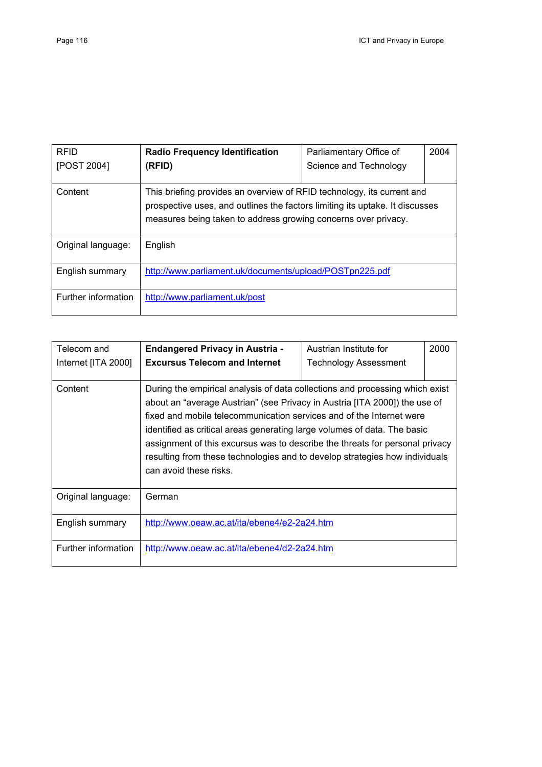| <b>RFID</b><br>[POST 2004] | <b>Radio Frequency Identification</b><br>(RFID)                                                                                                                                                                          | Parliamentary Office of<br>Science and Technology | 2004 |
|----------------------------|--------------------------------------------------------------------------------------------------------------------------------------------------------------------------------------------------------------------------|---------------------------------------------------|------|
| Content                    | This briefing provides an overview of RFID technology, its current and<br>prospective uses, and outlines the factors limiting its uptake. It discusses<br>measures being taken to address growing concerns over privacy. |                                                   |      |
| Original language:         | English                                                                                                                                                                                                                  |                                                   |      |
| English summary            | http://www.parliament.uk/documents/upload/POSTpn225.pdf                                                                                                                                                                  |                                                   |      |
| Further information        | http://www.parliament.uk/post                                                                                                                                                                                            |                                                   |      |

| Telecom and         | <b>Endangered Privacy in Austria -</b>                                                                                                                                                                                                                                                                                                                                                                                                                                                                  | Austrian Institute for       | 2000 |
|---------------------|---------------------------------------------------------------------------------------------------------------------------------------------------------------------------------------------------------------------------------------------------------------------------------------------------------------------------------------------------------------------------------------------------------------------------------------------------------------------------------------------------------|------------------------------|------|
| Internet [ITA 2000] | <b>Excursus Telecom and Internet</b>                                                                                                                                                                                                                                                                                                                                                                                                                                                                    | <b>Technology Assessment</b> |      |
| Content             | During the empirical analysis of data collections and processing which exist<br>about an "average Austrian" (see Privacy in Austria [ITA 2000]) the use of<br>fixed and mobile telecommunication services and of the Internet were<br>identified as critical areas generating large volumes of data. The basic<br>assignment of this excursus was to describe the threats for personal privacy<br>resulting from these technologies and to develop strategies how individuals<br>can avoid these risks. |                              |      |
| Original language:  | German                                                                                                                                                                                                                                                                                                                                                                                                                                                                                                  |                              |      |
| English summary     | http://www.oeaw.ac.at/ita/ebene4/e2-2a24.htm                                                                                                                                                                                                                                                                                                                                                                                                                                                            |                              |      |
| Further information | http://www.oeaw.ac.at/ita/ebene4/d2-2a24.htm                                                                                                                                                                                                                                                                                                                                                                                                                                                            |                              |      |